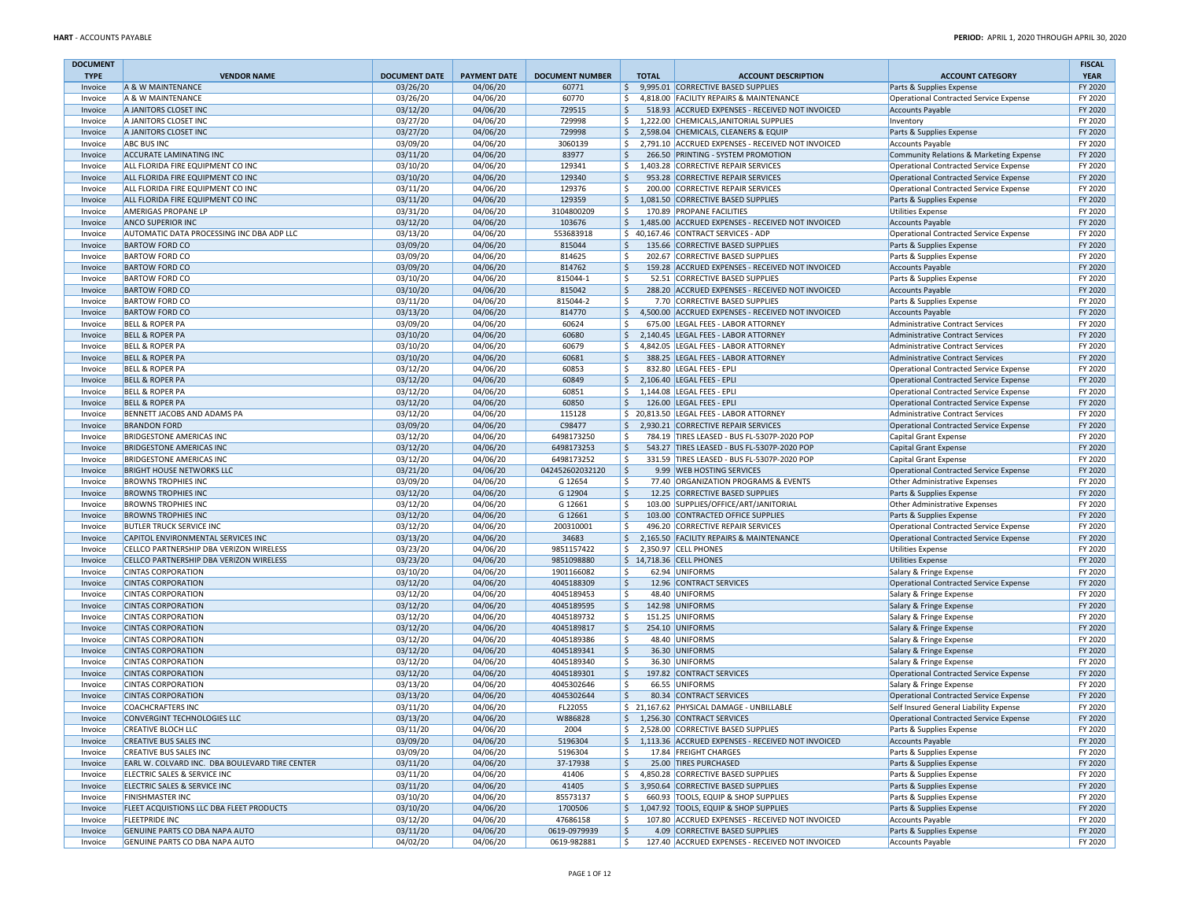| <b>DOCUMENT</b>    |                                                                    |                                  |                                 |                                 |                    |                                                                                    |                                                                    | <b>FISCAL</b>          |
|--------------------|--------------------------------------------------------------------|----------------------------------|---------------------------------|---------------------------------|--------------------|------------------------------------------------------------------------------------|--------------------------------------------------------------------|------------------------|
| <b>TYPE</b>        | <b>VENDOR NAME</b><br>A & W MAINTENANCE                            | <b>DOCUMENT DATE</b><br>03/26/20 | <b>PAYMENT DATE</b><br>04/06/20 | <b>DOCUMENT NUMBER</b><br>60771 | <b>TOTAL</b><br>\$ | <b>ACCOUNT DESCRIPTION</b><br>9,995.01 CORRECTIVE BASED SUPPLIES                   | <b>ACCOUNT CATEGORY</b>                                            | <b>YEAR</b><br>FY 2020 |
| Invoice<br>Invoice | A & W MAINTENANCE                                                  | 03/26/20                         | 04/06/20                        | 60770                           | \$                 | 4,818.00 FACILITY REPAIRS & MAINTENANCE                                            | Parts & Supplies Expense<br>Operational Contracted Service Expense | FY 2020                |
| Invoice            | A JANITORS CLOSET INC                                              | 03/12/20                         | 04/06/20                        | 729515                          | \$                 | 518.93 ACCRUED EXPENSES - RECEIVED NOT INVOICED                                    | <b>Accounts Payable</b>                                            | FY 2020                |
| Invoice            | A JANITORS CLOSET INC                                              | 03/27/20                         | 04/06/20                        | 729998                          | \$                 | 1,222.00 CHEMICALS, JANITORIAL SUPPLIES                                            | Inventory                                                          | FY 2020                |
| Invoice            | A JANITORS CLOSET INC                                              | 03/27/20                         | 04/06/20                        | 729998                          | \$                 | 2,598.04 CHEMICALS, CLEANERS & EQUIP                                               | Parts & Supplies Expense                                           | FY 2020                |
| Invoice            | <b>ABC BUS INC</b>                                                 | 03/09/20                         | 04/06/20                        | 3060139                         | \$                 | 2,791.10 ACCRUED EXPENSES - RECEIVED NOT INVOICED                                  | <b>Accounts Payable</b>                                            | FY 2020                |
| Invoice            | <b>ACCURATE LAMINATING INC</b>                                     | 03/11/20                         | 04/06/20                        | 83977                           | \$                 | 266.50 PRINTING - SYSTEM PROMOTION                                                 | Community Relations & Marketing Expense                            | FY 2020                |
| Invoice            | ALL FLORIDA FIRE EQUIPMENT CO INC                                  | 03/10/20                         | 04/06/20                        | 129341                          | \$                 | 1,403.28 CORRECTIVE REPAIR SERVICES                                                | Operational Contracted Service Expense                             | FY 2020                |
| Invoice            | ALL FLORIDA FIRE EQUIPMENT CO INC                                  | 03/10/20                         | 04/06/20                        | 129340                          | \$                 | 953.28 CORRECTIVE REPAIR SERVICES                                                  | Operational Contracted Service Expense                             | FY 2020                |
| Invoice            | ALL FLORIDA FIRE EQUIPMENT CO INC                                  | 03/11/20                         | 04/06/20                        | 129376                          | Ŝ.                 | 200.00 CORRECTIVE REPAIR SERVICES                                                  | Operational Contracted Service Expense                             | FY 2020                |
| Invoice            | ALL FLORIDA FIRE EQUIPMENT CO INC                                  | 03/11/20                         | 04/06/20                        | 129359                          | \$                 | 1,081.50 CORRECTIVE BASED SUPPLIES                                                 | Parts & Supplies Expense                                           | FY 2020                |
| Invoice            | <b>AMERIGAS PROPANE LP</b>                                         | 03/31/20                         | 04/06/20                        | 3104800209                      | Ŝ.                 | 170.89 PROPANE FACILITIES                                                          | <b>Utilities Expense</b>                                           | FY 2020                |
| Invoice            | <b>ANCO SUPERIOR INC</b>                                           | 03/12/20                         | 04/06/20                        | 103676                          | \$                 | 1,485.00 ACCRUED EXPENSES - RECEIVED NOT INVOICED                                  | <b>Accounts Payable</b>                                            | FY 2020                |
| Invoice            | AUTOMATIC DATA PROCESSING INC DBA ADP LLC                          | 03/13/20                         | 04/06/20                        | 553683918<br>815044             | \$                 | \$40,167.46 CONTRACT SERVICES - ADP<br>135.66 CORRECTIVE BASED SUPPLIES            | Operational Contracted Service Expense                             | FY 2020<br>FY 2020     |
| Invoice<br>Invoice | <b>BARTOW FORD CO</b><br><b>BARTOW FORD CO</b>                     | 03/09/20<br>03/09/20             | 04/06/20<br>04/06/20            | 814625                          | \$                 | 202.67 CORRECTIVE BASED SUPPLIES                                                   | Parts & Supplies Expense                                           | FY 2020                |
| Invoice            | <b>BARTOW FORD CO</b>                                              | 03/09/20                         | 04/06/20                        | 814762                          | \$                 | 159.28 ACCRUED EXPENSES - RECEIVED NOT INVOICED                                    | Parts & Supplies Expense<br>Accounts Payable                       | FY 2020                |
| Invoice            | <b>BARTOW FORD CO</b>                                              | 03/10/20                         | 04/06/20                        | 815044-1                        | Ŝ.                 | 52.51 CORRECTIVE BASED SUPPLIES                                                    | Parts & Supplies Expense                                           | FY 2020                |
| Invoice            | <b>BARTOW FORD CO</b>                                              | 03/10/20                         | 04/06/20                        | 815042                          | $\ddot{\varsigma}$ | 288.20 ACCRUED EXPENSES - RECEIVED NOT INVOICED                                    | <b>Accounts Payable</b>                                            | FY 2020                |
| Invoice            | <b>BARTOW FORD CO</b>                                              | 03/11/20                         | 04/06/20                        | 815044-2                        | \$                 | 7.70 CORRECTIVE BASED SUPPLIES                                                     | Parts & Supplies Expense                                           | FY 2020                |
| Invoice            | <b>BARTOW FORD CO</b>                                              | 03/13/20                         | 04/06/20                        | 814770                          | \$                 | 4,500.00 ACCRUED EXPENSES - RECEIVED NOT INVOICED                                  | Accounts Payable                                                   | FY 2020                |
| Invoice            | <b>BELL &amp; ROPER PA</b>                                         | 03/09/20                         | 04/06/20                        | 60624                           | Ŝ.                 | 675.00 LEGAL FEES - LABOR ATTORNEY                                                 | Administrative Contract Services                                   | FY 2020                |
| Invoice            | <b>BELL &amp; ROPER PA</b>                                         | 03/10/20                         | 04/06/20                        | 60680                           | $\frac{1}{2}$      | 2,140.45 LEGAL FEES - LABOR ATTORNEY                                               | Administrative Contract Services                                   | FY 2020                |
| Invoice            | <b>BELL &amp; ROPER PA</b>                                         | 03/10/20                         | 04/06/20                        | 60679                           | \$                 | 4,842.05 LEGAL FEES - LABOR ATTORNEY                                               | Administrative Contract Services                                   | FY 2020                |
| Invoice            | <b>BELL &amp; ROPER PA</b>                                         | 03/10/20                         | 04/06/20                        | 60681                           | \$                 | 388.25 LEGAL FEES - LABOR ATTORNEY                                                 | Administrative Contract Services                                   | FY 2020                |
| Invoice            | <b>BELL &amp; ROPER PA</b>                                         | 03/12/20                         | 04/06/20                        | 60853                           | \$                 | 832.80 LEGAL FEES - EPLI                                                           | Operational Contracted Service Expense                             | FY 2020                |
| Invoice            | <b>BELL &amp; ROPER PA</b>                                         | 03/12/20                         | 04/06/20                        | 60849                           | $\frac{1}{2}$      | 2,106.40 LEGAL FEES - EPLI                                                         | Operational Contracted Service Expense                             | FY 2020                |
| Invoice            | <b>BELL &amp; ROPER PA</b>                                         | 03/12/20                         | 04/06/20                        | 60851                           | \$                 | 1,144.08 LEGAL FEES - EPLI                                                         | Operational Contracted Service Expense                             | FY 2020                |
| Invoice            | <b>BELL &amp; ROPER PA</b>                                         | 03/12/20                         | 04/06/20                        | 60850                           | \$                 | 126.00 LEGAL FEES - EPLI                                                           | Operational Contracted Service Expense                             | FY 2020                |
| Invoice            | BENNETT JACOBS AND ADAMS PA                                        | 03/12/20                         | 04/06/20                        | 115128                          |                    | \$20,813.50 LEGAL FEES - LABOR ATTORNEY                                            | Administrative Contract Services                                   | FY 2020                |
| Invoice            | <b>BRANDON FORD</b>                                                | 03/09/20                         | 04/06/20<br>04/06/20            | C98477<br>6498173250            | \$<br>\$           | 2,930.21 CORRECTIVE REPAIR SERVICES<br>784.19 TIRES LEASED - BUS FL-5307P-2020 POP | Operational Contracted Service Expense                             | FY 2020<br>FY 2020     |
| Invoice<br>Invoice | <b>BRIDGESTONE AMERICAS INC</b><br><b>BRIDGESTONE AMERICAS INC</b> | 03/12/20<br>03/12/20             | 04/06/20                        | 6498173253                      | \$                 | 543.27 TIRES LEASED - BUS FL-5307P-2020 POP                                        | Capital Grant Expense<br>Capital Grant Expense                     | FY 2020                |
| Invoice            | <b>BRIDGESTONE AMERICAS INC</b>                                    | 03/12/20                         | 04/06/20                        | 6498173252                      | Ŝ.                 | 331.59 TIRES LEASED - BUS FL-5307P-2020 POP                                        | Capital Grant Expense                                              | FY 2020                |
| Invoice            | <b>BRIGHT HOUSE NETWORKS LLC</b>                                   | 03/21/20                         | 04/06/20                        | 042452602032120                 | $\ddot{\varsigma}$ | 9.99 WEB HOSTING SERVICES                                                          | Operational Contracted Service Expense                             | FY 2020                |
| Invoice            | <b>BROWNS TROPHIES INC</b>                                         | 03/09/20                         | 04/06/20                        | G 12654                         | \$                 | 77.40 ORGANIZATION PROGRAMS & EVENTS                                               | Other Administrative Expenses                                      | FY 2020                |
| Invoice            | <b>BROWNS TROPHIES INC</b>                                         | 03/12/20                         | 04/06/20                        | G 12904                         | Ŝ.                 | 12.25 CORRECTIVE BASED SUPPLIES                                                    | Parts & Supplies Expense                                           | FY 2020                |
| Invoice            | <b>BROWNS TROPHIES INC</b>                                         | 03/12/20                         | 04/06/20                        | G 12661                         | \$                 | 103.00 SUPPLIES/OFFICE/ART/JANITORIAL                                              | Other Administrative Expenses                                      | FY 2020                |
| Invoice            | <b>BROWNS TROPHIES INC</b>                                         | 03/12/20                         | 04/06/20                        | G 12661                         | \$                 | 103.00 CONTRACTED OFFICE SUPPLIES                                                  | Parts & Supplies Expense                                           | FY 2020                |
| Invoice            | <b>BUTLER TRUCK SERVICE INC</b>                                    | 03/12/20                         | 04/06/20                        | 200310001                       | \$                 | 496.20 CORRECTIVE REPAIR SERVICES                                                  | Operational Contracted Service Expense                             | FY 2020                |
| Invoice            | CAPITOL ENVIRONMENTAL SERVICES INC                                 | 03/13/20                         | 04/06/20                        | 34683                           | \$                 | 2,165.50 FACILITY REPAIRS & MAINTENANCE                                            | Operational Contracted Service Expense                             | FY 2020                |
| Invoice            | CELLCO PARTNERSHIP DBA VERIZON WIRELESS                            | 03/23/20                         | 04/06/20                        | 9851157422                      | \$                 | 2,350.97 CELL PHONES                                                               | Utilities Expense                                                  | FY 2020                |
| Invoice            | CELLCO PARTNERSHIP DBA VERIZON WIRELESS                            | 03/23/20                         | 04/06/20                        | 9851098880                      |                    | \$ 14,718.36 CELL PHONES                                                           | <b>Utilities Expense</b>                                           | FY 2020                |
| Invoice            | <b>CINTAS CORPORATION</b>                                          | 03/10/20                         | 04/06/20                        | 1901166082                      | Ŝ.                 | 62.94 UNIFORMS                                                                     | Salary & Fringe Expense                                            | FY 2020                |
| Invoice            | <b>CINTAS CORPORATION</b>                                          | 03/12/20                         | 04/06/20                        | 4045188309                      | \$                 | 12.96 CONTRACT SERVICES                                                            | Operational Contracted Service Expense                             | FY 2020                |
| Invoice            | <b>CINTAS CORPORATION</b><br><b>CINTAS CORPORATION</b>             | 03/12/20                         | 04/06/20<br>04/06/20            | 4045189453                      | \$<br>\$           | 48.40 UNIFORMS<br>142.98 UNIFORMS                                                  | Salary & Fringe Expense                                            | FY 2020<br>FY 2020     |
| Invoice<br>Invoice | <b>CINTAS CORPORATION</b>                                          | 03/12/20<br>03/12/20             | 04/06/20                        | 4045189595<br>4045189732        | \$                 | 151.25 UNIFORMS                                                                    | Salary & Fringe Expense<br>Salary & Fringe Expense                 | FY 2020                |
| Invoice            | <b>CINTAS CORPORATION</b>                                          | 03/12/20                         | 04/06/20                        | 4045189817                      | \$                 | 254.10 UNIFORMS                                                                    | Salary & Fringe Expense                                            | FY 2020                |
| Invoice            | <b>CINTAS CORPORATION</b>                                          | 03/12/20                         | 04/06/20                        | 4045189386                      | \$                 | 48.40 UNIFORMS                                                                     | Salary & Fringe Expense                                            | FY 2020                |
| Invoice            | <b>CINTAS CORPORATION</b>                                          | 03/12/20                         | 04/06/20                        | 4045189341                      | \$                 | 36.30 UNIFORMS                                                                     | Salary & Fringe Expense                                            | FY 2020                |
| Invoice            | <b>CINTAS CORPORATION</b>                                          | 03/12/20                         | 04/06/20                        | 4045189340                      | \$                 | 36.30 UNIFORMS                                                                     | Salary & Fringe Expense                                            | FY 2020                |
| Invoice            | <b>CINTAS CORPORATION</b>                                          | 03/12/20                         | 04/06/20                        | 4045189301                      | \$                 | 197.82 CONTRACT SERVICES                                                           | Operational Contracted Service Expense                             | FY 2020                |
| Invoice            | <b>CINTAS CORPORATION</b>                                          | 03/13/20                         | 04/06/20                        | 4045302646                      | \$                 | 66.55 UNIFORMS                                                                     | Salary & Fringe Expense                                            | FY 2020                |
| Invoice            | <b>CINTAS CORPORATION</b>                                          | 03/13/20                         | 04/06/20                        | 4045302644                      | \$                 | 80.34 CONTRACT SERVICES                                                            | Operational Contracted Service Expense                             | FY 2020                |
| Invoice            | <b>COACHCRAFTERS INC</b>                                           | 03/11/20                         | 04/06/20                        | FL22055                         |                    | \$ 21,167.62 PHYSICAL DAMAGE - UNBILLABLE                                          | Self Insured General Liability Expense                             | FY 2020                |
| Invoice            | CONVERGINT TECHNOLOGIES LLC                                        | 03/13/20                         | 04/06/20                        | W886828                         |                    | \$1,256.30 CONTRACT SERVICES                                                       | Operational Contracted Service Expense                             | FY 2020                |
| Invoice            | <b>CREATIVE BLOCH LLC</b>                                          | 03/11/20                         | 04/06/20                        | 2004                            | \$                 | 2,528.00 CORRECTIVE BASED SUPPLIES                                                 | Parts & Supplies Expense                                           | FY 2020                |
| Invoice            | <b>CREATIVE BUS SALES INC</b>                                      | 03/09/20                         | 04/06/20                        | 5196304                         |                    | \$1,113.36 ACCRUED EXPENSES - RECEIVED NOT INVOICED                                | Accounts Payable                                                   | FY 2020                |
| Invoice            | <b>CREATIVE BUS SALES INC</b>                                      | 03/09/20                         | 04/06/20                        | 5196304                         | Ŝ.                 | 17.84 FREIGHT CHARGES                                                              | Parts & Supplies Expense                                           | FY 2020                |
| Invoice            | EARL W. COLVARD INC. DBA BOULEVARD TIRE CENTER                     | 03/11/20                         | 04/06/20                        | 37-17938                        | \$                 | 25.00 TIRES PURCHASED                                                              | Parts & Supplies Expense                                           | FY 2020                |
| Invoice            | ELECTRIC SALES & SERVICE INC<br>ELECTRIC SALES & SERVICE INC       | 03/11/20<br>03/11/20             | 04/06/20<br>04/06/20            | 41406<br>41405                  |                    | \$4,850.28 CORRECTIVE BASED SUPPLIES<br>\$ 3,950.64 CORRECTIVE BASED SUPPLIES      | Parts & Supplies Expense<br>Parts & Supplies Expense               | FY 2020<br>FY 2020     |
| Invoice<br>Invoice | <b>FINISHMASTER INC</b>                                            | 03/10/20                         | 04/06/20                        | 85573137                        | \$                 | 660.93 TOOLS, EQUIP & SHOP SUPPLIES                                                | Parts & Supplies Expense                                           | FY 2020                |
| Invoice            | FLEET ACQUISTIONS LLC DBA FLEET PRODUCTS                           | 03/10/20                         | 04/06/20                        | 1700506                         |                    | \$1,047.92 TOOLS, EQUIP & SHOP SUPPLIES                                            | Parts & Supplies Expense                                           | FY 2020                |
| Invoice            | <b>FLEETPRIDE INC</b>                                              | 03/12/20                         | 04/06/20                        | 47686158                        | \$                 | 107.80 ACCRUED EXPENSES - RECEIVED NOT INVOICED                                    | <b>Accounts Payable</b>                                            | FY 2020                |
| Invoice            | GENUINE PARTS CO DBA NAPA AUTO                                     | 03/11/20                         | 04/06/20                        | 0619-0979939                    | \$                 | 4.09 CORRECTIVE BASED SUPPLIES                                                     | Parts & Supplies Expense                                           | FY 2020                |
| Invoice            | GENUINE PARTS CO DBA NAPA AUTO                                     | 04/02/20                         | 04/06/20                        | 0619-982881                     | \$                 | 127.40 ACCRUED EXPENSES - RECEIVED NOT INVOICED                                    | <b>Accounts Payable</b>                                            | FY 2020                |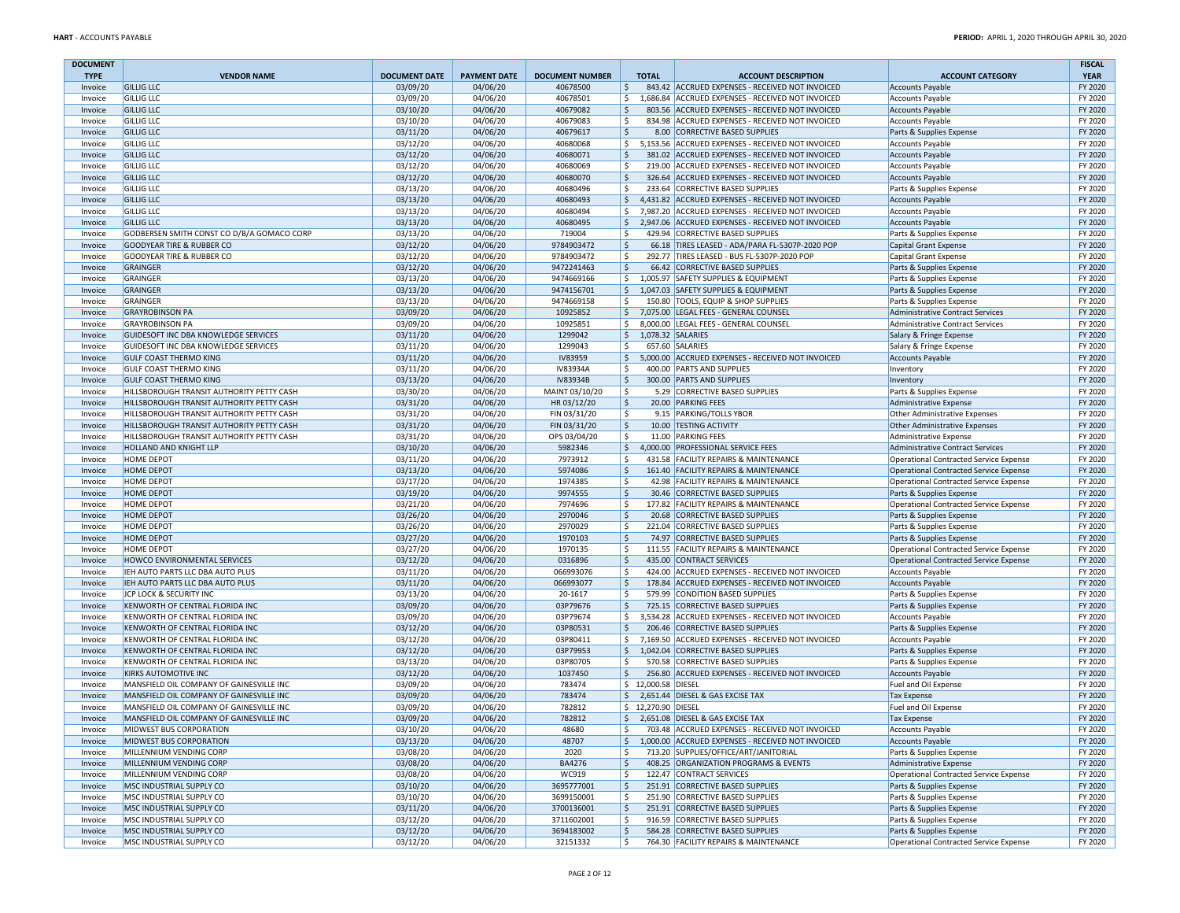| <b>DOCUMENT</b>    |                                                                                      |                      |                      |                        |                           |                                                                                                        |                                                                                  | <b>FISCAL</b>      |
|--------------------|--------------------------------------------------------------------------------------|----------------------|----------------------|------------------------|---------------------------|--------------------------------------------------------------------------------------------------------|----------------------------------------------------------------------------------|--------------------|
| <b>TYPE</b>        | <b>VENDOR NAME</b>                                                                   | <b>DOCUMENT DATE</b> | <b>PAYMENT DATE</b>  | <b>DOCUMENT NUMBER</b> | <b>TOTAL</b>              | <b>ACCOUNT DESCRIPTION</b>                                                                             | <b>ACCOUNT CATEGORY</b>                                                          | <b>YEAR</b>        |
| Invoice<br>Invoice | <b>GILLIG LLC</b><br><b>GILLIG LLC</b>                                               | 03/09/20<br>03/09/20 | 04/06/20<br>04/06/20 | 40678500<br>40678501   | \$<br>\$                  | 843.42 ACCRUED EXPENSES - RECEIVED NOT INVOICED<br>1,686.84 ACCRUED EXPENSES - RECEIVED NOT INVOICED   | <b>Accounts Payable</b><br><b>Accounts Payable</b>                               | FY 2020<br>FY 2020 |
| Invoice            | <b>GILLIG LLC</b>                                                                    | 03/10/20             | 04/06/20             | 40679082               | Ŝ.                        | 803.56 ACCRUED EXPENSES - RECEIVED NOT INVOICED                                                        | <b>Accounts Payable</b>                                                          | FY 2020            |
| Invoice            | <b>GILLIG LLC</b>                                                                    | 03/10/20             | 04/06/20             | 40679083               | Ŝ.                        | 834.98 ACCRUED EXPENSES - RECEIVED NOT INVOICED                                                        | <b>Accounts Payable</b>                                                          | FY 2020            |
| Invoice            | <b>GILLIG LLC</b>                                                                    | 03/11/20             | 04/06/20             | 40679617               | \$                        | 8.00 CORRECTIVE BASED SUPPLIES                                                                         | Parts & Supplies Expense                                                         | FY 2020            |
| Invoice            | <b>GILLIG LLC</b>                                                                    | 03/12/20             | 04/06/20             | 40680068               | \$                        | 5,153.56 ACCRUED EXPENSES - RECEIVED NOT INVOICED                                                      | <b>Accounts Payable</b>                                                          | FY 2020            |
| Invoice            | <b>GILLIG LLC</b>                                                                    | 03/12/20             | 04/06/20             | 40680071               | Ŝ.                        | 381.02 ACCRUED EXPENSES - RECEIVED NOT INVOICED                                                        | <b>Accounts Payable</b>                                                          | FY 2020            |
| Invoice            | <b>GILLIG LLC</b>                                                                    | 03/12/20             | 04/06/20             | 40680069               | Ŝ.                        | 219.00 ACCRUED EXPENSES - RECEIVED NOT INVOICED                                                        | <b>Accounts Payable</b>                                                          | FY 2020            |
| Invoice            | <b>GILLIG LLC</b>                                                                    | 03/12/20             | 04/06/20             | 40680070               | \$                        | 326.64 ACCRUED EXPENSES - RECEIVED NOT INVOICED                                                        | Accounts Payable                                                                 | FY 2020            |
| Invoice            | <b>GILLIG LLC</b>                                                                    | 03/13/20             | 04/06/20             | 40680496               | \$                        | 233.64 CORRECTIVE BASED SUPPLIES                                                                       | Parts & Supplies Expense                                                         | FY 2020            |
| Invoice            | <b>GILLIG LLC</b>                                                                    | 03/13/20             | 04/06/20             | 40680493               | \$                        | 4,431.82 ACCRUED EXPENSES - RECEIVED NOT INVOICED                                                      | <b>Accounts Payable</b>                                                          | FY 2020            |
| Invoice<br>Invoice | <b>GILLIG LLC</b><br><b>GILLIG LLC</b>                                               | 03/13/20<br>03/13/20 | 04/06/20<br>04/06/20 | 40680494<br>40680495   | \$<br>\$                  | 7,987.20 ACCRUED EXPENSES - RECEIVED NOT INVOICED<br>2,947.06 ACCRUED EXPENSES - RECEIVED NOT INVOICED | <b>Accounts Payable</b><br>Accounts Payable                                      | FY 2020<br>FY 2020 |
| Invoice            | GODBERSEN SMITH CONST CO D/B/A GOMACO CORP                                           | 03/13/20             | 04/06/20             | 719004                 | \$                        | 429.94 CORRECTIVE BASED SUPPLIES                                                                       | Parts & Supplies Expense                                                         | FY 2020            |
| Invoice            | <b>GOODYEAR TIRE &amp; RUBBER CO</b>                                                 | 03/12/20             | 04/06/20             | 9784903472             | \$                        | 66.18 TIRES LEASED - ADA/PARA FL-5307P-2020 POP                                                        | Capital Grant Expense                                                            | FY 2020            |
| Invoice            | <b>GOODYEAR TIRE &amp; RUBBER CO</b>                                                 | 03/12/20             | 04/06/20             | 9784903472             | \$                        | 292.77 TIRES LEASED - BUS FL-5307P-2020 POP                                                            | Capital Grant Expense                                                            | FY 2020            |
| Invoice            | GRAINGER                                                                             | 03/12/20             | 04/06/20             | 9472241463             | \$                        | 66.42 CORRECTIVE BASED SUPPLIES                                                                        | Parts & Supplies Expense                                                         | FY 2020            |
| Invoice            | GRAINGER                                                                             | 03/13/20             | 04/06/20             | 9474669166             | \$                        | 1,005.97 SAFETY SUPPLIES & EQUIPMENT                                                                   | Parts & Supplies Expense                                                         | FY 2020            |
| Invoice            | GRAINGER                                                                             | 03/13/20             | 04/06/20             | 9474156701             | \$                        | 1,047.03 SAFETY SUPPLIES & EQUIPMENT                                                                   | Parts & Supplies Expense                                                         | FY 2020            |
| Invoice            | GRAINGER                                                                             | 03/13/20             | 04/06/20             | 9474669158             | \$                        | 150.80 TOOLS, EQUIP & SHOP SUPPLIES                                                                    | Parts & Supplies Expense                                                         | FY 2020            |
| Invoice            | <b>GRAYROBINSON PA</b>                                                               | 03/09/20             | 04/06/20             | 10925852               | \$                        | 7,075.00 LEGAL FEES - GENERAL COUNSEL                                                                  | Administrative Contract Services                                                 | FY 2020            |
| Invoice            | <b>GRAYROBINSON PA</b>                                                               | 03/09/20             | 04/06/20             | 10925851               | \$                        | 8,000.00 LEGAL FEES - GENERAL COUNSEL                                                                  | <b>Administrative Contract Services</b>                                          | FY 2020            |
| Invoice<br>Invoice | GUIDESOFT INC DBA KNOWLEDGE SERVICES<br>GUIDESOFT INC DBA KNOWLEDGE SERVICES         | 03/11/20<br>03/11/20 | 04/06/20<br>04/06/20 | 1299042<br>1299043     | \$<br>\$                  | 1,078.32 SALARIES<br>657.60 SALARIES                                                                   | Salary & Fringe Expense<br>Salary & Fringe Expense                               | FY 2020<br>FY 2020 |
| Invoice            | <b>GULF COAST THERMO KING</b>                                                        | 03/11/20             | 04/06/20             | <b>IV83959</b>         | \$                        | 5,000.00 ACCRUED EXPENSES - RECEIVED NOT INVOICED                                                      | <b>Accounts Payable</b>                                                          | FY 2020            |
| Invoice            | <b>GULF COAST THERMO KING</b>                                                        | 03/11/20             | 04/06/20             | IV83934A               | Ŝ.                        | 400.00 PARTS AND SUPPLIES                                                                              | Inventory                                                                        | FY 2020            |
| Invoice            | <b>GULF COAST THERMO KING</b>                                                        | 03/13/20             | 04/06/20             | IV83934B               | \$                        | 300.00 PARTS AND SUPPLIES                                                                              | Inventory                                                                        | FY 2020            |
| Invoice            | HILLSBOROUGH TRANSIT AUTHORITY PETTY CASH                                            | 03/30/20             | 04/06/20             | MAINT 03/10/20         | \$                        | 5.29 CORRECTIVE BASED SUPPLIES                                                                         | Parts & Supplies Expense                                                         | FY 2020            |
| Invoice            | HILLSBOROUGH TRANSIT AUTHORITY PETTY CASH                                            | 03/31/20             | 04/06/20             | HR 03/12/20            | \$                        | 20.00 PARKING FEES                                                                                     | Administrative Expense                                                           | FY 2020            |
| Invoice            | <b>HILLSBOROUGH TRANSIT AUTHORITY PETTY CASH</b>                                     | 03/31/20             | 04/06/20             | FIN 03/31/20           | \$                        | 9.15 PARKING/TOLLS YBOR                                                                                | Other Administrative Expenses                                                    | FY 2020            |
| Invoice            | HILLSBOROUGH TRANSIT AUTHORITY PETTY CASH                                            | 03/31/20             | 04/06/20             | FIN 03/31/20           | \$                        | 10.00 TESTING ACTIVITY                                                                                 | Other Administrative Expenses                                                    | FY 2020            |
| Invoice            | HILLSBOROUGH TRANSIT AUTHORITY PETTY CASH                                            | 03/31/20             | 04/06/20             | OPS 03/04/20           | \$                        | 11.00 PARKING FEES                                                                                     | Administrative Expense                                                           | FY 2020            |
| Invoice            | <b>HOLLAND AND KNIGHT LLP</b><br><b>HOME DEPOT</b>                                   | 03/10/20             | 04/06/20             | 5982346                | \$                        | 4,000.00 PROFESSIONAL SERVICE FEES                                                                     | Administrative Contract Services                                                 | FY 2020            |
| Invoice<br>Invoice | <b>HOME DEPOT</b>                                                                    | 03/11/20<br>03/13/20 | 04/06/20<br>04/06/20 | 7973912<br>5974086     | \$<br>\$                  | 431.58 FACILITY REPAIRS & MAINTENANCE<br>161.40 FACILITY REPAIRS & MAINTENANCE                         | Operational Contracted Service Expense<br>Operational Contracted Service Expense | FY 2020<br>FY 2020 |
| Invoice            | <b>HOME DEPOT</b>                                                                    | 03/17/20             | 04/06/20             | 1974385                | \$                        | 42.98 FACILITY REPAIRS & MAINTENANCE                                                                   | Operational Contracted Service Expense                                           | FY 2020            |
| Invoice            | <b>HOME DEPOT</b>                                                                    | 03/19/20             | 04/06/20             | 9974555                | \$                        | 30.46 CORRECTIVE BASED SUPPLIES                                                                        | Parts & Supplies Expense                                                         | FY 2020            |
| Invoice            | <b>HOME DEPOT</b>                                                                    | 03/21/20             | 04/06/20             | 7974696                | \$                        | 177.82 FACILITY REPAIRS & MAINTENANCE                                                                  | Operational Contracted Service Expense                                           | FY 2020            |
| Invoice            | <b>HOME DEPOT</b>                                                                    | 03/26/20             | 04/06/20             | 2970046                | \$                        | 20.68 CORRECTIVE BASED SUPPLIES                                                                        | Parts & Supplies Expense                                                         | FY 2020            |
| Invoice            | <b>HOME DEPOT</b>                                                                    | 03/26/20             | 04/06/20             | 2970029                | \$                        | 221.04 CORRECTIVE BASED SUPPLIES                                                                       | Parts & Supplies Expense                                                         | FY 2020            |
| Invoice            | <b>HOME DEPOT</b>                                                                    | 03/27/20             | 04/06/20             | 1970103                | \$                        | 74.97 CORRECTIVE BASED SUPPLIES                                                                        | Parts & Supplies Expense                                                         | FY 2020            |
| Invoice            | <b>HOME DEPOT</b>                                                                    | 03/27/20             | 04/06/20             | 1970135                | \$                        | 111.55 FACILITY REPAIRS & MAINTENANCE                                                                  | Operational Contracted Service Expense                                           | FY 2020            |
| Invoice            | HOWCO ENVIRONMENTAL SERVICES                                                         | 03/12/20             | 04/06/20             | 0316896                | \$                        | 435.00 CONTRACT SERVICES                                                                               | Operational Contracted Service Expense                                           | FY 2020            |
| Invoice            | IEH AUTO PARTS LLC DBA AUTO PLUS<br>IEH AUTO PARTS LLC DBA AUTO PLUS                 | 03/11/20<br>03/11/20 | 04/06/20<br>04/06/20 | 066993076<br>066993077 | \$<br>\$                  | 424.00 ACCRUED EXPENSES - RECEIVED NOT INVOICED<br>178.84 ACCRUED EXPENSES - RECEIVED NOT INVOICED     | Accounts Payable                                                                 | FY 2020<br>FY 2020 |
| Invoice<br>Invoice | JCP LOCK & SECURITY INC                                                              | 03/13/20             | 04/06/20             | 20-1617                | \$                        | 579.99 CONDITION BASED SUPPLIES                                                                        | <b>Accounts Payable</b><br>Parts & Supplies Expense                              | FY 2020            |
| Invoice            | <b>KENWORTH OF CENTRAL FLORIDA INC</b>                                               | 03/09/20             | 04/06/20             | 03P79676               | Ŝ.                        | 725.15 CORRECTIVE BASED SUPPLIES                                                                       | Parts & Supplies Expense                                                         | FY 2020            |
| Invoice            | KENWORTH OF CENTRAL FLORIDA INC                                                      | 03/09/20             | 04/06/20             | 03P79674               | \$                        | 3,534.28 ACCRUED EXPENSES - RECEIVED NOT INVOICED                                                      | <b>Accounts Payable</b>                                                          | FY 2020            |
| Invoice            | KENWORTH OF CENTRAL FLORIDA INC                                                      | 03/12/20             | 04/06/20             | 03P80531               | \$                        | 206.46 CORRECTIVE BASED SUPPLIES                                                                       | Parts & Supplies Expense                                                         | FY 2020            |
| Invoice            | KENWORTH OF CENTRAL FLORIDA INC                                                      | 03/12/20             | 04/06/20             | 03P80411               | \$                        | 7,169.50 ACCRUED EXPENSES - RECEIVED NOT INVOICED                                                      | <b>Accounts Payable</b>                                                          | FY 2020            |
| Invoice            | KENWORTH OF CENTRAL FLORIDA INC                                                      | 03/12/20             | 04/06/20             | 03P79953               | \$                        | 1,042.04 CORRECTIVE BASED SUPPLIES                                                                     | Parts & Supplies Expense                                                         | FY 2020            |
| Invoice            | KENWORTH OF CENTRAL FLORIDA INC                                                      | 03/13/20             | 04/06/20             | 03P80705               | \$                        | 570.58 CORRECTIVE BASED SUPPLIES                                                                       | Parts & Supplies Expense                                                         | FY 2020            |
| Invoice            | <b>KIRKS AUTOMOTIVE INC</b>                                                          | 03/12/20             | 04/06/20             | 1037450                | \$                        | 256.80 ACCRUED EXPENSES - RECEIVED NOT INVOICED                                                        | <b>Accounts Payable</b>                                                          | FY 2020            |
| Invoice            | MANSFIELD OIL COMPANY OF GAINESVILLE INC                                             | 03/09/20             | 04/06/20             | 783474                 | \$ 12,000.58 DIESEL       |                                                                                                        | Fuel and Oil Expense                                                             | FY 2020            |
| Invoice            | MANSFIELD OIL COMPANY OF GAINESVILLE INC                                             | 03/09/20             | 04/06/20             | 783474                 | \$                        | 2,651.44 DIESEL & GAS EXCISE TAX                                                                       | <b>Tax Expense</b>                                                               | FY 2020<br>FY 2020 |
| Invoice<br>Invoice | MANSFIELD OIL COMPANY OF GAINESVILLE INC<br>MANSFIELD OIL COMPANY OF GAINESVILLE INC | 03/09/20<br>03/09/20 | 04/06/20<br>04/06/20 | 782812<br>782812       | \$ 12,270.90 DIESEL<br>\$ | 2,651.08 DIESEL & GAS EXCISE TAX                                                                       | Fuel and Oil Expense<br><b>Tax Expense</b>                                       | FY 2020            |
| Invoice            | MIDWEST BUS CORPORATION                                                              | 03/10/20             | 04/06/20             | 48680                  | \$                        | 703.48 ACCRUED EXPENSES - RECEIVED NOT INVOICED                                                        | <b>Accounts Payable</b>                                                          | FY 2020            |
| Invoice            | <b>MIDWEST BUS CORPORATION</b>                                                       | 03/13/20             | 04/06/20             | 48707                  | \$                        | 1,000.00 ACCRUED EXPENSES - RECEIVED NOT INVOICED                                                      | <b>Accounts Payable</b>                                                          | FY 2020            |
| Invoice            | MILLENNIUM VENDING CORP                                                              | 03/08/20             | 04/06/20             | 2020                   | \$                        | 713.20 SUPPLIES/OFFICE/ART/JANITORIAL                                                                  | Parts & Supplies Expense                                                         | FY 2020            |
| Invoice            | MILLENNIUM VENDING CORP                                                              | 03/08/20             | 04/06/20             | BA4276                 | \$                        | 408.25 ORGANIZATION PROGRAMS & EVENTS                                                                  | Administrative Expense                                                           | FY 2020            |
| Invoice            | MILLENNIUM VENDING CORP                                                              | 03/08/20             | 04/06/20             | WC919                  | \$                        | 122.47 CONTRACT SERVICES                                                                               | Operational Contracted Service Expense                                           | FY 2020            |
| Invoice            | MSC INDUSTRIAL SUPPLY CO                                                             | 03/10/20             | 04/06/20             | 3695777001             | \$                        | 251.91 CORRECTIVE BASED SUPPLIES                                                                       | Parts & Supplies Expense                                                         | FY 2020            |
| Invoice            | MSC INDUSTRIAL SUPPLY CO                                                             | 03/10/20             | 04/06/20             | 3699150001             | \$                        | 251.90 CORRECTIVE BASED SUPPLIES                                                                       | Parts & Supplies Expense                                                         | FY 2020            |
| Invoice            | MSC INDUSTRIAL SUPPLY CO                                                             | 03/11/20             | 04/06/20             | 3700136001             | \$                        | 251.91 CORRECTIVE BASED SUPPLIES                                                                       | Parts & Supplies Expense                                                         | FY 2020            |
| Invoice            | MSC INDUSTRIAL SUPPLY CO                                                             | 03/12/20             | 04/06/20             | 3711602001             | \$                        | 916.59 CORRECTIVE BASED SUPPLIES                                                                       | Parts & Supplies Expense                                                         | FY 2020            |
| Invoice<br>Invoice | MSC INDUSTRIAL SUPPLY CO<br>MSC INDUSTRIAL SUPPLY CO                                 | 03/12/20<br>03/12/20 | 04/06/20<br>04/06/20 | 3694183002<br>32151332 | \$<br>\$                  | 584.28 CORRECTIVE BASED SUPPLIES<br>764.30 FACILITY REPAIRS & MAINTENANCE                              | Parts & Supplies Expense<br>Operational Contracted Service Expense               | FY 2020<br>FY 2020 |
|                    |                                                                                      |                      |                      |                        |                           |                                                                                                        |                                                                                  |                    |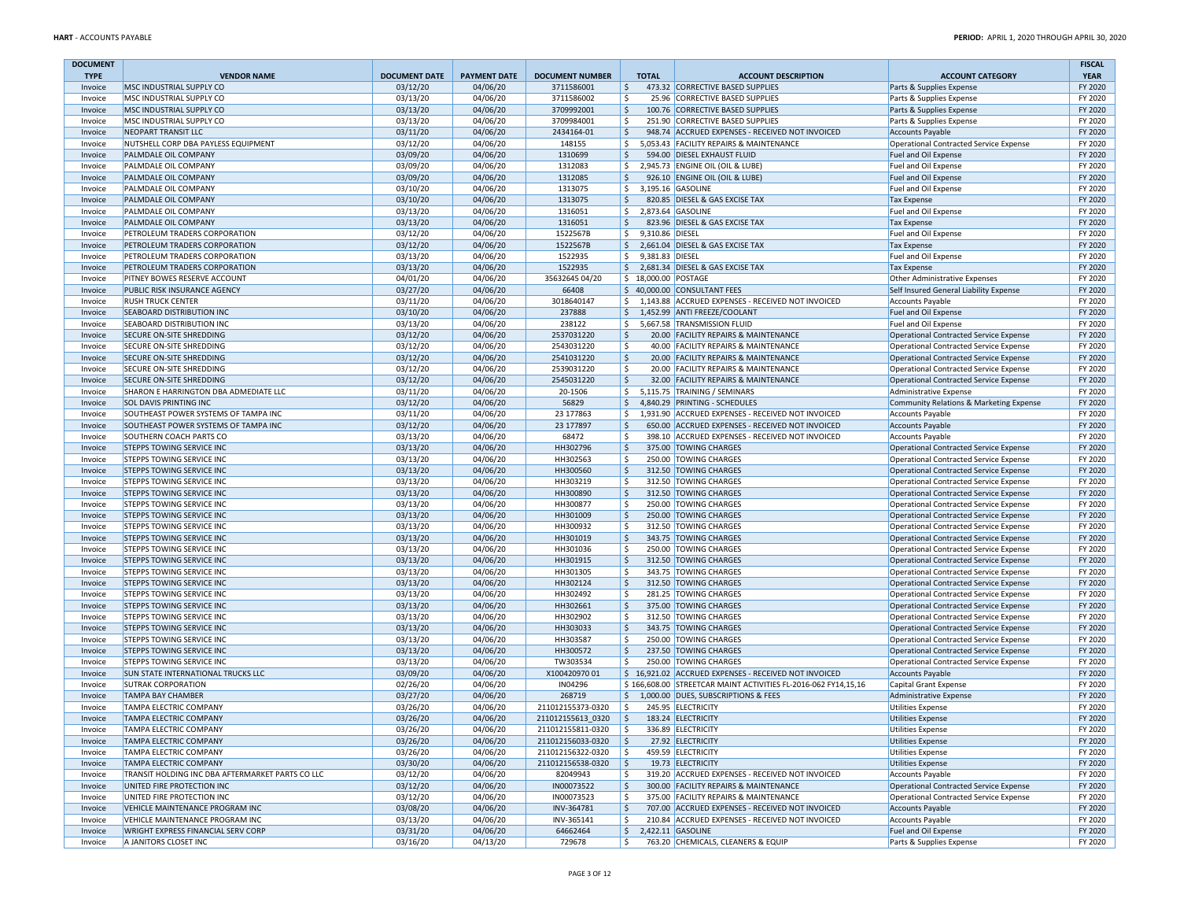| <b>DOCUMENT</b>    |                                                                      |                      |                      |                          |                                 |                                                                     |                                                                                  | <b>FISCAL</b>      |
|--------------------|----------------------------------------------------------------------|----------------------|----------------------|--------------------------|---------------------------------|---------------------------------------------------------------------|----------------------------------------------------------------------------------|--------------------|
| <b>TYPE</b>        | <b>VENDOR NAME</b>                                                   | <b>DOCUMENT DATE</b> | <b>PAYMENT DATE</b>  | <b>DOCUMENT NUMBER</b>   | <b>TOTAL</b>                    | <b>ACCOUNT DESCRIPTION</b>                                          | <b>ACCOUNT CATEGORY</b>                                                          | <b>YEAR</b>        |
| Invoice            | MSC INDUSTRIAL SUPPLY CO<br>MSC INDUSTRIAL SUPPLY CO                 | 03/12/20             | 04/06/20             | 3711586001               | \$<br>\$                        | 473.32 CORRECTIVE BASED SUPPLIES<br>25.96 CORRECTIVE BASED SUPPLIES | Parts & Supplies Expense                                                         | FY 2020<br>FY 2020 |
| Invoice<br>Invoice | MSC INDUSTRIAL SUPPLY CO                                             | 03/13/20<br>03/13/20 | 04/06/20<br>04/06/20 | 3711586002<br>3709992001 | \$                              | 100.76 CORRECTIVE BASED SUPPLIES                                    | Parts & Supplies Expense<br>Parts & Supplies Expense                             | FY 2020            |
| Invoice            | MSC INDUSTRIAL SUPPLY CO                                             | 03/13/20             | 04/06/20             | 3709984001               | Ŝ.                              | 251.90 CORRECTIVE BASED SUPPLIES                                    | Parts & Supplies Expense                                                         | FY 2020            |
| Invoice            | <b>NEOPART TRANSIT LLC</b>                                           | 03/11/20             | 04/06/20             | 2434164-01               | \$                              | 948.74 ACCRUED EXPENSES - RECEIVED NOT INVOICED                     | <b>Accounts Payable</b>                                                          | FY 2020            |
| Invoice            | NUTSHELL CORP DBA PAYLESS EQUIPMENT                                  | 03/12/20             | 04/06/20             | 148155                   | \$                              | 5,053.43 FACILITY REPAIRS & MAINTENANCE                             | Operational Contracted Service Expense                                           | FY 2020            |
| Invoice            | PALMDALE OIL COMPANY                                                 | 03/09/20             | 04/06/20             | 1310699                  | Ŝ.                              | 594.00 DIESEL EXHAUST FLUID                                         | Fuel and Oil Expense                                                             | FY 2020            |
| Invoice            | PALMDALE OIL COMPANY                                                 | 03/09/20             | 04/06/20             | 1312083                  | \$                              | 2,945.73 ENGINE OIL (OIL & LUBE)                                    | Fuel and Oil Expense                                                             | FY 2020            |
| Invoice            | PALMDALE OIL COMPANY                                                 | 03/09/20             | 04/06/20             | 1312085                  | \$                              | 926.10 ENGINE OIL (OIL & LUBE)                                      | Fuel and Oil Expense                                                             | FY 2020            |
| Invoice            | PALMDALE OIL COMPANY                                                 | 03/10/20             | 04/06/20             | 1313075                  | \$                              | 3,195.16 GASOLINE                                                   | Fuel and Oil Expense                                                             | FY 2020            |
| Invoice            | PALMDALE OIL COMPANY                                                 | 03/10/20             | 04/06/20             | 1313075                  | \$                              | 820.85 DIESEL & GAS EXCISE TAX                                      | Tax Expense                                                                      | FY 2020            |
| Invoice            | PALMDALE OIL COMPANY                                                 | 03/13/20             | 04/06/20             | 1316051                  | $\frac{1}{2}$                   | 2,873.64 GASOLINE                                                   | Fuel and Oil Expense                                                             | FY 2020            |
| Invoice            | PALMDALE OIL COMPANY                                                 | 03/13/20             | 04/06/20             | 1316051                  | \$                              | 823.96 DIESEL & GAS EXCISE TAX                                      | Tax Expense                                                                      | FY 2020            |
| Invoice            | PETROLEUM TRADERS CORPORATION                                        | 03/12/20             | 04/06/20             | 1522567B                 | \$<br>9,310.86 DIESEL           |                                                                     | Fuel and Oil Expense                                                             | FY 2020            |
| Invoice            | PETROLEUM TRADERS CORPORATION                                        | 03/12/20             | 04/06/20             | 1522567B                 | \$                              | 2,661.04 DIESEL & GAS EXCISE TAX                                    | Tax Expense                                                                      | FY 2020            |
| Invoice            | PETROLEUM TRADERS CORPORATION                                        | 03/13/20             | 04/06/20             | 1522935                  | \$<br>9,381.83 DIESEL           |                                                                     | Fuel and Oil Expense                                                             | FY 2020            |
| Invoice            | PETROLEUM TRADERS CORPORATION                                        | 03/13/20             | 04/06/20             | 1522935                  | $\frac{1}{2}$                   | 2,681.34 DIESEL & GAS EXCISE TAX                                    | Tax Expense                                                                      | FY 2020            |
| Invoice            | PITNEY BOWES RESERVE ACCOUNT                                         | 04/01/20             | 04/06/20             | 35632645 04/20           | \$ 18,000.00 POSTAGE            |                                                                     | Other Administrative Expenses                                                    | FY 2020            |
| Invoice            | PUBLIC RISK INSURANCE AGENCY                                         | 03/27/20             | 04/06/20             | 66408                    |                                 | \$ 40,000.00 CONSULTANT FEES                                        | Self Insured General Liability Expense                                           | FY 2020            |
| Invoice            | <b>RUSH TRUCK CENTER</b>                                             | 03/11/20             | 04/06/20             | 3018640147               | \$                              | 1,143.88 ACCRUED EXPENSES - RECEIVED NOT INVOICED                   | Accounts Payable                                                                 | FY 2020            |
| Invoice            | SEABOARD DISTRIBUTION INC                                            | 03/10/20             | 04/06/20             | 237888                   | \$                              | 1,452.99 ANTI FREEZE/COOLANT                                        | Fuel and Oil Expense                                                             | FY 2020            |
| Invoice            | SEABOARD DISTRIBUTION INC                                            | 03/13/20             | 04/06/20             | 238122                   | \$                              | 5,667.58 TRANSMISSION FLUID                                         | Fuel and Oil Expense                                                             | FY 2020            |
| Invoice            | <b>SECURE ON-SITE SHREDDING</b>                                      | 03/12/20             | 04/06/20             | 2537031220               | \$                              | 20.00 FACILITY REPAIRS & MAINTENANCE                                | Operational Contracted Service Expense                                           | FY 2020            |
| Invoice            | SECURE ON-SITE SHREDDING                                             | 03/12/20             | 04/06/20             | 2543031220               | \$                              | 40.00 FACILITY REPAIRS & MAINTENANCE                                | Operational Contracted Service Expense                                           | FY 2020            |
| Invoice            | <b>SECURE ON-SITE SHREDDING</b>                                      | 03/12/20             | 04/06/20             | 2541031220               | \$                              | 20.00 FACILITY REPAIRS & MAINTENANCE                                | Operational Contracted Service Expense                                           | FY 2020            |
| Invoice            | SECURE ON-SITE SHREDDING                                             | 03/12/20             | 04/06/20             | 2539031220               | Ŝ.                              | 20.00 FACILITY REPAIRS & MAINTENANCE                                | Operational Contracted Service Expense                                           | FY 2020            |
| Invoice            | <b>SECURE ON-SITE SHREDDING</b>                                      | 03/12/20             | 04/06/20             | 2545031220               | \$                              | 32.00 FACILITY REPAIRS & MAINTENANCE                                | Operational Contracted Service Expense                                           | FY 2020            |
| Invoice            | SHARON E HARRINGTON DBA ADMEDIATE LLC                                | 03/11/20             | 04/06/20             | 20-1506                  | \$                              | 5,115.75 TRAINING / SEMINARS                                        | Administrative Expense                                                           | FY 2020            |
| Invoice            | <b>SOL DAVIS PRINTING INC</b>                                        | 03/12/20             | 04/06/20             | 56829                    | \$                              | 4.840.29 PRINTING - SCHEDULES                                       | Community Relations & Marketing Expense                                          | FY 2020            |
| Invoice            | SOUTHEAST POWER SYSTEMS OF TAMPA INC                                 | 03/11/20             | 04/06/20             | 23 177863                | \$                              | 1,931.90 ACCRUED EXPENSES - RECEIVED NOT INVOICED                   | <b>Accounts Payable</b>                                                          | FY 2020            |
| Invoice            | SOUTHEAST POWER SYSTEMS OF TAMPA INC                                 | 03/12/20             | 04/06/20             | 23 177897                | \$                              | 650.00 ACCRUED EXPENSES - RECEIVED NOT INVOICED                     | <b>Accounts Payable</b>                                                          | FY 2020            |
| Invoice            | SOUTHERN COACH PARTS CO                                              | 03/13/20             | 04/06/20             | 68472                    | \$                              | 398.10 ACCRUED EXPENSES - RECEIVED NOT INVOICED                     | Accounts Payable                                                                 | FY 2020            |
| Invoice            | <b>STEPPS TOWING SERVICE INC</b><br><b>STEPPS TOWING SERVICE INC</b> | 03/13/20             | 04/06/20             | HH302796                 | \$                              | 375.00 TOWING CHARGES                                               | Operational Contracted Service Expense                                           | FY 2020            |
| Invoice<br>Invoice | <b>STEPPS TOWING SERVICE INC</b>                                     | 03/13/20             | 04/06/20             | HH302563                 | Ŝ.                              | 250.00 TOWING CHARGES                                               | Operational Contracted Service Expense                                           | FY 2020            |
| Invoice            | STEPPS TOWING SERVICE INC                                            | 03/13/20<br>03/13/20 | 04/06/20<br>04/06/20 | HH300560<br>HH303219     | \$<br>\$                        | 312.50 TOWING CHARGES<br>312.50 TOWING CHARGES                      | Operational Contracted Service Expense<br>Operational Contracted Service Expense | FY 2020<br>FY 2020 |
| Invoice            | <b>STEPPS TOWING SERVICE INC</b>                                     | 03/13/20             | 04/06/20             | HH300890                 | \$                              | 312.50 TOWING CHARGES                                               | Operational Contracted Service Expense                                           | FY 2020            |
| Invoice            | STEPPS TOWING SERVICE INC                                            | 03/13/20             | 04/06/20             | HH300877                 | Ŝ.                              | 250.00 TOWING CHARGES                                               | Operational Contracted Service Expense                                           | FY 2020            |
| Invoice            | <b>STEPPS TOWING SERVICE INC</b>                                     | 03/13/20             | 04/06/20             | HH301009                 | \$                              | 250.00 TOWING CHARGES                                               | Operational Contracted Service Expense                                           | FY 2020            |
| Invoice            | <b>STEPPS TOWING SERVICE INC</b>                                     | 03/13/20             | 04/06/20             | HH300932                 | \$                              | 312.50 TOWING CHARGES                                               | Operational Contracted Service Expense                                           | FY 2020            |
| Invoice            | STEPPS TOWING SERVICE INC                                            | 03/13/20             | 04/06/20             | HH301019                 | Ŝ.                              | 343.75 TOWING CHARGES                                               | Operational Contracted Service Expense                                           | FY 2020            |
| Invoice            | STEPPS TOWING SERVICE INC                                            | 03/13/20             | 04/06/20             | HH301036                 | \$                              | 250.00 TOWING CHARGES                                               | Operational Contracted Service Expense                                           | FY 2020            |
| Invoice            | STEPPS TOWING SERVICE INC                                            | 03/13/20             | 04/06/20             | HH301915                 | \$                              | 312.50 TOWING CHARGES                                               | Operational Contracted Service Expense                                           | FY 2020            |
| Invoice            | STEPPS TOWING SERVICE INC                                            | 03/13/20             | 04/06/20             | HH301305                 | \$                              | 343.75 TOWING CHARGES                                               | Operational Contracted Service Expense                                           | FY 2020            |
| Invoice            | STEPPS TOWING SERVICE INC                                            | 03/13/20             | 04/06/20             | HH302124                 | Ŝ.                              | 312.50 TOWING CHARGES                                               | Operational Contracted Service Expense                                           | FY 2020            |
| Invoice            | STEPPS TOWING SERVICE INC                                            | 03/13/20             | 04/06/20             | HH302492                 | \$                              | 281.25 TOWING CHARGES                                               | Operational Contracted Service Expense                                           | FY 2020            |
| Invoice            | STEPPS TOWING SERVICE INC                                            | 03/13/20             | 04/06/20             | HH302661                 | Ŝ.                              | 375.00 TOWING CHARGES                                               | Operational Contracted Service Expense                                           | FY 2020            |
| Invoice            | STEPPS TOWING SERVICE INC                                            | 03/13/20             | 04/06/20             | HH302902                 | \$                              | 312.50 TOWING CHARGES                                               | Operational Contracted Service Expense                                           | FY 2020            |
| Invoice            | <b>STEPPS TOWING SERVICE INC</b>                                     | 03/13/20             | 04/06/20             | HH303033                 | Ŝ.                              | 343.75 TOWING CHARGES                                               | Operational Contracted Service Expense                                           | FY 2020            |
| Invoice            | STEPPS TOWING SERVICE INC                                            | 03/13/20             | 04/06/20             | HH303587                 | \$                              | 250.00 TOWING CHARGES                                               | Operational Contracted Service Expense                                           | FY 2020            |
| Invoice            | STEPPS TOWING SERVICE INC                                            | 03/13/20             | 04/06/20             | HH300572                 | \$                              | 237.50 TOWING CHARGES                                               | Operational Contracted Service Expense                                           | FY 2020            |
| Invoice            | STEPPS TOWING SERVICE INC                                            | 03/13/20             | 04/06/20             | TW303534                 | \$                              | 250.00 TOWING CHARGES                                               | Operational Contracted Service Expense                                           | FY 2020            |
| Invoice            | <b>SUN STATE INTERNATIONAL TRUCKS LLC</b>                            | 03/09/20             | 04/06/20             | X10042097001             |                                 | \$16.921.02 ACCRUED EXPENSES - RECEIVED NOT INVOICED                | <b>Accounts Payable</b>                                                          | FY 2020            |
| Invoice            | <b>SUTRAK CORPORATION</b>                                            | 02/26/20             | 04/06/20             | IN04296                  |                                 | \$166,608.00 STREETCAR MAINT ACTIVITIES FL-2016-062 FY14,15,16      | Capital Grant Expense                                                            | FY 2020            |
| Invoice            | <b>TAMPA BAY CHAMBER</b>                                             | 03/27/20             | 04/06/20             | 268719                   | \$                              | 1,000.00 DUES, SUBSCRIPTIONS & FEES                                 | Administrative Expense                                                           | FY 2020            |
| Invoice            | <b>TAMPA ELECTRIC COMPANY</b>                                        | 03/26/20             | 04/06/20             | 211012155373-0320        | Ŝ.                              | 245.95 ELECTRICITY                                                  | <b>Utilities Expense</b>                                                         | FY 2020            |
| Invoice            | <b>TAMPA ELECTRIC COMPANY</b>                                        | 03/26/20             | 04/06/20             | 211012155613 0320        | \$                              | 183.24 ELECTRICITY                                                  | Utilities Expense                                                                | FY 2020            |
| Invoice            | <b>TAMPA ELECTRIC COMPANY</b>                                        | 03/26/20             | 04/06/20             | 211012155811-0320        | 1\$                             | 336.89 ELECTRICITY                                                  | Utilities Expense                                                                | FY 2020            |
| Invoice            | <b>TAMPA ELECTRIC COMPANY</b>                                        | 03/26/20             | 04/06/20             | 211012156033-0320        | ∣\$                             | 27.92 ELECTRICITY                                                   | Utilities Expense                                                                | FY 2020            |
| Invoice            | <b>TAMPA ELECTRIC COMPANY</b>                                        | 03/26/20             | 04/06/20             | 211012156322-0320        | ۱\$.                            | 459.59 ELECTRICITY                                                  | Utilities Expense                                                                | FY 2020            |
| Invoice            | <b>TAMPA ELECTRIC COMPANY</b>                                        | 03/30/20             | 04/06/20             | 211012156538-0320        | ۱\$.                            | 19.73 ELECTRICITY                                                   | Utilities Expense                                                                | FY 2020            |
| Invoice            | TRANSIT HOLDING INC DBA AFTERMARKET PARTS CO LLC                     | 03/12/20             | 04/06/20             | 82049943                 | \$                              | 319.20 ACCRUED EXPENSES - RECEIVED NOT INVOICED                     | Accounts Payable                                                                 | FY 2020            |
| Invoice            | UNITED FIRE PROTECTION INC                                           | 03/12/20             | 04/06/20             | IN00073522               | \$                              | 300.00 FACILITY REPAIRS & MAINTENANCE                               | Operational Contracted Service Expense                                           | FY 2020            |
| Invoice            | UNITED FIRE PROTECTION INC                                           | 03/12/20             | 04/06/20             | IN00073523               | \$                              | 375.00 FACILITY REPAIRS & MAINTENANCE                               | Operational Contracted Service Expense                                           | FY 2020            |
| Invoice            | VEHICLE MAINTENANCE PROGRAM INC                                      | 03/08/20             | 04/06/20             | INV-364781               | \$                              | 707.00 ACCRUED EXPENSES - RECEIVED NOT INVOICED                     | Accounts Payable                                                                 | FY 2020            |
| Invoice            | VEHICLE MAINTENANCE PROGRAM INC                                      | 03/13/20             | 04/06/20             | INV-365141               | \$                              | 210.84 ACCRUED EXPENSES - RECEIVED NOT INVOICED                     | <b>Accounts Payable</b>                                                          | FY 2020            |
| Invoice            | WRIGHT EXPRESS FINANCIAL SERV CORP                                   | 03/31/20             | 04/06/20             | 64662464                 | $\frac{1}{2}$ 2,422.11 GASOLINE |                                                                     | Fuel and Oil Expense                                                             | FY 2020            |
| Invoice            | A JANITORS CLOSET INC                                                | 03/16/20             | 04/13/20             | 729678                   | \$                              | 763.20 CHEMICALS, CLEANERS & EQUIP                                  | Parts & Supplies Expense                                                         | FY 2020            |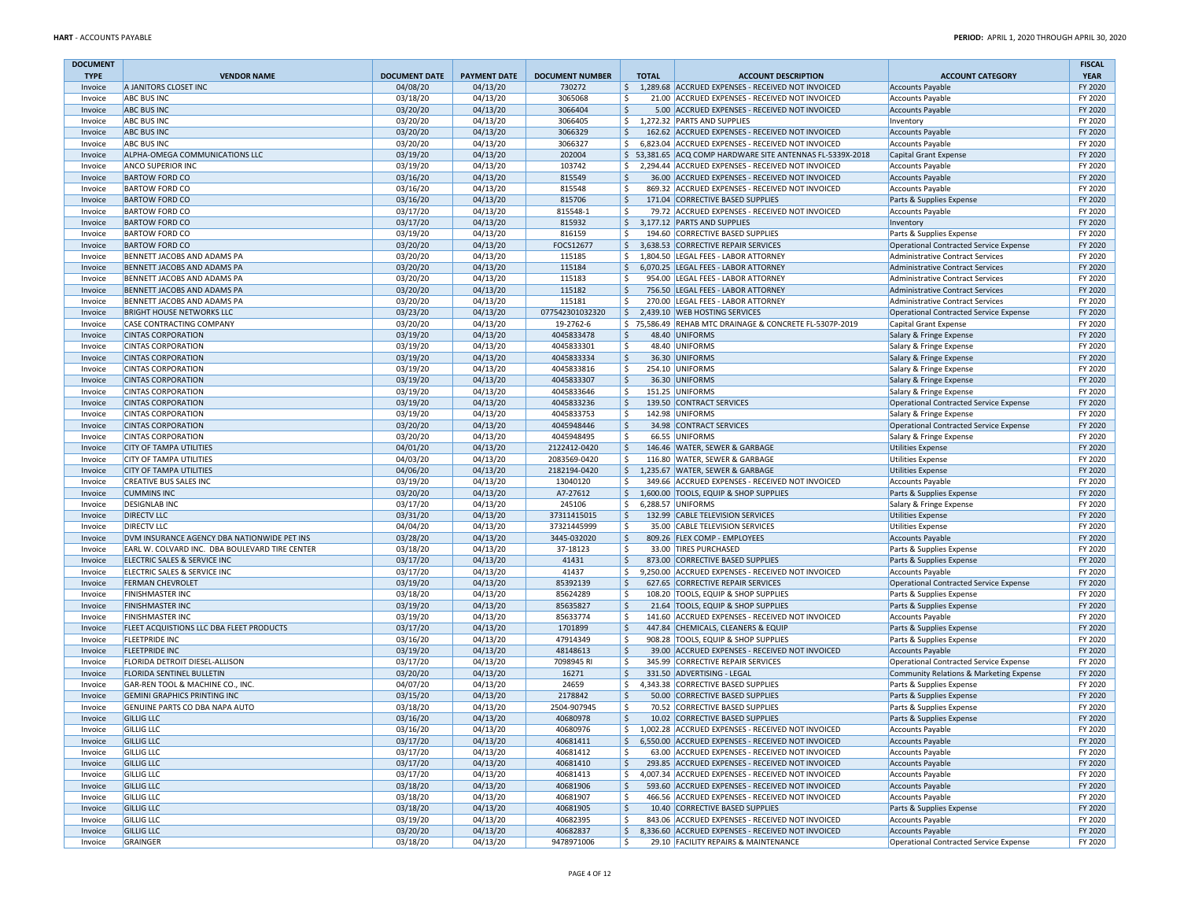| <b>DOCUMENT</b>    |                                                                      |                      |                      |                            |              |                                                                                                 |                                                      | <b>FISCAL</b>      |
|--------------------|----------------------------------------------------------------------|----------------------|----------------------|----------------------------|--------------|-------------------------------------------------------------------------------------------------|------------------------------------------------------|--------------------|
| <b>TYPE</b>        | <b>VENDOR NAME</b>                                                   | <b>DOCUMENT DATE</b> | <b>PAYMENT DATE</b>  | <b>DOCUMENT NUMBER</b>     | <b>TOTAL</b> | <b>ACCOUNT DESCRIPTION</b>                                                                      | <b>ACCOUNT CATEGORY</b>                              | <b>YEAR</b>        |
| Invoice            | A JANITORS CLOSET INC                                                | 04/08/20             | 04/13/20             | 730272                     | \$           | 1,289.68 ACCRUED EXPENSES - RECEIVED NOT INVOICED                                               | <b>Accounts Payable</b>                              | FY 2020            |
| Invoice<br>Invoice | <b>ABC BUS INC</b><br><b>ABC BUS INC</b>                             | 03/18/20<br>03/20/20 | 04/13/20<br>04/13/20 | 3065068<br>3066404         | \$<br>\$     | 21.00 ACCRUED EXPENSES - RECEIVED NOT INVOICED<br>5.00 ACCRUED EXPENSES - RECEIVED NOT INVOICED | <b>Accounts Payable</b><br><b>Accounts Payable</b>   | FY 2020<br>FY 2020 |
| Invoice            | <b>ABC BUS INC</b>                                                   | 03/20/20             | 04/13/20             | 3066405                    | \$           | 1,272.32 PARTS AND SUPPLIES                                                                     | Inventory                                            | FY 2020            |
| Invoice            | <b>ABC BUS INC</b>                                                   | 03/20/20             | 04/13/20             | 3066329                    | \$           | 162.62 ACCRUED EXPENSES - RECEIVED NOT INVOICED                                                 | <b>Accounts Payable</b>                              | FY 2020            |
| Invoice            | <b>ABC BUS INC</b>                                                   | 03/20/20             | 04/13/20             | 3066327                    | \$           | 6,823.04 ACCRUED EXPENSES - RECEIVED NOT INVOICED                                               | <b>Accounts Payable</b>                              | FY 2020            |
| Invoice            | ALPHA-OMEGA COMMUNICATIONS LLC                                       | 03/19/20             | 04/13/20             | 202004                     |              | \$53,381.65 ACQ COMP HARDWARE SITE ANTENNAS FL-5339X-2018                                       | Capital Grant Expense                                | FY 2020            |
| Invoice            | <b>ANCO SUPERIOR INC</b>                                             | 03/19/20             | 04/13/20             | 103742                     | \$           | 2,294.44 ACCRUED EXPENSES - RECEIVED NOT INVOICED                                               | <b>Accounts Payable</b>                              | FY 2020            |
| Invoice            | <b>BARTOW FORD CO</b>                                                | 03/16/20             | 04/13/20             | 815549                     | \$           | 36.00 ACCRUED EXPENSES - RECEIVED NOT INVOICED                                                  | <b>Accounts Payable</b>                              | FY 2020            |
| Invoice            | <b>BARTOW FORD CO</b>                                                | 03/16/20             | 04/13/20             | 815548                     | Ŝ.           | 869.32 ACCRUED EXPENSES - RECEIVED NOT INVOICED                                                 | <b>Accounts Payable</b>                              | FY 2020            |
| Invoice            | <b>BARTOW FORD CO</b><br><b>BARTOW FORD CO</b>                       | 03/16/20<br>03/17/20 | 04/13/20<br>04/13/20 | 815706<br>815548-1         | \$<br>\$     | 171.04 CORRECTIVE BASED SUPPLIES<br>79.72 ACCRUED EXPENSES - RECEIVED NOT INVOICED              | Parts & Supplies Expense                             | FY 2020<br>FY 2020 |
| Invoice<br>Invoice | <b>BARTOW FORD CO</b>                                                | 03/17/20             | 04/13/20             | 815932                     |              | \$ 3,177.12 PARTS AND SUPPLIES                                                                  | <b>Accounts Payable</b><br>Inventory                 | FY 2020            |
| Invoice            | <b>BARTOW FORD CO</b>                                                | 03/19/20             | 04/13/20             | 816159                     | Ŝ.           | 194.60 CORRECTIVE BASED SUPPLIES                                                                | Parts & Supplies Expense                             | FY 2020            |
| Invoice            | <b>BARTOW FORD CO</b>                                                | 03/20/20             | 04/13/20             | FOCS12677                  | \$           | 3,638.53 CORRECTIVE REPAIR SERVICES                                                             | Operational Contracted Service Expense               | FY 2020            |
| Invoice            | BENNETT JACOBS AND ADAMS PA                                          | 03/20/20             | 04/13/20             | 115185                     | \$           | 1,804.50 LEGAL FEES - LABOR ATTORNEY                                                            | Administrative Contract Services                     | FY 2020            |
| Invoice            | BENNETT JACOBS AND ADAMS PA                                          | 03/20/20             | 04/13/20             | 115184                     | \$           | 6,070.25 LEGAL FEES - LABOR ATTORNEY                                                            | Administrative Contract Services                     | FY 2020            |
| Invoice            | BENNETT JACOBS AND ADAMS PA                                          | 03/20/20             | 04/13/20             | 115183                     | Ŝ.           | 954.00 LEGAL FEES - LABOR ATTORNEY                                                              | <b>Administrative Contract Services</b>              | FY 2020            |
| Invoice            | BENNETT JACOBS AND ADAMS PA                                          | 03/20/20             | 04/13/20             | 115182                     | \$           | 756.50 LEGAL FEES - LABOR ATTORNEY                                                              | Administrative Contract Services                     | FY 2020            |
| Invoice            | BENNETT JACOBS AND ADAMS PA                                          | 03/20/20             | 04/13/20             | 115181                     | \$           | 270.00 LEGAL FEES - LABOR ATTORNEY                                                              | Administrative Contract Services                     | FY 2020            |
| Invoice            | <b>BRIGHT HOUSE NETWORKS LLC</b>                                     | 03/23/20             | 04/13/20             | 077542301032320            | \$           | 2,439.10 WEB HOSTING SERVICES                                                                   | Operational Contracted Service Expense               | FY 2020            |
| Invoice<br>Invoice | <b>CASE CONTRACTING COMPANY</b><br><b>CINTAS CORPORATION</b>         | 03/20/20<br>03/19/20 | 04/13/20<br>04/13/20 | 19-2762-6<br>4045833478    | \$           | \$75,586.49 REHAB MTC DRAINAGE & CONCRETE FL-5307P-2019<br>48.40 UNIFORMS                       | Capital Grant Expense<br>Salary & Fringe Expense     | FY 2020<br>FY 2020 |
| Invoice            | <b>CINTAS CORPORATION</b>                                            | 03/19/20             | 04/13/20             | 4045833301                 | \$           | 48.40 UNIFORMS                                                                                  | Salary & Fringe Expense                              | FY 2020            |
| Invoice            | <b>CINTAS CORPORATION</b>                                            | 03/19/20             | 04/13/20             | 4045833334                 | \$           | 36.30 UNIFORMS                                                                                  | Salary & Fringe Expense                              | FY 2020            |
| Invoice            | <b>CINTAS CORPORATION</b>                                            | 03/19/20             | 04/13/20             | 4045833816                 | Ŝ.           | 254.10 UNIFORMS                                                                                 | Salary & Fringe Expense                              | FY 2020            |
| Invoice            | <b>CINTAS CORPORATION</b>                                            | 03/19/20             | 04/13/20             | 4045833307                 | \$           | 36.30 UNIFORMS                                                                                  | Salary & Fringe Expense                              | FY 2020            |
| Invoice            | <b>CINTAS CORPORATION</b>                                            | 03/19/20             | 04/13/20             | 4045833646                 | \$           | 151.25 UNIFORMS                                                                                 | Salary & Fringe Expense                              | FY 2020            |
| Invoice            | <b>CINTAS CORPORATION</b>                                            | 03/19/20             | 04/13/20             | 4045833236                 | \$           | 139.50 CONTRACT SERVICES                                                                        | Operational Contracted Service Expense               | FY 2020            |
| Invoice            | <b>CINTAS CORPORATION</b>                                            | 03/19/20             | 04/13/20             | 4045833753                 | \$           | 142.98 UNIFORMS                                                                                 | Salary & Fringe Expense                              | FY 2020            |
| Invoice            | <b>CINTAS CORPORATION</b>                                            | 03/20/20             | 04/13/20             | 4045948446                 | \$           | 34.98 CONTRACT SERVICES                                                                         | Operational Contracted Service Expense               | FY 2020            |
| Invoice<br>Invoice | <b>CINTAS CORPORATION</b><br><b>CITY OF TAMPA UTILITIES</b>          | 03/20/20<br>04/01/20 | 04/13/20<br>04/13/20 | 4045948495<br>2122412-0420 | \$<br>\$     | 66.55 UNIFORMS<br>146.46 WATER, SEWER & GARBAGE                                                 | Salary & Fringe Expense<br><b>Utilities Expense</b>  | FY 2020<br>FY 2020 |
| Invoice            | <b>CITY OF TAMPA UTILITIES</b>                                       | 04/03/20             | 04/13/20             | 2083569-0420               | \$           | 116.80 WATER, SEWER & GARBAGE                                                                   | <b>Utilities Expense</b>                             | FY 2020            |
| Invoice            | <b>CITY OF TAMPA UTILITIES</b>                                       | 04/06/20             | 04/13/20             | 2182194-0420               | \$           | 1,235.67 WATER, SEWER & GARBAGE                                                                 | <b>Utilities Expense</b>                             | FY 2020            |
| Invoice            | <b>CREATIVE BUS SALES INC</b>                                        | 03/19/20             | 04/13/20             | 13040120                   | \$           | 349.66 ACCRUED EXPENSES - RECEIVED NOT INVOICED                                                 | <b>Accounts Payable</b>                              | FY 2020            |
| Invoice            | <b>CUMMINS INC</b>                                                   | 03/20/20             | 04/13/20             | A7-27612                   | \$           | 1,600.00 TOOLS, EQUIP & SHOP SUPPLIES                                                           | Parts & Supplies Expense                             | FY 2020            |
| Invoice            | <b>DESIGNLAB INC</b>                                                 | 03/17/20             | 04/13/20             | 245106                     | \$           | 6,288.57 UNIFORMS                                                                               | Salary & Fringe Expense                              | FY 2020            |
| Invoice            | <b>DIRECTV LLC</b>                                                   | 03/31/20             | 04/13/20             | 37311415015                | \$           | 132.99 CABLE TELEVISION SERVICES                                                                | Utilities Expense                                    | FY 2020            |
| Invoice            | <b>DIRECTV LLC</b>                                                   | 04/04/20             | 04/13/20             | 37321445999                | \$           | 35.00 CABLE TELEVISION SERVICES                                                                 | <b>Utilities Expense</b>                             | FY 2020            |
| Invoice            | DVM INSURANCE AGENCY DBA NATIONWIDE PET INS                          | 03/28/20             | 04/13/20             | 3445-032020                | \$           | 809.26 FLEX COMP - EMPLOYEES                                                                    | <b>Accounts Payable</b>                              | FY 2020            |
| Invoice            | EARL W. COLVARD INC. DBA BOULEVARD TIRE CENTER                       | 03/18/20             | 04/13/20             | 37-18123                   | \$           | 33.00 TIRES PURCHASED                                                                           | Parts & Supplies Expense                             | FY 2020            |
| Invoice<br>Invoice | ELECTRIC SALES & SERVICE INC<br>ELECTRIC SALES & SERVICE INC         | 03/17/20<br>03/17/20 | 04/13/20<br>04/13/20 | 41431<br>41437             | \$<br>\$     | 873.00 CORRECTIVE BASED SUPPLIES<br>9,250.00 ACCRUED EXPENSES - RECEIVED NOT INVOICED           | Parts & Supplies Expense<br><b>Accounts Payable</b>  | FY 2020<br>FY 2020 |
| Invoice            | <b>FERMAN CHEVROLET</b>                                              | 03/19/20             | 04/13/20             | 85392139                   | \$           | 627.65 CORRECTIVE REPAIR SERVICES                                                               | Operational Contracted Service Expense               | FY 2020            |
| Invoice            | <b>FINISHMASTER INC</b>                                              | 03/18/20             | 04/13/20             | 85624289                   | \$           | 108.20 TOOLS, EQUIP & SHOP SUPPLIES                                                             | Parts & Supplies Expense                             | FY 2020            |
| Invoice            | <b>FINISHMASTER INC</b>                                              | 03/19/20             | 04/13/20             | 85635827                   | \$           | 21.64 TOOLS, EQUIP & SHOP SUPPLIES                                                              | Parts & Supplies Expense                             | FY 2020            |
| Invoice            | <b>FINISHMASTER INC</b>                                              | 03/19/20             | 04/13/20             | 85633774                   | \$           | 141.60 ACCRUED EXPENSES - RECEIVED NOT INVOICED                                                 | <b>Accounts Payable</b>                              | FY 2020            |
| Invoice            | <b>FLEET ACQUISTIONS LLC DBA FLEET PRODUCTS</b>                      | 03/17/20             | 04/13/20             | 1701899                    | \$           | 447.84 CHEMICALS, CLEANERS & EQUIP                                                              | Parts & Supplies Expense                             | FY 2020            |
| Invoice            | <b>FLEETPRIDE INC</b>                                                | 03/16/20             | 04/13/20             | 47914349                   | \$           | 908.28 TOOLS, EQUIP & SHOP SUPPLIES                                                             | Parts & Supplies Expense                             | FY 2020            |
| Invoice            | <b>FLEETPRIDE INC</b>                                                | 03/19/20             | 04/13/20             | 48148613                   | \$           | 39.00 ACCRUED EXPENSES - RECEIVED NOT INVOICED                                                  | <b>Accounts Payable</b>                              | FY 2020            |
| Invoice            | <b>FLORIDA DETROIT DIESEL-ALLISON</b>                                | 03/17/20             | 04/13/20             | 7098945 RI                 | Ŝ.           | 345.99 CORRECTIVE REPAIR SERVICES                                                               | Operational Contracted Service Expense               | FY 2020            |
| Invoice            | <b>FLORIDA SENTINEL BULLETIN</b><br>GAR-REN TOOL & MACHINE CO., INC. | 03/20/20             | 04/13/20             | 16271<br>24659             | \$<br>\$     | 331.50 ADVERTISING - LEGAL<br>4,343.38 CORRECTIVE BASED SUPPLIES                                | Community Relations & Marketing Expense              | FY 2020<br>FY 2020 |
| Invoice<br>Invoice | <b>GEMINI GRAPHICS PRINTING INC</b>                                  | 04/07/20<br>03/15/20 | 04/13/20<br>04/13/20 | 2178842                    | \$           | 50.00 CORRECTIVE BASED SUPPLIES                                                                 | Parts & Supplies Expense<br>Parts & Supplies Expense | FY 2020            |
| Invoice            | GENUINE PARTS CO DBA NAPA AUTO                                       | 03/18/20             | 04/13/20             | 2504-907945                | \$           | 70.52 CORRECTIVE BASED SUPPLIES                                                                 | Parts & Supplies Expense                             | FY 2020            |
| Invoice            | <b>GILLIG LLC</b>                                                    | 03/16/20             | 04/13/20             | 40680978                   | \$           | 10.02 CORRECTIVE BASED SUPPLIES                                                                 | Parts & Supplies Expense                             | FY 2020            |
| Invoice            | <b>GILLIG LLC</b>                                                    | 03/16/20             | 04/13/20             | 40680976                   | \$           | 1,002.28 ACCRUED EXPENSES - RECEIVED NOT INVOICED                                               | <b>Accounts Payable</b>                              | FY 2020            |
| Invoice            | <b>GILLIG LLC</b>                                                    | 03/17/20             | 04/13/20             | 40681411                   |              | \$ 6,550.00 ACCRUED EXPENSES - RECEIVED NOT INVOICED                                            | <b>Accounts Payable</b>                              | FY 2020            |
| Invoice            | <b>GILLIG LLC</b>                                                    | 03/17/20             | 04/13/20             | 40681412                   | \$           | 63.00 ACCRUED EXPENSES - RECEIVED NOT INVOICED                                                  | <b>Accounts Payable</b>                              | FY 2020            |
| Invoice            | <b>GILLIG LLC</b>                                                    | 03/17/20             | 04/13/20             | 40681410                   | \$           | 293.85 ACCRUED EXPENSES - RECEIVED NOT INVOICED                                                 | <b>Accounts Payable</b>                              | FY 2020            |
| Invoice            | <b>GILLIG LLC</b>                                                    | 03/17/20             | 04/13/20             | 40681413                   | \$           | 4,007.34 ACCRUED EXPENSES - RECEIVED NOT INVOICED                                               | <b>Accounts Payable</b>                              | FY 2020            |
| Invoice            | <b>GILLIG LLC</b>                                                    | 03/18/20             | 04/13/20             | 40681906                   | \$           | 593.60 ACCRUED EXPENSES - RECEIVED NOT INVOICED                                                 | <b>Accounts Payable</b>                              | FY 2020            |
| Invoice            | <b>GILLIG LLC</b><br><b>GILLIG LLC</b>                               | 03/18/20<br>03/18/20 | 04/13/20<br>04/13/20 | 40681907<br>40681905       | \$<br>\$     | 466.56 ACCRUED EXPENSES - RECEIVED NOT INVOICED<br>10.40 CORRECTIVE BASED SUPPLIES              | <b>Accounts Payable</b><br>Parts & Supplies Expense  | FY 2020<br>FY 2020 |
| Invoice<br>Invoice | <b>GILLIG LLC</b>                                                    | 03/19/20             | 04/13/20             | 40682395                   | \$           | 843.06 ACCRUED EXPENSES - RECEIVED NOT INVOICED                                                 | <b>Accounts Payable</b>                              | FY 2020            |
| Invoice            | <b>GILLIG LLC</b>                                                    | 03/20/20             | 04/13/20             | 40682837                   | \$           | 8,336.60 ACCRUED EXPENSES - RECEIVED NOT INVOICED                                               | <b>Accounts Payable</b>                              | FY 2020            |
| Invoice            | GRAINGER                                                             | 03/18/20             | 04/13/20             | 9478971006                 | \$           | 29.10 FACILITY REPAIRS & MAINTENANCE                                                            | Operational Contracted Service Expense               | FY 2020            |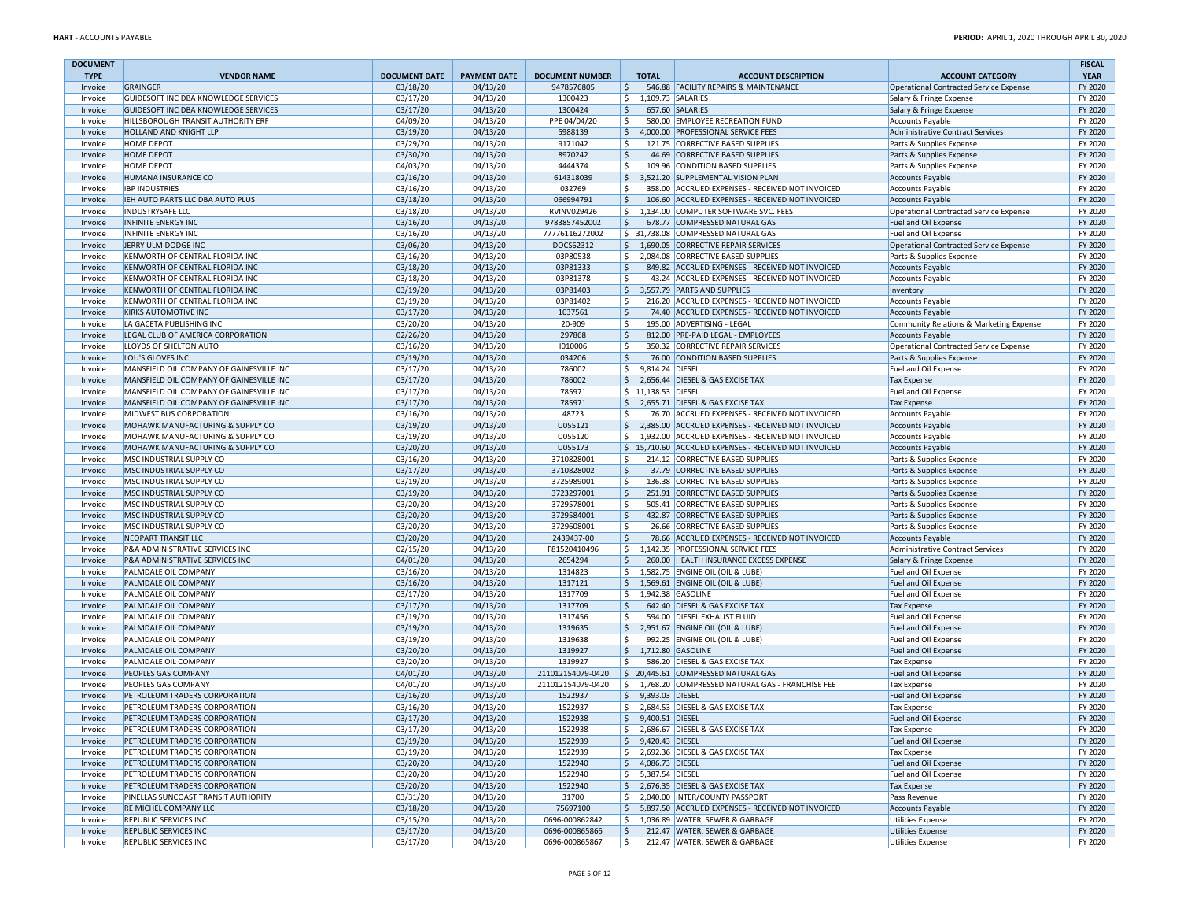| <b>DOCUMENT</b>    |                                                                      |                      |                      |                              |                               |                                                                                                           |                                                                    | <b>FISCAL</b>      |
|--------------------|----------------------------------------------------------------------|----------------------|----------------------|------------------------------|-------------------------------|-----------------------------------------------------------------------------------------------------------|--------------------------------------------------------------------|--------------------|
| <b>TYPE</b>        | <b>VENDOR NAME</b>                                                   | <b>DOCUMENT DATE</b> | <b>PAYMENT DATE</b>  | <b>DOCUMENT NUMBER</b>       | <b>TOTAL</b>                  | <b>ACCOUNT DESCRIPTION</b>                                                                                | <b>ACCOUNT CATEGORY</b>                                            | <b>YEAR</b>        |
| Invoice            | GRAINGER<br>GUIDESOFT INC DBA KNOWLEDGE SERVICES                     | 03/18/20<br>03/17/20 | 04/13/20<br>04/13/20 | 9478576805<br>1300423        | \$<br>\$                      | 546.88 FACILITY REPAIRS & MAINTENANCE<br>1,109.73 SALARIES                                                | Operational Contracted Service Expense                             | FY 2020<br>FY 2020 |
| Invoice<br>Invoice | GUIDESOFT INC DBA KNOWLEDGE SERVICES                                 | 03/17/20             | 04/13/20             | 1300424                      | \$                            | 657.60 SALARIES                                                                                           | Salary & Fringe Expense<br>Salary & Fringe Expense                 | FY 2020            |
| Invoice            | HILLSBOROUGH TRANSIT AUTHORITY ERF                                   | 04/09/20             | 04/13/20             | PPE 04/04/20                 | Ŝ.                            | 580.00 EMPLOYEE RECREATION FUND                                                                           | <b>Accounts Payable</b>                                            | FY 2020            |
| Invoice            | <b>HOLLAND AND KNIGHT LLP</b>                                        | 03/19/20             | 04/13/20             | 5988139                      | \$                            | 4,000.00 PROFESSIONAL SERVICE FEES                                                                        | Administrative Contract Services                                   | FY 2020            |
| Invoice            | <b>HOME DEPOT</b>                                                    | 03/29/20             | 04/13/20             | 9171042                      | \$                            | 121.75 CORRECTIVE BASED SUPPLIES                                                                          | Parts & Supplies Expense                                           | FY 2020            |
| Invoice            | <b>HOME DEPOT</b>                                                    | 03/30/20             | 04/13/20             | 8970242                      | \$                            | 44.69 CORRECTIVE BASED SUPPLIES                                                                           | Parts & Supplies Expense                                           | FY 2020            |
| Invoice            | <b>HOME DEPOT</b>                                                    | 04/03/20             | 04/13/20             | 4444374                      | \$                            | 109.96 CONDITION BASED SUPPLIES                                                                           | Parts & Supplies Expense                                           | FY 2020            |
| Invoice            | HUMANA INSURANCE CO                                                  | 02/16/20             | 04/13/20             | 614318039                    |                               | \$3,521.20 SUPPLEMENTAL VISION PLAN                                                                       | <b>Accounts Payable</b>                                            | FY 2020            |
| Invoice            | <b>IBP INDUSTRIES</b>                                                | 03/16/20             | 04/13/20             | 032769                       | \$                            | 358.00 ACCRUED EXPENSES - RECEIVED NOT INVOICED                                                           | Accounts Payable                                                   | FY 2020            |
| Invoice<br>Invoice | IEH AUTO PARTS LLC DBA AUTO PLUS<br><b>INDUSTRYSAFE LLC</b>          | 03/18/20<br>03/18/20 | 04/13/20<br>04/13/20 | 066994791<br>RVINV029426     | \$                            | 106.60 ACCRUED EXPENSES - RECEIVED NOT INVOICED<br>\$1,134.00 COMPUTER SOFTWARE SVC. FEES                 | <b>Accounts Payable</b><br>Operational Contracted Service Expense  | FY 2020<br>FY 2020 |
| Invoice            | <b>INFINITE ENERGY INC</b>                                           | 03/16/20             | 04/13/20             | 9783857452002                | \$                            | 678.77 COMPRESSED NATURAL GAS                                                                             | Fuel and Oil Expense                                               | FY 2020            |
| Invoice            | <b>INFINITE ENERGY INC</b>                                           | 03/16/20             | 04/13/20             | 77776116272002               |                               | \$ 31,738.08 COMPRESSED NATURAL GAS                                                                       | Fuel and Oil Expense                                               | FY 2020            |
| Invoice            | JERRY ULM DODGE INC                                                  | 03/06/20             | 04/13/20             | DOCS62312                    |                               | \$1,690.05 CORRECTIVE REPAIR SERVICES                                                                     | Operational Contracted Service Expense                             | FY 2020            |
| Invoice            | KENWORTH OF CENTRAL FLORIDA INC                                      | 03/16/20             | 04/13/20             | 03P80538                     | \$                            | 2,084.08 CORRECTIVE BASED SUPPLIES                                                                        | Parts & Supplies Expense                                           | FY 2020            |
| Invoice            | KENWORTH OF CENTRAL FLORIDA INC                                      | 03/18/20             | 04/13/20             | 03P81333                     | \$                            | 849.82 ACCRUED EXPENSES - RECEIVED NOT INVOICED                                                           | <b>Accounts Payable</b>                                            | FY 2020            |
| Invoice            | KENWORTH OF CENTRAL FLORIDA INC                                      | 03/18/20             | 04/13/20             | 03P81378                     | Ŝ.                            | 43.24 ACCRUED EXPENSES - RECEIVED NOT INVOICED                                                            | <b>Accounts Payable</b>                                            | FY 2020            |
| Invoice            | KENWORTH OF CENTRAL FLORIDA INC                                      | 03/19/20             | 04/13/20             | 03P81403                     | \$                            | 3,557.79 PARTS AND SUPPLIES                                                                               | Inventory                                                          | FY 2020            |
| Invoice            | KENWORTH OF CENTRAL FLORIDA INC                                      | 03/19/20             | 04/13/20             | 03P81402                     | Ŝ.                            | 216.20 ACCRUED EXPENSES - RECEIVED NOT INVOICED                                                           | <b>Accounts Payable</b>                                            | FY 2020            |
| Invoice            | <b>KIRKS AUTOMOTIVE INC</b>                                          | 03/17/20             | 04/13/20             | 1037561                      | \$<br>\$                      | 74.40 ACCRUED EXPENSES - RECEIVED NOT INVOICED                                                            | <b>Accounts Payable</b>                                            | FY 2020            |
| Invoice<br>Invoice | LA GACETA PUBLISHING INC<br>LEGAL CLUB OF AMERICA CORPORATION        | 03/20/20<br>02/26/20 | 04/13/20<br>04/13/20 | 20-909<br>297868             | \$                            | 195.00 ADVERTISING - LEGAL<br>812.00 PRE-PAID LEGAL - EMPLOYEES                                           | Community Relations & Marketing Expense<br><b>Accounts Payable</b> | FY 2020<br>FY 2020 |
| Invoice            | LLOYDS OF SHELTON AUTO                                               | 03/16/20             | 04/13/20             | 1010006                      | \$                            | 350.32 CORRECTIVE REPAIR SERVICES                                                                         | Operational Contracted Service Expense                             | FY 2020            |
| Invoice            | LOU'S GLOVES INC                                                     | 03/19/20             | 04/13/20             | 034206                       | \$                            | 76.00 CONDITION BASED SUPPLIES                                                                            | Parts & Supplies Expense                                           | FY 2020            |
| Invoice            | MANSFIELD OIL COMPANY OF GAINESVILLE INC                             | 03/17/20             | 04/13/20             | 786002                       | \$<br>9.814.24 DIESEL         |                                                                                                           | Fuel and Oil Expense                                               | FY 2020            |
| Invoice            | MANSFIELD OIL COMPANY OF GAINESVILLE INC                             | 03/17/20             | 04/13/20             | 786002                       |                               | \$ 2,656.44 DIESEL & GAS EXCISE TAX                                                                       | <b>Tax Expense</b>                                                 | FY 2020            |
| Invoice            | MANSFIELD OIL COMPANY OF GAINESVILLE INC                             | 03/17/20             | 04/13/20             | 785971                       | \$ 11,138.53 DIESEL           |                                                                                                           | Fuel and Oil Expense                                               | FY 2020            |
| Invoice            | MANSFIELD OIL COMPANY OF GAINESVILLE INC                             | 03/17/20             | 04/13/20             | 785971                       |                               | \$ 2,655.71 DIESEL & GAS EXCISE TAX                                                                       | <b>Tax Expense</b>                                                 | FY 2020            |
| Invoice            | <b>MIDWEST BUS CORPORATION</b>                                       | 03/16/20             | 04/13/20             | 48723                        | Ŝ.                            | 76.70 ACCRUED EXPENSES - RECEIVED NOT INVOICED                                                            | <b>Accounts Payable</b>                                            | FY 2020            |
| Invoice            | MOHAWK MANUFACTURING & SUPPLY CO                                     | 03/19/20             | 04/13/20             | U055121                      | $\frac{1}{2}$                 | 2,385.00 ACCRUED EXPENSES - RECEIVED NOT INVOICED                                                         | <b>Accounts Payable</b>                                            | FY 2020            |
| Invoice<br>Invoice | MOHAWK MANUFACTURING & SUPPLY CO<br>MOHAWK MANUFACTURING & SUPPLY CO | 03/19/20<br>03/20/20 | 04/13/20<br>04/13/20 | U055120<br>U055173           | \$                            | 1.932.00 ACCRUED EXPENSES - RECEIVED NOT INVOICED<br>\$15,710.60 ACCRUED EXPENSES - RECEIVED NOT INVOICED | <b>Accounts Payable</b><br><b>Accounts Payable</b>                 | FY 2020<br>FY 2020 |
| Invoice            | MSC INDUSTRIAL SUPPLY CO                                             | 03/16/20             | 04/13/20             | 3710828001                   | \$                            | 214.12 CORRECTIVE BASED SUPPLIES                                                                          | Parts & Supplies Expense                                           | FY 2020            |
| Invoice            | MSC INDUSTRIAL SUPPLY CO                                             | 03/17/20             | 04/13/20             | 3710828002                   | \$                            | 37.79 CORRECTIVE BASED SUPPLIES                                                                           | Parts & Supplies Expense                                           | FY 2020            |
| Invoice            | MSC INDUSTRIAL SUPPLY CO                                             | 03/19/20             | 04/13/20             | 3725989001                   | \$                            | 136.38 CORRECTIVE BASED SUPPLIES                                                                          | Parts & Supplies Expense                                           | FY 2020            |
| Invoice            | MSC INDUSTRIAL SUPPLY CO                                             | 03/19/20             | 04/13/20             | 3723297001                   | \$                            | 251.91 CORRECTIVE BASED SUPPLIES                                                                          | Parts & Supplies Expense                                           | FY 2020            |
| Invoice            | MSC INDUSTRIAL SUPPLY CO                                             | 03/20/20             | 04/13/20             | 3729578001                   | \$                            | 505.41 CORRECTIVE BASED SUPPLIES                                                                          | Parts & Supplies Expense                                           | FY 2020            |
| Invoice            | MSC INDUSTRIAL SUPPLY CO                                             | 03/20/20             | 04/13/20             | 3729584001                   | \$                            | 432.87 CORRECTIVE BASED SUPPLIES                                                                          | Parts & Supplies Expense                                           | FY 2020            |
| Invoice            | MSC INDUSTRIAL SUPPLY CO                                             | 03/20/20             | 04/13/20             | 3729608001                   | \$                            | 26.66 CORRECTIVE BASED SUPPLIES                                                                           | Parts & Supplies Expense                                           | FY 2020            |
| Invoice            | NEOPART TRANSIT LLC                                                  | 03/20/20             | 04/13/20             | 2439437-00                   | \$                            | 78.66 ACCRUED EXPENSES - RECEIVED NOT INVOICED                                                            | <b>Accounts Payable</b>                                            | FY 2020            |
| Invoice            | P&A ADMINISTRATIVE SERVICES INC<br>P&A ADMINISTRATIVE SERVICES INC   | 02/15/20<br>04/01/20 | 04/13/20<br>04/13/20 | F81520410496<br>2654294      | \$<br>\$                      | 1,142.35 PROFESSIONAL SERVICE FEES<br>260.00 HEALTH INSURANCE EXCESS EXPENSE                              | Administrative Contract Services<br>Salary & Fringe Expense        | FY 2020<br>FY 2020 |
| Invoice<br>Invoice | PALMDALE OIL COMPANY                                                 | 03/16/20             | 04/13/20             | 1314823                      | \$                            | 1,582.75 ENGINE OIL (OIL & LUBE)                                                                          | Fuel and Oil Expense                                               | FY 2020            |
| Invoice            | PALMDALE OIL COMPANY                                                 | 03/16/20             | 04/13/20             | 1317121                      | \$                            | 1,569.61 ENGINE OIL (OIL & LUBE)                                                                          | <b>Fuel and Oil Expense</b>                                        | FY 2020            |
| Invoice            | PALMDALE OIL COMPANY                                                 | 03/17/20             | 04/13/20             | 1317709                      | \$                            | 1,942.38 GASOLINE                                                                                         | Fuel and Oil Expense                                               | FY 2020            |
| Invoice            | PALMDALE OIL COMPANY                                                 | 03/17/20             | 04/13/20             | 1317709                      | \$                            | 642.40 DIESEL & GAS EXCISE TAX                                                                            | <b>Tax Expense</b>                                                 | FY 2020            |
| Invoice            | PALMDALE OIL COMPANY                                                 | 03/19/20             | 04/13/20             | 1317456                      | \$                            | 594.00 DIESEL EXHAUST FLUID                                                                               | Fuel and Oil Expense                                               | FY 2020            |
| Invoice            | PALMDALE OIL COMPANY                                                 | 03/19/20             | 04/13/20             | 1319635                      | \$                            | 2,951.67 ENGINE OIL (OIL & LUBE)                                                                          | Fuel and Oil Expense                                               | FY 2020            |
| Invoice            | PALMDALE OIL COMPANY                                                 | 03/19/20             | 04/13/20             | 1319638                      | \$                            | 992.25 ENGINE OIL (OIL & LUBE)                                                                            | Fuel and Oil Expense                                               | FY 2020            |
| Invoice            | PALMDALE OIL COMPANY                                                 | 03/20/20             | 04/13/20             | 1319927                      | \$                            | 1,712.80 GASOLINE                                                                                         | <b>Fuel and Oil Expense</b>                                        | FY 2020            |
| Invoice            | PALMDALE OIL COMPANY<br><b>PEOPLES GAS COMPANY</b>                   | 03/20/20             | 04/13/20             | 1319927<br>211012154079-0420 | \$                            | 586.20 DIESEL & GAS EXCISE TAX<br>\$ 20.445.61 COMPRESSED NATURAL GAS                                     | <b>Tax Expense</b>                                                 | FY 2020<br>FY 2020 |
| Invoice<br>Invoice | PEOPLES GAS COMPANY                                                  | 04/01/20<br>04/01/20 | 04/13/20<br>04/13/20 | 211012154079-0420            | \$                            | 1,768.20 COMPRESSED NATURAL GAS - FRANCHISE FEE                                                           | Fuel and Oil Expense<br><b>Tax Expense</b>                         | FY 2020            |
| Invoice            | PETROLEUM TRADERS CORPORATION                                        | 03/16/20             | 04/13/20             | 1522937                      | \$<br>9,393.03 DIESEL         |                                                                                                           | Fuel and Oil Expense                                               | FY 2020            |
| Invoice            | PETROLEUM TRADERS CORPORATION                                        | 03/16/20             | 04/13/20             | 1522937                      | \$                            | 2,684.53 DIESEL & GAS EXCISE TAX                                                                          | <b>Tax Expense</b>                                                 | FY 2020            |
| Invoice            | PETROLEUM TRADERS CORPORATION                                        | 03/17/20             | 04/13/20             | 1522938                      | \$<br>9,400.51 DIESEL         |                                                                                                           | Fuel and Oil Expense                                               | FY 2020            |
| Invoice            | PETROLEUM TRADERS CORPORATION                                        | 03/17/20             | 04/13/20             | 1522938                      | \$                            | 2,686.67 DIESEL & GAS EXCISE TAX                                                                          | <b>Tax Expense</b>                                                 | FY 2020            |
| Invoice            | PETROLEUM TRADERS CORPORATION                                        | 03/19/20             | 04/13/20             | 1522939                      | $\frac{1}{2}$ 9,420.43 DIESEL |                                                                                                           | Fuel and Oil Expense                                               | FY 2020            |
| Invoice            | PETROLEUM TRADERS CORPORATION                                        | 03/19/20             | 04/13/20             | 1522939                      |                               | \$2,692.36 DIESEL & GAS EXCISE TAX                                                                        | <b>Tax Expense</b>                                                 | FY 2020            |
| Invoice            | PETROLEUM TRADERS CORPORATION                                        | 03/20/20             | 04/13/20             | 1522940                      | \$ 4,086.73 DIESEL            |                                                                                                           | Fuel and Oil Expense                                               | FY 2020            |
| Invoice            | PETROLEUM TRADERS CORPORATION                                        | 03/20/20             | 04/13/20             | 1522940                      | \$ 5,387.54 DIESEL            |                                                                                                           | Fuel and Oil Expense                                               | FY 2020            |
| Invoice<br>Invoice | PETROLEUM TRADERS CORPORATION<br>PINELLAS SUNCOAST TRANSIT AUTHORITY | 03/20/20<br>03/31/20 | 04/13/20<br>04/13/20 | 1522940<br>31700             |                               | \$2,676.35 DIESEL & GAS EXCISE TAX<br>\$ 2,040.00 INTER/COUNTY PASSPORT                                   | <b>Tax Expense</b>                                                 | FY 2020<br>FY 2020 |
| Invoice            | RE MICHEL COMPANY LLC                                                | 03/18/20             | 04/13/20             | 75697100                     |                               | \$5,897.50 ACCRUED EXPENSES - RECEIVED NOT INVOICED                                                       | Pass Revenue<br><b>Accounts Payable</b>                            | FY 2020            |
| Invoice            | REPUBLIC SERVICES INC                                                | 03/15/20             | 04/13/20             | 0696-000862842               | \$                            | 1,036.89 WATER, SEWER & GARBAGE                                                                           | <b>Utilities Expense</b>                                           | FY 2020            |
| Invoice            | <b>REPUBLIC SERVICES INC</b>                                         | 03/17/20             | 04/13/20             | 0696-000865866               | \$                            | 212.47 WATER, SEWER & GARBAGE                                                                             | <b>Utilities Expense</b>                                           | FY 2020            |
| Invoice            | REPUBLIC SERVICES INC                                                | 03/17/20             | 04/13/20             | 0696-000865867               | \$                            | 212.47 WATER, SEWER & GARBAGE                                                                             | <b>Utilities Expense</b>                                           | FY 2020            |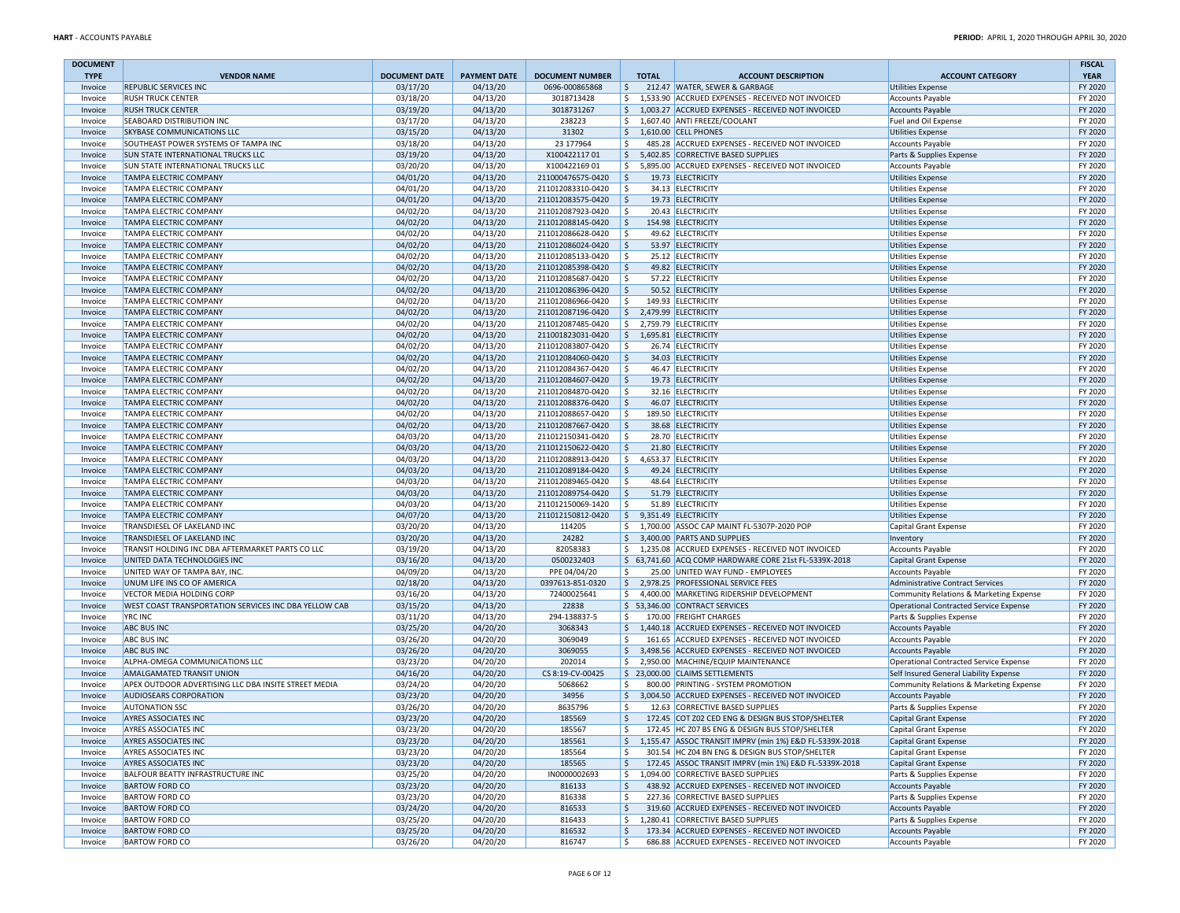| <b>DOCUMENT</b>    |                                                                |                      |                      |                                        |              |                                                                                                         |                                                      | <b>FISCAL</b>      |
|--------------------|----------------------------------------------------------------|----------------------|----------------------|----------------------------------------|--------------|---------------------------------------------------------------------------------------------------------|------------------------------------------------------|--------------------|
| <b>TYPE</b>        | <b>VENDOR NAME</b>                                             | <b>DOCUMENT DATE</b> | <b>PAYMENT DATE</b>  | <b>DOCUMENT NUMBER</b>                 | <b>TOTAL</b> | <b>ACCOUNT DESCRIPTION</b>                                                                              | <b>ACCOUNT CATEGORY</b>                              | <b>YEAR</b>        |
| Invoice<br>Invoice | REPUBLIC SERVICES INC<br><b>RUSH TRUCK CENTER</b>              | 03/17/20<br>03/18/20 | 04/13/20<br>04/13/20 | 0696-000865868<br>3018713428           | \$<br>\$     | 212.47 WATER, SEWER & GARBAGE<br>1,533.90 ACCRUED EXPENSES - RECEIVED NOT INVOICED                      | <b>Utilities Expense</b><br><b>Accounts Payable</b>  | FY 2020<br>FY 2020 |
| Invoice            | <b>RUSH TRUCK CENTER</b>                                       | 03/19/20             | 04/13/20             | 3018731267                             | \$           | 1,003.27 ACCRUED EXPENSES - RECEIVED NOT INVOICED                                                       | <b>Accounts Payable</b>                              | FY 2020            |
| Invoice            | SEABOARD DISTRIBUTION INC                                      | 03/17/20             | 04/13/20             | 238223                                 | \$           | 1,607.40 ANTI FREEZE/COOLANT                                                                            | Fuel and Oil Expense                                 | FY 2020            |
| Invoice            | SKYBASE COMMUNICATIONS LLC                                     | 03/15/20             | 04/13/20             | 31302                                  |              | $$1,610.00$ CELL PHONES                                                                                 | <b>Utilities Expense</b>                             | FY 2020            |
| Invoice            | SOUTHEAST POWER SYSTEMS OF TAMPA INC                           | 03/18/20             | 04/13/20             | 23 177964                              | Ŝ.           | 485.28 ACCRUED EXPENSES - RECEIVED NOT INVOICED                                                         | <b>Accounts Payable</b>                              | FY 2020            |
| Invoice            | <b>SUN STATE INTERNATIONAL TRUCKS LLC</b>                      | 03/19/20             | 04/13/20             | X10042211701                           | \$           | 5,402.85 CORRECTIVE BASED SUPPLIES                                                                      | Parts & Supplies Expense                             | FY 2020            |
| Invoice            | SUN STATE INTERNATIONAL TRUCKS LLC                             | 03/20/20             | 04/13/20             | X10042216901                           | \$           | 5,895.00 ACCRUED EXPENSES - RECEIVED NOT INVOICED                                                       | <b>Accounts Payable</b>                              | FY 2020            |
| Invoice            | <b>TAMPA ELECTRIC COMPANY</b>                                  | 04/01/20             | 04/13/20             | 211000476575-0420                      | l\$          | 19.73 ELECTRICITY                                                                                       | <b>Utilities Expense</b>                             | FY 2020            |
| Invoice            | TAMPA ELECTRIC COMPANY                                         | 04/01/20             | 04/13/20             | 211012083310-0420                      | -Ŝ           | 34.13 ELECTRICITY                                                                                       | <b>Utilities Expense</b>                             | FY 2020            |
| Invoice            | <b>TAMPA ELECTRIC COMPANY</b>                                  | 04/01/20             | 04/13/20             | 211012083575-0420                      | \$           | 19.73 ELECTRICITY                                                                                       | <b>Utilities Expense</b>                             | FY 2020            |
| Invoice            | <b>TAMPA ELECTRIC COMPANY</b>                                  | 04/02/20             | 04/13/20             | 211012087923-0420                      | -Ś           | 20.43 ELECTRICITY                                                                                       | <b>Utilities Expense</b>                             | FY 2020            |
| Invoice            | <b>TAMPA ELECTRIC COMPANY</b>                                  | 04/02/20             | 04/13/20             | 211012088145-0420                      | \$           | 154.98 ELECTRICITY                                                                                      | <b>Utilities Expense</b>                             | FY 2020            |
| Invoice            | <b>TAMPA ELECTRIC COMPANY</b>                                  | 04/02/20             | 04/13/20             | 211012086628-0420                      | -Ŝ           | 49.62 ELECTRICITY                                                                                       | <b>Utilities Expense</b>                             | FY 2020            |
| Invoice            | <b>TAMPA ELECTRIC COMPANY</b>                                  | 04/02/20             | 04/13/20             | 211012086024-0420                      | S.           | 53.97 ELECTRICITY                                                                                       | <b>Utilities Expense</b>                             | FY 2020            |
| Invoice            | <b>TAMPA ELECTRIC COMPANY</b><br><b>TAMPA ELECTRIC COMPANY</b> | 04/02/20             | 04/13/20             | 211012085133-0420                      | Ŝ.<br>S.     | 25.12 ELECTRICITY                                                                                       | <b>Utilities Expense</b>                             | FY 2020<br>FY 2020 |
| Invoice<br>Invoice | <b>TAMPA ELECTRIC COMPANY</b>                                  | 04/02/20<br>04/02/20 | 04/13/20<br>04/13/20 | 211012085398-0420<br>211012085687-0420 | Ŝ.           | 49.82 ELECTRICITY<br>57.22 ELECTRICITY                                                                  | <b>Utilities Expense</b><br><b>Utilities Expense</b> | FY 2020            |
| Invoice            | <b>TAMPA ELECTRIC COMPANY</b>                                  | 04/02/20             | 04/13/20             | 211012086396-0420                      | S.           | 50.52 ELECTRICITY                                                                                       | <b>Utilities Expense</b>                             | FY 2020            |
| Invoice            | <b>TAMPA ELECTRIC COMPANY</b>                                  | 04/02/20             | 04/13/20             | 211012086966-0420                      | S.           | 149.93 ELECTRICITY                                                                                      | <b>Utilities Expense</b>                             | FY 2020            |
| Invoice            | <b>TAMPA ELECTRIC COMPANY</b>                                  | 04/02/20             | 04/13/20             | 211012087196-0420                      | \$           | 2,479.99 ELECTRICITY                                                                                    | <b>Utilities Expense</b>                             | FY 2020            |
| Invoice            | <b>TAMPA ELECTRIC COMPANY</b>                                  | 04/02/20             | 04/13/20             | 211012087485-0420                      | S.           | 2,759.79 ELECTRICITY                                                                                    | <b>Utilities Expense</b>                             | FY 2020            |
| Invoice            | <b>TAMPA ELECTRIC COMPANY</b>                                  | 04/02/20             | 04/13/20             | 211001823031-0420                      | \$           | 1,695.81 ELECTRICITY                                                                                    | <b>Utilities Expense</b>                             | FY 2020            |
| Invoice            | TAMPA ELECTRIC COMPANY                                         | 04/02/20             | 04/13/20             | 211012083807-0420                      | -\$          | 26.74 ELECTRICITY                                                                                       | <b>Utilities Expense</b>                             | FY 2020            |
| Invoice            | <b>TAMPA ELECTRIC COMPANY</b>                                  | 04/02/20             | 04/13/20             | 211012084060-0420                      | \$           | 34.03 ELECTRICITY                                                                                       | <b>Utilities Expense</b>                             | FY 2020            |
| Invoice            | <b>TAMPA ELECTRIC COMPANY</b>                                  | 04/02/20             | 04/13/20             | 211012084367-0420                      | Ŝ.           | 46.47 ELECTRICITY                                                                                       | <b>Utilities Expense</b>                             | FY 2020            |
| Invoice            | <b>TAMPA ELECTRIC COMPANY</b>                                  | 04/02/20             | 04/13/20             | 211012084607-0420                      | \$           | 19.73 ELECTRICITY                                                                                       | <b>Utilities Expense</b>                             | FY 2020            |
| Invoice            | TAMPA ELECTRIC COMPANY                                         | 04/02/20             | 04/13/20             | 211012084870-0420                      | \$           | 32.16 ELECTRICITY                                                                                       | <b>Utilities Expense</b>                             | FY 2020            |
| Invoice            | <b>TAMPA ELECTRIC COMPANY</b>                                  | 04/02/20             | 04/13/20             | 211012088376-0420                      | \$           | 46.07 ELECTRICITY                                                                                       | <b>Utilities Expense</b>                             | FY 2020            |
| Invoice            | <b>TAMPA ELECTRIC COMPANY</b>                                  | 04/02/20             | 04/13/20             | 211012088657-0420                      | Ŝ.           | 189.50 ELECTRICITY                                                                                      | <b>Utilities Expense</b>                             | FY 2020            |
| Invoice            | <b>TAMPA ELECTRIC COMPANY</b>                                  | 04/02/20             | 04/13/20             | 211012087667-0420                      | \$           | 38.68 ELECTRICITY                                                                                       | <b>Utilities Expense</b>                             | FY 2020            |
| Invoice            | <b>TAMPA ELECTRIC COMPANY</b>                                  | 04/03/20             | 04/13/20             | 211012150341-0420                      | \$           | 28.70 ELECTRICITY                                                                                       | <b>Utilities Expense</b>                             | FY 2020            |
| Invoice            | <b>TAMPA ELECTRIC COMPANY</b><br><b>TAMPA ELECTRIC COMPANY</b> | 04/03/20             | 04/13/20             | 211012150622-0420                      | \$           | 21.80 ELECTRICITY                                                                                       | <b>Utilities Expense</b>                             | FY 2020            |
| Invoice            |                                                                | 04/03/20             | 04/13/20             | 211012088913-0420                      | \$<br>-Ŝ     | 4,653.37 ELECTRICITY                                                                                    | <b>Utilities Expense</b><br><b>Utilities Expense</b> | FY 2020<br>FY 2020 |
| Invoice<br>Invoice | <b>TAMPA ELECTRIC COMPANY</b><br><b>TAMPA ELECTRIC COMPANY</b> | 04/03/20<br>04/03/20 | 04/13/20<br>04/13/20 | 211012089184-0420<br>211012089465-0420 | Ŝ.           | 49.24 ELECTRICITY<br>48.64 ELECTRICITY                                                                  | <b>Utilities Expense</b>                             | FY 2020            |
| Invoice            | <b>TAMPA ELECTRIC COMPANY</b>                                  | 04/03/20             | 04/13/20             | 211012089754-0420                      | S.           | 51.79 ELECTRICITY                                                                                       | <b>Utilities Expense</b>                             | FY 2020            |
| Invoice            | TAMPA ELECTRIC COMPANY                                         | 04/03/20             | 04/13/20             | 211012150069-1420                      | Ŝ.           | 51.89 ELECTRICITY                                                                                       | <b>Utilities Expense</b>                             | FY 2020            |
| Invoice            | <b>TAMPA ELECTRIC COMPANY</b>                                  | 04/07/20             | 04/13/20             | 211012150812-0420                      | S,           | 9,351.49 ELECTRICITY                                                                                    | <b>Utilities Expense</b>                             | FY 2020            |
| Invoice            | TRANSDIESEL OF LAKELAND INC                                    | 03/20/20             | 04/13/20             | 114205                                 | \$           | 1,700.00 ASSOC CAP MAINT FL-5307P-2020 POP                                                              | Capital Grant Expense                                | FY 2020            |
| Invoice            | TRANSDIESEL OF LAKELAND INC                                    | 03/20/20             | 04/13/20             | 24282                                  | \$           | 3,400.00 PARTS AND SUPPLIES                                                                             | Inventory                                            | FY 2020            |
| Invoice            | TRANSIT HOLDING INC DBA AFTERMARKET PARTS CO LLC               | 03/19/20             | 04/13/20             | 82058383                               | \$           | 1,235.08 ACCRUED EXPENSES - RECEIVED NOT INVOICED                                                       | <b>Accounts Payable</b>                              | FY 2020            |
| Invoice            | UNITED DATA TECHNOLOGIES INC                                   | 03/16/20             | 04/13/20             | 0500232403                             |              | \$ 63,741.60 ACQ COMP HARDWARE CORE 21st FL-5339X-2018                                                  | Capital Grant Expense                                | FY 2020            |
| Invoice            | UNITED WAY OF TAMPA BAY, INC.                                  | 04/09/20             | 04/13/20             | PPE 04/04/20                           | \$           | 25.00 UNITED WAY FUND - EMPLOYEES                                                                       | <b>Accounts Payable</b>                              | FY 2020            |
| Invoice            | UNUM LIFE INS CO OF AMERICA                                    | 02/18/20             | 04/13/20             | 0397613-851-0320                       | \$           | 2,978.25 PROFESSIONAL SERVICE FEES                                                                      | Administrative Contract Services                     | FY 2020            |
| Invoice            | <b>VECTOR MEDIA HOLDING CORP</b>                               | 03/16/20             | 04/13/20             | 72400025641                            | \$           | 4,400.00 MARKETING RIDERSHIP DEVELOPMENT                                                                | Community Relations & Marketing Expense              | FY 2020            |
| Invoice            | WEST COAST TRANSPORTATION SERVICES INC DBA YELLOW CAB          | 03/15/20             | 04/13/20             | 22838                                  |              | \$53,346.00 CONTRACT SERVICES                                                                           | Operational Contracted Service Expense               | FY 2020            |
| Invoice            | <b>YRC INC</b>                                                 | 03/11/20             | 04/13/20             | 294-138837-5                           | \$           | 170.00 FREIGHT CHARGES                                                                                  | Parts & Supplies Expense                             | FY 2020            |
| Invoice            | <b>ABC BUS INC</b>                                             | 03/25/20             | 04/20/20             | 3068343                                | \$<br>\$     | 1,440.18 ACCRUED EXPENSES - RECEIVED NOT INVOICED                                                       | <b>Accounts Payable</b>                              | FY 2020<br>FY 2020 |
| Invoice<br>Invoice | <b>ABC BUS INC</b><br><b>ABC BUS INC</b>                       | 03/26/20<br>03/26/20 | 04/20/20<br>04/20/20 | 3069049<br>3069055                     |              | 161.65 ACCRUED EXPENSES - RECEIVED NOT INVOICED<br>\$ 3,498.56 ACCRUED EXPENSES - RECEIVED NOT INVOICED | <b>Accounts Payable</b><br>Accounts Payable          | FY 2020            |
| Invoice            | ALPHA-OMEGA COMMUNICATIONS LLC                                 | 03/23/20             | 04/20/20             | 202014                                 | \$           | 2,950.00 MACHINE/EQUIP MAINTENANCE                                                                      | Operational Contracted Service Expense               | FY 2020            |
| Invoice            | AMALGAMATED TRANSIT UNION                                      | 04/16/20             | 04/20/20             | CS 8:19-CV-00425                       |              | \$23,000.00 CLAIMS SETTLEMENTS                                                                          | Self Insured General Liability Expense               | FY 2020            |
| Invoice            | APEX OUTDOOR ADVERTISING LLC DBA INSITE STREET MEDIA           | 03/24/20             | 04/20/20             | 5068662                                | Ŝ.           | 800.00 PRINTING - SYSTEM PROMOTION                                                                      | Community Relations & Marketing Expense              | FY 2020            |
| Invoice            | <b>AUDIOSEARS CORPORATION</b>                                  | 03/23/20             | 04/20/20             | 34956                                  | \$           | 3,004.50 ACCRUED EXPENSES - RECEIVED NOT INVOICED                                                       | <b>Accounts Payable</b>                              | FY 2020            |
| Invoice            | <b>AUTONATION SSC</b>                                          | 03/26/20             | 04/20/20             | 8635796                                | Ŝ.           | 12.63 CORRECTIVE BASED SUPPLIES                                                                         | Parts & Supplies Expense                             | FY 2020            |
| Invoice            | <b>AYRES ASSOCIATES INC</b>                                    | 03/23/20             | 04/20/20             | 185569                                 | \$           | 172.45 COT Z02 CED ENG & DESIGN BUS STOP/SHELTER                                                        | Capital Grant Expense                                | FY 2020            |
| Invoice            | <b>AYRES ASSOCIATES INC</b>                                    | 03/23/20             | 04/20/20             | 185567                                 | S            | 172.45 HC Z07 BS ENG & DESIGN BUS STOP/SHELTER                                                          | Capital Grant Expense                                | FY 2020            |
| Invoice            | <b>AYRES ASSOCIATES INC</b>                                    | 03/23/20             | 04/20/20             | 185561                                 |              | \$1,155.47 ASSOC TRANSIT IMPRV (min 1%) E&D FL-5339X-2018                                               | <b>Capital Grant Expense</b>                         | FY 2020            |
| Invoice            | <b>AYRES ASSOCIATES INC</b>                                    | 03/23/20             | 04/20/20             | 185564                                 | Ŝ.           | 301.54 HC Z04 BN ENG & DESIGN BUS STOP/SHELTER                                                          | Capital Grant Expense                                | FY 2020            |
| Invoice            | <b>AYRES ASSOCIATES INC</b>                                    | 03/23/20             | 04/20/20             | 185565                                 | \$           | 172.45 ASSOC TRANSIT IMPRV (min 1%) E&D FL-5339X-2018                                                   | <b>Capital Grant Expense</b>                         | FY 2020            |
| Invoice            | BALFOUR BEATTY INFRASTRUCTURE INC                              | 03/25/20             | 04/20/20             | IN0000002693                           | \$           | 1,094.00 CORRECTIVE BASED SUPPLIES                                                                      | Parts & Supplies Expense                             | FY 2020            |
| Invoice            | <b>BARTOW FORD CO</b>                                          | 03/23/20             | 04/20/20             | 816133                                 | \$           | 438.92 ACCRUED EXPENSES - RECEIVED NOT INVOICED                                                         | Accounts Payable                                     | FY 2020            |
| Invoice            | <b>BARTOW FORD CO</b>                                          | 03/23/20             | 04/20/20             | 816338                                 | Ŝ.           | 227.36 CORRECTIVE BASED SUPPLIES                                                                        | Parts & Supplies Expense                             | FY 2020            |
| Invoice            | <b>BARTOW FORD CO</b>                                          | 03/24/20             | 04/20/20             | 816533                                 | $\mathsf{S}$ | 319.60 ACCRUED EXPENSES - RECEIVED NOT INVOICED                                                         | <b>Accounts Payable</b>                              | FY 2020            |
| Invoice<br>Invoice | <b>BARTOW FORD CO</b><br><b>BARTOW FORD CO</b>                 | 03/25/20<br>03/25/20 | 04/20/20<br>04/20/20 | 816433<br>816532                       | \$           | \$1,280.41 CORRECTIVE BASED SUPPLIES<br>173.34 ACCRUED EXPENSES - RECEIVED NOT INVOICED                 | Parts & Supplies Expense<br><b>Accounts Payable</b>  | FY 2020<br>FY 2020 |
| Invoice            | <b>BARTOW FORD CO</b>                                          | 03/26/20             | 04/20/20             | 816747                                 | \$           | 686.88 ACCRUED EXPENSES - RECEIVED NOT INVOICED                                                         | <b>Accounts Payable</b>                              | FY 2020            |
|                    |                                                                |                      |                      |                                        |              |                                                                                                         |                                                      |                    |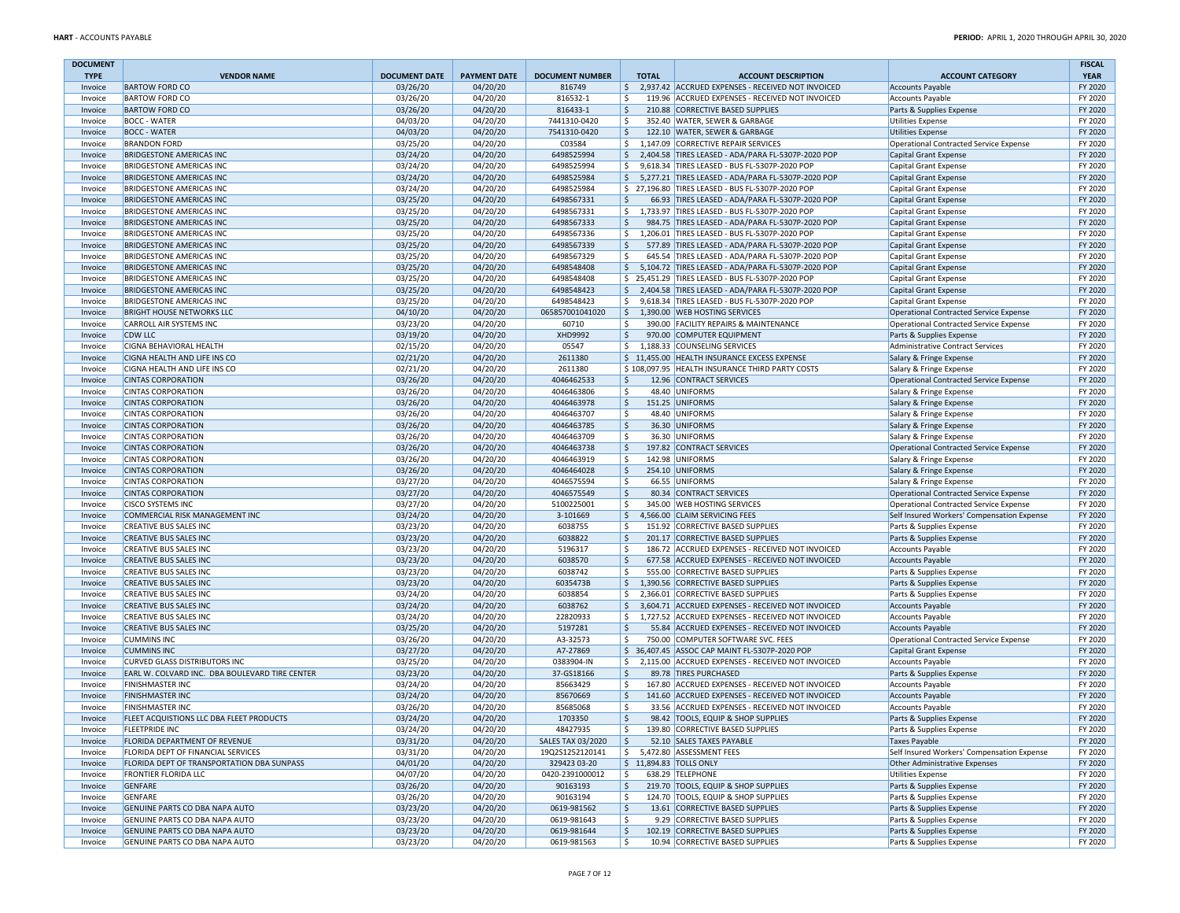| <b>DOCUMENT</b>    |                                                                                  |                      |                      |                                 |                              |                                                                                     |                                                                   | <b>FISCAL</b>      |
|--------------------|----------------------------------------------------------------------------------|----------------------|----------------------|---------------------------------|------------------------------|-------------------------------------------------------------------------------------|-------------------------------------------------------------------|--------------------|
| <b>TYPE</b>        | <b>VENDOR NAME</b>                                                               | <b>DOCUMENT DATE</b> | <b>PAYMENT DATE</b>  | <b>DOCUMENT NUMBER</b>          | <b>TOTAL</b>                 | <b>ACCOUNT DESCRIPTION</b>                                                          | <b>ACCOUNT CATEGORY</b>                                           | <b>YEAR</b>        |
| Invoice            | <b>BARTOW FORD CO</b><br><b>BARTOW FORD CO</b>                                   | 03/26/20             | 04/20/20             | 816749                          | \$                           | \$ 2,937.42 ACCRUED EXPENSES - RECEIVED NOT INVOICED                                | <b>Accounts Payable</b>                                           | FY 2020<br>FY 2020 |
| Invoice            | <b>BARTOW FORD CO</b>                                                            | 03/26/20<br>03/26/20 | 04/20/20<br>04/20/20 | 816532-1<br>816433-1            | \$                           | 119.96 ACCRUED EXPENSES - RECEIVED NOT INVOICED<br>210.88 CORRECTIVE BASED SUPPLIES | <b>Accounts Payable</b>                                           | FY 2020            |
| Invoice<br>Invoice | <b>BOCC - WATER</b>                                                              | 04/03/20             | 04/20/20             | 7441310-0420                    | \$                           | 352.40 WATER, SEWER & GARBAGE                                                       | Parts & Supplies Expense<br><b>Utilities Expense</b>              | FY 2020            |
| Invoice            | <b>BOCC - WATER</b>                                                              | 04/03/20             | 04/20/20             | 7541310-0420                    | \$                           | 122.10 WATER, SEWER & GARBAGE                                                       | <b>Utilities Expense</b>                                          | FY 2020            |
| Invoice            | <b>BRANDON FORD</b>                                                              | 03/25/20             | 04/20/20             | C03584                          | \$                           | 1,147.09 CORRECTIVE REPAIR SERVICES                                                 | Operational Contracted Service Expense                            | FY 2020            |
| Invoice            | <b>BRIDGESTONE AMERICAS INC</b>                                                  | 03/24/20             | 04/20/20             | 6498525994                      | \$                           | 2,404.58 TIRES LEASED - ADA/PARA FL-5307P-2020 POP                                  | Capital Grant Expense                                             | FY 2020            |
| Invoice            | <b>BRIDGESTONE AMERICAS INC</b>                                                  | 03/24/20             | 04/20/20             | 6498525994                      | \$                           | 9,618.34 TIRES LEASED - BUS FL-5307P-2020 POP                                       | Capital Grant Expense                                             | FY 2020            |
| Invoice            | <b>BRIDGESTONE AMERICAS INC</b>                                                  | 03/24/20             | 04/20/20             | 6498525984                      |                              | \$5,277.21 TIRES LEASED - ADA/PARA FL-5307P-2020 POP                                | Capital Grant Expense                                             | FY 2020            |
| Invoice            | <b>BRIDGESTONE AMERICAS INC</b>                                                  | 03/24/20             | 04/20/20             | 6498525984                      |                              | \$ 27,196.80 TIRES LEASED - BUS FL-5307P-2020 POP                                   | Capital Grant Expense                                             | FY 2020            |
| Invoice            | <b>BRIDGESTONE AMERICAS INC</b>                                                  | 03/25/20             | 04/20/20             | 6498567331                      | Ŝ.                           | 66.93 TIRES LEASED - ADA/PARA FL-5307P-2020 POP                                     | <b>Capital Grant Expense</b>                                      | FY 2020            |
| Invoice            | <b>BRIDGESTONE AMERICAS INC</b>                                                  | 03/25/20             | 04/20/20             | 6498567331                      | \$                           | 1,733.97 TIRES LEASED - BUS FL-5307P-2020 POP                                       | Capital Grant Expense                                             | FY 2020            |
| Invoice            | <b>BRIDGESTONE AMERICAS INC</b>                                                  | 03/25/20             | 04/20/20             | 6498567333                      | \$                           | 984.75 TIRES LEASED - ADA/PARA FL-5307P-2020 POP                                    | Capital Grant Expense                                             | FY 2020            |
| Invoice            | <b>BRIDGESTONE AMERICAS INC</b>                                                  | 03/25/20             | 04/20/20             | 6498567336                      | Ŝ.                           | 1,206.01 TIRES LEASED - BUS FL-5307P-2020 POP                                       | Capital Grant Expense                                             | FY 2020            |
| Invoice            | <b>BRIDGESTONE AMERICAS INC</b>                                                  | 03/25/20             | 04/20/20             | 6498567339                      | \$                           | 577.89 TIRES LEASED - ADA/PARA FL-5307P-2020 POP                                    | Capital Grant Expense                                             | FY 2020            |
| Invoice            | <b>BRIDGESTONE AMERICAS INC</b>                                                  | 03/25/20             | 04/20/20             | 6498567329                      | Ŝ.                           | 645.54 TIRES LEASED - ADA/PARA FL-5307P-2020 POP                                    | Capital Grant Expense                                             | FY 2020            |
| Invoice            | <b>BRIDGESTONE AMERICAS INC</b>                                                  | 03/25/20             | 04/20/20             | 6498548408                      | $\mathsf{S}$                 | 5,104.72 TIRES LEASED - ADA/PARA FL-5307P-2020 POP                                  | Capital Grant Expense                                             | FY 2020            |
| Invoice            | <b>BRIDGESTONE AMERICAS INC</b>                                                  | 03/25/20             | 04/20/20             | 6498548408                      |                              | \$25,451.29 TIRES LEASED - BUS FL-5307P-2020 POP                                    | Capital Grant Expense                                             | FY 2020            |
| Invoice            | <b>BRIDGESTONE AMERICAS INC</b>                                                  | 03/25/20             | 04/20/20             | 6498548423                      | \$                           | 2,404.58 TIRES LEASED - ADA/PARA FL-5307P-2020 POP                                  | Capital Grant Expense                                             | FY 2020            |
| Invoice            | <b>BRIDGESTONE AMERICAS INC</b>                                                  | 03/25/20             | 04/20/20             | 6498548423                      | \$                           | 9,618.34 TIRES LEASED - BUS FL-5307P-2020 POP                                       | Capital Grant Expense                                             | FY 2020            |
| Invoice            | <b>BRIGHT HOUSE NETWORKS LLC</b>                                                 | 04/10/20             | 04/20/20             | 065857001041020                 | \$                           | 1,390.00 WEB HOSTING SERVICES                                                       | Operational Contracted Service Expense                            | FY 2020            |
| Invoice            | <b>CARROLL AIR SYSTEMS INC</b>                                                   | 03/23/20             | 04/20/20             | 60710                           | Ŝ.                           | 390.00 FACILITY REPAIRS & MAINTENANCE                                               | Operational Contracted Service Expense                            | FY 2020            |
| Invoice            | <b>CDW LLC</b>                                                                   | 03/19/20             | 04/20/20             | XHD9992                         | \$                           | 970.00 COMPUTER EQUIPMENT                                                           | Parts & Supplies Expense                                          | FY 2020            |
| Invoice            | CIGNA BEHAVIORAL HEALTH                                                          | 02/15/20             | 04/20/20             | 05547                           |                              | \$1,188.33 COUNSELING SERVICES                                                      | Administrative Contract Services                                  | FY 2020            |
| Invoice            | CIGNA HEALTH AND LIFE INS CO                                                     | 02/21/20             | 04/20/20             | 2611380                         |                              | \$11,455.00 HEALTH INSURANCE EXCESS EXPENSE                                         | Salary & Fringe Expense                                           | FY 2020            |
| Invoice            | CIGNA HEALTH AND LIFE INS CO                                                     | 02/21/20             | 04/20/20             | 2611380                         |                              | \$108,097.95 HEALTH INSURANCE THIRD PARTY COSTS                                     | Salary & Fringe Expense                                           | FY 2020            |
| Invoice            | <b>CINTAS CORPORATION</b>                                                        | 03/26/20             | 04/20/20             | 4046462533                      | \$                           | 12.96 CONTRACT SERVICES                                                             | Operational Contracted Service Expense                            | FY 2020            |
| Invoice            | <b>CINTAS CORPORATION</b>                                                        | 03/26/20             | 04/20/20             | 4046463806                      | \$                           | 48.40 UNIFORMS                                                                      | Salary & Fringe Expense                                           | FY 2020            |
| Invoice            | <b>CINTAS CORPORATION</b>                                                        | 03/26/20             | 04/20/20             | 4046463978                      | \$                           | 151.25 UNIFORMS                                                                     | Salary & Fringe Expense                                           | FY 2020            |
| Invoice            | <b>CINTAS CORPORATION</b>                                                        | 03/26/20             | 04/20/20             | 4046463707                      | \$                           | 48.40 UNIFORMS                                                                      | Salary & Fringe Expense                                           | FY 2020            |
| Invoice            | <b>CINTAS CORPORATION</b><br><b>CINTAS CORPORATION</b>                           | 03/26/20             | 04/20/20<br>04/20/20 | 4046463785                      | \$<br>\$                     | 36.30 UNIFORMS                                                                      | Salary & Fringe Expense                                           | FY 2020<br>FY 2020 |
| Invoice            | <b>CINTAS CORPORATION</b>                                                        | 03/26/20<br>03/26/20 | 04/20/20             | 4046463709<br>4046463738        | \$                           | 36.30 UNIFORMS<br>197.82 CONTRACT SERVICES                                          | Salary & Fringe Expense<br>Operational Contracted Service Expense | FY 2020            |
| Invoice<br>Invoice | <b>CINTAS CORPORATION</b>                                                        | 03/26/20             | 04/20/20             | 4046463919                      | Ŝ.                           | 142.98 UNIFORMS                                                                     | Salary & Fringe Expense                                           | FY 2020            |
| Invoice            | <b>CINTAS CORPORATION</b>                                                        | 03/26/20             | 04/20/20             | 4046464028                      | \$                           | 254.10 UNIFORMS                                                                     | Salary & Fringe Expense                                           | FY 2020            |
| Invoice            | <b>CINTAS CORPORATION</b>                                                        | 03/27/20             | 04/20/20             | 4046575594                      | \$                           | 66.55 UNIFORMS                                                                      | Salary & Fringe Expense                                           | FY 2020            |
| Invoice            | <b>CINTAS CORPORATION</b>                                                        | 03/27/20             | 04/20/20             | 4046575549                      | Ŝ.                           | 80.34 CONTRACT SERVICES                                                             | Operational Contracted Service Expense                            | FY 2020            |
| Invoice            | <b>CISCO SYSTEMS INC</b>                                                         | 03/27/20             | 04/20/20             | 5100225001                      | Ŝ.                           | 345.00 WEB HOSTING SERVICES                                                         | Operational Contracted Service Expense                            | FY 2020            |
| Invoice            | COMMERCIAL RISK MANAGEMENT INC                                                   | 03/24/20             | 04/20/20             | 3-101669                        | \$                           | 4,566.00 CLAIM SERVICING FEES                                                       | Self Insured Workers' Compensation Expense                        | FY 2020            |
| Invoice            | <b>CREATIVE BUS SALES INC</b>                                                    | 03/23/20             | 04/20/20             | 6038755                         | \$                           | 151.92 CORRECTIVE BASED SUPPLIES                                                    | Parts & Supplies Expense                                          | FY 2020            |
| Invoice            | <b>CREATIVE BUS SALES INC</b>                                                    | 03/23/20             | 04/20/20             | 6038822                         | Ŝ.                           | 201.17 CORRECTIVE BASED SUPPLIES                                                    | Parts & Supplies Expense                                          | FY 2020            |
| Invoice            | <b>CREATIVE BUS SALES INC</b>                                                    | 03/23/20             | 04/20/20             | 5196317                         | \$                           | 186.72 ACCRUED EXPENSES - RECEIVED NOT INVOICED                                     | <b>Accounts Payable</b>                                           | FY 2020            |
| Invoice            | <b>CREATIVE BUS SALES INC</b>                                                    | 03/23/20             | 04/20/20             | 6038570                         | \$                           | 677.58 ACCRUED EXPENSES - RECEIVED NOT INVOICED                                     | Accounts Payable                                                  | FY 2020            |
| Invoice            | <b>CREATIVE BUS SALES INC</b>                                                    | 03/23/20             | 04/20/20             | 6038742                         | \$                           | 555.00 CORRECTIVE BASED SUPPLIES                                                    | Parts & Supplies Expense                                          | FY 2020            |
| Invoice            | <b>CREATIVE BUS SALES INC</b>                                                    | 03/23/20             | 04/20/20             | 6035473B                        | \$                           | 1,390.56 CORRECTIVE BASED SUPPLIES                                                  | Parts & Supplies Expense                                          | FY 2020            |
| Invoice            | <b>CREATIVE BUS SALES INC</b>                                                    | 03/24/20             | 04/20/20             | 6038854                         | \$                           | 2,366.01 CORRECTIVE BASED SUPPLIES                                                  | Parts & Supplies Expense                                          | FY 2020            |
| Invoice            | <b>CREATIVE BUS SALES INC</b>                                                    | 03/24/20             | 04/20/20             | 6038762                         | \$                           | 3,604.71 ACCRUED EXPENSES - RECEIVED NOT INVOICED                                   | Accounts Payable                                                  | FY 2020            |
| Invoice            | <b>CREATIVE BUS SALES INC</b>                                                    | 03/24/20             | 04/20/20             | 22820933                        | \$                           | 1,727.52 ACCRUED EXPENSES - RECEIVED NOT INVOICED                                   | <b>Accounts Payable</b>                                           | FY 2020            |
| Invoice            | <b>CREATIVE BUS SALES INC</b>                                                    | 03/25/20             | 04/20/20             | 5197281                         | \$                           | 55.84 ACCRUED EXPENSES - RECEIVED NOT INVOICED                                      | <b>Accounts Payable</b>                                           | FY 2020            |
| Invoice            | <b>CUMMINS INC</b>                                                               | 03/26/20             | 04/20/20             | A3-32573                        | \$                           | 750.00 COMPUTER SOFTWARE SVC. FEES                                                  | Operational Contracted Service Expense                            | FY 2020            |
| Invoice            | <b>CUMMINS INC</b>                                                               | 03/27/20             | 04/20/20             | A7-27869                        |                              | \$ 36,407.45 ASSOC CAP MAINT FL-5307P-2020 POP                                      | Capital Grant Expense                                             | FY 2020            |
| Invoice            | <b>CURVED GLASS DISTRIBUTORS INC</b>                                             | 03/25/20             | 04/20/20             | 0383904-IN                      | \$                           | 2,115.00 ACCRUED EXPENSES - RECEIVED NOT INVOICED                                   | <b>Accounts Payable</b>                                           | FY 2020            |
| Invoice            | EARL W. COLVARD INC. DBA BOULEVARD TIRE CENTER                                   | 03/23/20             | 04/20/20             | 37-GS18166                      | \$                           | 89.78 TIRES PURCHASED                                                               | Parts & Supplies Expense                                          | FY 2020            |
| Invoice            | <b>FINISHMASTER INC</b>                                                          | 03/24/20             | 04/20/20             | 85663429                        | \$                           | 167.80 ACCRUED EXPENSES - RECEIVED NOT INVOICED                                     | <b>Accounts Payable</b>                                           | FY 2020            |
| Invoice            | <b>FINISHMASTER INC</b>                                                          | 03/24/20             | 04/20/20             | 85670669                        | \$                           | 141.60 ACCRUED EXPENSES - RECEIVED NOT INVOICED                                     | <b>Accounts Payable</b>                                           | FY 2020            |
| Invoice            | <b>FINISHMASTER INC</b>                                                          | 03/26/20             | 04/20/20             | 85685068                        | \$                           | 33.56 ACCRUED EXPENSES - RECEIVED NOT INVOICED                                      | <b>Accounts Payable</b>                                           | FY 2020            |
| Invoice            | FLEET ACQUISTIONS LLC DBA FLEET PRODUCTS                                         | 03/24/20             | 04/20/20             | 1703350                         | \$                           | 98.42 TOOLS, EQUIP & SHOP SUPPLIES                                                  | Parts & Supplies Expense                                          | FY 2020            |
| Invoice            | <b>FLEETPRIDE INC</b>                                                            | 03/24/20             | 04/20/20             | 48427935                        | \$.                          | 139.80 CORRECTIVE BASED SUPPLIES                                                    | Parts & Supplies Expense                                          | FY 2020            |
| Invoice            | FLORIDA DEPARTMENT OF REVENUE                                                    | 03/31/20             | 04/20/20             | SALES TAX 03/2020               | S.                           | 52.10 SALES TAXES PAYABLE                                                           | <b>Taxes Payable</b>                                              | FY 2020            |
| Invoice            | FLORIDA DEPT OF FINANCIAL SERVICES<br>FLORIDA DEPT OF TRANSPORTATION DBA SUNPASS | 03/31/20             | 04/20/20             | 19Q2S1252120141                 | \$                           | 5,472.80 ASSESSMENT FEES                                                            | Self Insured Workers' Compensation Expense                        | FY 2020<br>FY 2020 |
| Invoice            | <b>FRONTIER FLORIDA LLC</b>                                                      | 04/01/20<br>04/07/20 | 04/20/20<br>04/20/20 | 329423 03-20<br>0420-2391000012 | \$11,894.83 TOLLS ONLY<br>\$ | 638.29 TELEPHONE                                                                    | Other Administrative Expenses<br><b>Utilities Expense</b>         | FY 2020            |
| Invoice<br>Invoice | <b>GENFARE</b>                                                                   | 03/26/20             | 04/20/20             | 90163193                        | \$                           | 219.70 TOOLS, EQUIP & SHOP SUPPLIES                                                 | Parts & Supplies Expense                                          | FY 2020            |
| Invoice            | <b>GENFARE</b>                                                                   | 03/26/20             | 04/20/20             | 90163194                        | \$                           | 124.70 TOOLS, EQUIP & SHOP SUPPLIES                                                 | Parts & Supplies Expense                                          | FY 2020            |
| Invoice            | GENUINE PARTS CO DBA NAPA AUTO                                                   | 03/23/20             | 04/20/20             | 0619-981562                     | \$                           | 13.61 CORRECTIVE BASED SUPPLIES                                                     | Parts & Supplies Expense                                          | FY 2020            |
| Invoice            | GENUINE PARTS CO DBA NAPA AUTO                                                   | 03/23/20             | 04/20/20             | 0619-981643                     | \$                           | 9.29 CORRECTIVE BASED SUPPLIES                                                      | Parts & Supplies Expense                                          | FY 2020            |
| Invoice            | GENUINE PARTS CO DBA NAPA AUTO                                                   | 03/23/20             | 04/20/20             | 0619-981644                     | $\ddot{\phi}$                | 102.19 CORRECTIVE BASED SUPPLIES                                                    | Parts & Supplies Expense                                          | FY 2020            |
| Invoice            | GENUINE PARTS CO DBA NAPA AUTO                                                   | 03/23/20             | 04/20/20             | 0619-981563                     | \$                           | 10.94 CORRECTIVE BASED SUPPLIES                                                     | Parts & Supplies Expense                                          | FY 2020            |
|                    |                                                                                  |                      |                      |                                 |                              |                                                                                     |                                                                   |                    |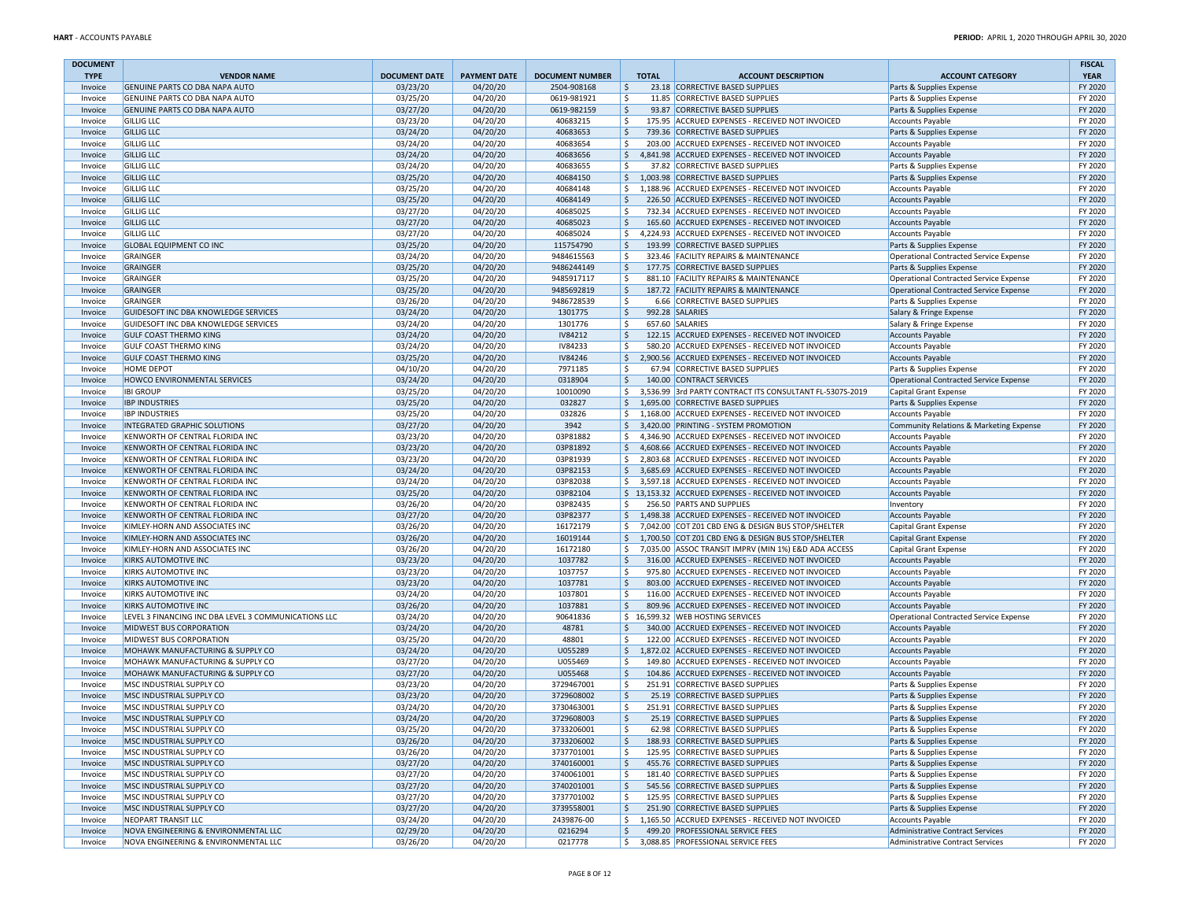| <b>DOCUMENT</b>    |                                                                              |                      |                      |                            |               |                                                                                                        |                                                                                  | <b>FISCAL</b>      |
|--------------------|------------------------------------------------------------------------------|----------------------|----------------------|----------------------------|---------------|--------------------------------------------------------------------------------------------------------|----------------------------------------------------------------------------------|--------------------|
| <b>TYPE</b>        | <b>VENDOR NAME</b>                                                           | <b>DOCUMENT DATE</b> | <b>PAYMENT DATE</b>  | <b>DOCUMENT NUMBER</b>     | <b>TOTAL</b>  | <b>ACCOUNT DESCRIPTION</b>                                                                             | <b>ACCOUNT CATEGORY</b>                                                          | <b>YEAR</b>        |
| Invoice            | GENUINE PARTS CO DBA NAPA AUTO                                               | 03/23/20             | 04/20/20             | 2504-908168                | \$<br>\$      | 23.18 CORRECTIVE BASED SUPPLIES                                                                        | Parts & Supplies Expense                                                         | FY 2020<br>FY 2020 |
| Invoice<br>Invoice | GENUINE PARTS CO DBA NAPA AUTO<br><b>GENUINE PARTS CO DBA NAPA AUTO</b>      | 03/25/20<br>03/27/20 | 04/20/20<br>04/20/20 | 0619-981921<br>0619-982159 | Ŝ.            | 11.85 CORRECTIVE BASED SUPPLIES<br>93.87 CORRECTIVE BASED SUPPLIES                                     | Parts & Supplies Expense<br>Parts & Supplies Expense                             | FY 2020            |
| Invoice            | <b>GILLIG LLC</b>                                                            | 03/23/20             | 04/20/20             | 40683215                   | \$            | 175.95 ACCRUED EXPENSES - RECEIVED NOT INVOICED                                                        | <b>Accounts Payable</b>                                                          | FY 2020            |
| Invoice            | <b>GILLIG LLC</b>                                                            | 03/24/20             | 04/20/20             | 40683653                   | \$            | 739.36 CORRECTIVE BASED SUPPLIES                                                                       | Parts & Supplies Expense                                                         | FY 2020            |
| Invoice            | <b>GILLIG LLC</b>                                                            | 03/24/20             | 04/20/20             | 40683654                   | \$            | 203.00 ACCRUED EXPENSES - RECEIVED NOT INVOICED                                                        | <b>Accounts Payable</b>                                                          | FY 2020            |
| Invoice            | <b>GILLIG LLC</b>                                                            | 03/24/20             | 04/20/20             | 40683656                   | \$            | 4,841.98 ACCRUED EXPENSES - RECEIVED NOT INVOICED                                                      | <b>Accounts Payable</b>                                                          | FY 2020            |
| Invoice            | <b>GILLIG LLC</b>                                                            | 03/24/20             | 04/20/20             | 40683655                   | \$            | 37.82 CORRECTIVE BASED SUPPLIES                                                                        | Parts & Supplies Expense                                                         | FY 2020            |
| Invoice            | <b>GILLIG LLC</b>                                                            | 03/25/20             | 04/20/20             | 40684150                   | $\mathsf{S}$  | 1,003.98 CORRECTIVE BASED SUPPLIES                                                                     | Parts & Supplies Expense                                                         | FY 2020            |
| Invoice            | <b>GILLIG LLC</b>                                                            | 03/25/20             | 04/20/20             | 40684148                   | \$            | 1,188.96 ACCRUED EXPENSES - RECEIVED NOT INVOICED                                                      | <b>Accounts Payable</b>                                                          | FY 2020            |
| Invoice            | <b>GILLIG LLC</b>                                                            | 03/25/20             | 04/20/20             | 40684149                   | Ŝ.            | 226.50 ACCRUED EXPENSES - RECEIVED NOT INVOICED                                                        | <b>Accounts Payable</b>                                                          | FY 2020            |
| Invoice            | <b>GILLIG LLC</b>                                                            | 03/27/20             | 04/20/20             | 40685025                   | \$            | 732.34 ACCRUED EXPENSES - RECEIVED NOT INVOICED                                                        | <b>Accounts Payable</b>                                                          | FY 2020            |
| Invoice            | <b>GILLIG LLC</b>                                                            | 03/27/20             | 04/20/20             | 40685023                   | \$            | 165.60 ACCRUED EXPENSES - RECEIVED NOT INVOICED                                                        | <b>Accounts Payable</b>                                                          | FY 2020            |
| Invoice            | <b>GILLIG LLC</b>                                                            | 03/27/20             | 04/20/20             | 40685024                   | \$            | 4,224.93 ACCRUED EXPENSES - RECEIVED NOT INVOICED                                                      | <b>Accounts Payable</b>                                                          | FY 2020            |
| Invoice            | <b>GLOBAL EQUIPMENT CO INC</b>                                               | 03/25/20             | 04/20/20             | 115754790                  | \$            | 193.99 CORRECTIVE BASED SUPPLIES                                                                       | Parts & Supplies Expense                                                         | FY 2020            |
| Invoice            | GRAINGER                                                                     | 03/24/20             | 04/20/20             | 9484615563                 | \$            | 323.46 FACILITY REPAIRS & MAINTENANCE<br>177.75 CORRECTIVE BASED SUPPLIES                              | Operational Contracted Service Expense                                           | FY 2020            |
| Invoice            | GRAINGER<br>GRAINGER                                                         | 03/25/20             | 04/20/20             | 9486244149<br>9485917117   | \$<br>\$      | 881.10 FACILITY REPAIRS & MAINTENANCE                                                                  | Parts & Supplies Expense                                                         | FY 2020<br>FY 2020 |
| Invoice<br>Invoice | GRAINGER                                                                     | 03/25/20<br>03/25/20 | 04/20/20<br>04/20/20 | 9485692819                 | ۱\$.          | 187.72 FACILITY REPAIRS & MAINTENANCE                                                                  | Operational Contracted Service Expense<br>Operational Contracted Service Expense | FY 2020            |
| Invoice            | GRAINGER                                                                     | 03/26/20             | 04/20/20             | 9486728539                 | \$            | 6.66 CORRECTIVE BASED SUPPLIES                                                                         | Parts & Supplies Expense                                                         | FY 2020            |
| Invoice            | GUIDESOFT INC DBA KNOWLEDGE SERVICES                                         | 03/24/20             | 04/20/20             | 1301775                    | \$            | 992.28 SALARIES                                                                                        | Salary & Fringe Expense                                                          | FY 2020            |
| Invoice            | GUIDESOFT INC DBA KNOWLEDGE SERVICES                                         | 03/24/20             | 04/20/20             | 1301776                    | Ŝ.            | 657.60 SALARIES                                                                                        | Salary & Fringe Expense                                                          | FY 2020            |
| Invoice            | <b>GULF COAST THERMO KING</b>                                                | 03/24/20             | 04/20/20             | IV84212                    | \$            | 122.15 ACCRUED EXPENSES - RECEIVED NOT INVOICED                                                        | <b>Accounts Payable</b>                                                          | FY 2020            |
| Invoice            | <b>GULF COAST THERMO KING</b>                                                | 03/24/20             | 04/20/20             | IV84233                    | Ŝ.            | 580.20 ACCRUED EXPENSES - RECEIVED NOT INVOICED                                                        | <b>Accounts Payable</b>                                                          | FY 2020            |
| Invoice            | <b>GULF COAST THERMO KING</b>                                                | 03/25/20             | 04/20/20             | IV84246                    | \$            | 2,900.56 ACCRUED EXPENSES - RECEIVED NOT INVOICED                                                      | <b>Accounts Payable</b>                                                          | FY 2020            |
| Invoice            | <b>HOME DEPOT</b>                                                            | 04/10/20             | 04/20/20             | 7971185                    | Ŝ.            | 67.94 CORRECTIVE BASED SUPPLIES                                                                        | Parts & Supplies Expense                                                         | FY 2020            |
| Invoice            | HOWCO ENVIRONMENTAL SERVICES                                                 | 03/24/20             | 04/20/20             | 0318904                    | \$            | 140.00 CONTRACT SERVICES                                                                               | Operational Contracted Service Expense                                           | FY 2020            |
| Invoice            | <b>IBI GROUP</b>                                                             | 03/25/20             | 04/20/20             | 10010090                   | \$            | 3,536.99 3rd PARTY CONTRACT ITS CONSULTANT FL-5307S-2019                                               | Capital Grant Expense                                                            | FY 2020            |
| Invoice            | <b>IBP INDUSTRIES</b>                                                        | 03/25/20             | 04/20/20             | 032827                     | \$            | 1,695.00 CORRECTIVE BASED SUPPLIES                                                                     | Parts & Supplies Expense                                                         | FY 2020            |
| Invoice            | <b>IBP INDUSTRIES</b>                                                        | 03/25/20             | 04/20/20             | 032826                     | Ś.            | 1,168.00 ACCRUED EXPENSES - RECEIVED NOT INVOICED                                                      | <b>Accounts Payable</b>                                                          | FY 2020            |
| Invoice            | <b>INTEGRATED GRAPHIC SOLUTIONS</b>                                          | 03/27/20             | 04/20/20             | 3942                       | \$            | 3,420.00 PRINTING - SYSTEM PROMOTION                                                                   | Community Relations & Marketing Expense                                          | FY 2020            |
| Invoice            | KENWORTH OF CENTRAL FLORIDA INC                                              | 03/23/20             | 04/20/20             | 03P81882                   | \$            | 4,346.90 ACCRUED EXPENSES - RECEIVED NOT INVOICED                                                      | <b>Accounts Payable</b>                                                          | FY 2020            |
| Invoice            | KENWORTH OF CENTRAL FLORIDA INC                                              | 03/23/20             | 04/20/20             | 03P81892                   |               | \$4,608.66 ACCRUED EXPENSES - RECEIVED NOT INVOICED                                                    | Accounts Payable                                                                 | FY 2020            |
| Invoice            | KENWORTH OF CENTRAL FLORIDA INC                                              | 03/23/20             | 04/20/20             | 03P81939                   | \$            | 2,803.68 ACCRUED EXPENSES - RECEIVED NOT INVOICED<br>3.685.69 ACCRUED EXPENSES - RECEIVED NOT INVOICED | <b>Accounts Payable</b>                                                          | FY 2020            |
| Invoice<br>Invoice | <b>KENWORTH OF CENTRAL FLORIDA INC</b><br>KENWORTH OF CENTRAL FLORIDA INC    | 03/24/20<br>03/24/20 | 04/20/20<br>04/20/20 | 03P82153<br>03P82038       | \$<br>\$      | 3,597.18 ACCRUED EXPENSES - RECEIVED NOT INVOICED                                                      | <b>Accounts Payable</b><br><b>Accounts Payable</b>                               | FY 2020<br>FY 2020 |
| Invoice            | <b>KENWORTH OF CENTRAL FLORIDA INC</b>                                       | 03/25/20             | 04/20/20             | 03P82104                   |               | \$13,153.32 ACCRUED EXPENSES - RECEIVED NOT INVOICED                                                   | <b>Accounts Payable</b>                                                          | FY 2020            |
| Invoice            | KENWORTH OF CENTRAL FLORIDA INC                                              | 03/26/20             | 04/20/20             | 03P82435                   | \$            | 256.50 PARTS AND SUPPLIES                                                                              | Inventory                                                                        | FY 2020            |
| Invoice            | <b>KENWORTH OF CENTRAL FLORIDA INC</b>                                       | 03/27/20             | 04/20/20             | 03P82377                   | $\frac{1}{2}$ | 1,498.38 ACCRUED EXPENSES - RECEIVED NOT INVOICED                                                      | <b>Accounts Payable</b>                                                          | FY 2020            |
| Invoice            | KIMLEY-HORN AND ASSOCIATES INC                                               | 03/26/20             | 04/20/20             | 16172179                   |               | \$7,042.00 COT Z01 CBD ENG & DESIGN BUS STOP/SHELTER                                                   | Capital Grant Expense                                                            | FY 2020            |
| Invoice            | KIMLEY-HORN AND ASSOCIATES INC                                               | 03/26/20             | 04/20/20             | 16019144                   | \$            | 1,700.50 COT Z01 CBD ENG & DESIGN BUS STOP/SHELTER                                                     | Capital Grant Expense                                                            | FY 2020            |
| Invoice            | KIMLEY-HORN AND ASSOCIATES INC                                               | 03/26/20             | 04/20/20             | 16172180                   | \$            | 7,035.00 ASSOC TRANSIT IMPRV (MIN 1%) E&D ADA ACCESS                                                   | Capital Grant Expense                                                            | FY 2020            |
| Invoice            | <b>KIRKS AUTOMOTIVE INC</b>                                                  | 03/23/20             | 04/20/20             | 1037782                    | \$            | 316.00 ACCRUED EXPENSES - RECEIVED NOT INVOICED                                                        | <b>Accounts Payable</b>                                                          | FY 2020            |
| Invoice            | <b>KIRKS AUTOMOTIVE INC</b>                                                  | 03/23/20             | 04/20/20             | 1037757                    | \$            | 975.80 ACCRUED EXPENSES - RECEIVED NOT INVOICED                                                        | <b>Accounts Payable</b>                                                          | FY 2020            |
| Invoice            | <b>KIRKS AUTOMOTIVE INC</b>                                                  | 03/23/20             | 04/20/20             | 1037781                    | \$            | 803.00 ACCRUED EXPENSES - RECEIVED NOT INVOICED                                                        | <b>Accounts Payable</b>                                                          | FY 2020            |
| Invoice            | <b>KIRKS AUTOMOTIVE INC</b>                                                  | 03/24/20             | 04/20/20             | 1037801                    | \$            | 116.00 ACCRUED EXPENSES - RECEIVED NOT INVOICED                                                        | <b>Accounts Payable</b>                                                          | FY 2020            |
| Invoice            | <b>KIRKS AUTOMOTIVE INC</b>                                                  | 03/26/20             | 04/20/20             | 1037881                    | Ŝ.            | 809.96 ACCRUED EXPENSES - RECEIVED NOT INVOICED                                                        | <b>Accounts Payable</b>                                                          | FY 2020            |
| Invoice            | LEVEL 3 FINANCING INC DBA LEVEL 3 COMMUNICATIONS LLC                         | 03/24/20             | 04/20/20             | 90641836                   |               | \$16,599.32 WEB HOSTING SERVICES                                                                       | Operational Contracted Service Expense                                           | FY 2020            |
| Invoice            | <b>MIDWEST BUS CORPORATION</b>                                               | 03/24/20             | 04/20/20             | 48781                      | Ŝ.            | 340.00 ACCRUED EXPENSES - RECEIVED NOT INVOICED                                                        | <b>Accounts Payable</b>                                                          | FY 2020            |
| Invoice            | MIDWEST BUS CORPORATION                                                      | 03/25/20             | 04/20/20             | 48801                      | \$            | 122.00 ACCRUED EXPENSES - RECEIVED NOT INVOICED                                                        | <b>Accounts Payable</b>                                                          | FY 2020            |
| Invoice            | MOHAWK MANUFACTURING & SUPPLY CO<br>MOHAWK MANUFACTURING & SUPPLY CO         | 03/24/20<br>03/27/20 | 04/20/20<br>04/20/20 | U055289<br>U055469         | \$<br>\$      | 1,872.02 ACCRUED EXPENSES - RECEIVED NOT INVOICED<br>149.80 ACCRUED EXPENSES - RECEIVED NOT INVOICED   | <b>Accounts Payable</b>                                                          | FY 2020<br>FY 2020 |
| Invoice<br>Invoice | MOHAWK MANUFACTURING & SUPPLY CO                                             | 03/27/20             | 04/20/20             | U055468                    | Ŝ.            | 104.86 ACCRUED EXPENSES - RECEIVED NOT INVOICED                                                        | <b>Accounts Payable</b><br><b>Accounts Payable</b>                               | FY 2020            |
| Invoice            | MSC INDUSTRIAL SUPPLY CO                                                     | 03/23/20             | 04/20/20             | 3729467001                 | Ŝ.            | 251.91 CORRECTIVE BASED SUPPLIES                                                                       | Parts & Supplies Expense                                                         | FY 2020            |
| Invoice            | MSC INDUSTRIAL SUPPLY CO                                                     | 03/23/20             | 04/20/20             | 3729608002                 | \$            | 25.19 CORRECTIVE BASED SUPPLIES                                                                        | Parts & Supplies Expense                                                         | FY 2020            |
| Invoice            | MSC INDUSTRIAL SUPPLY CO                                                     | 03/24/20             | 04/20/20             | 3730463001                 | \$            | 251.91 CORRECTIVE BASED SUPPLIES                                                                       | Parts & Supplies Expense                                                         | FY 2020            |
| Invoice            | MSC INDUSTRIAL SUPPLY CO                                                     | 03/24/20             | 04/20/20             | 3729608003                 | \$            | 25.19 CORRECTIVE BASED SUPPLIES                                                                        | Parts & Supplies Expense                                                         | FY 2020            |
| Invoice            | MSC INDUSTRIAL SUPPLY CO                                                     | 03/25/20             | 04/20/20             | 3733206001                 | -S            | 62.98 CORRECTIVE BASED SUPPLIES                                                                        | Parts & Supplies Expense                                                         | FY 2020            |
| Invoice            | MSC INDUSTRIAL SUPPLY CO                                                     | 03/26/20             | 04/20/20             | 3733206002                 | \$            | 188.93 CORRECTIVE BASED SUPPLIES                                                                       | Parts & Supplies Expense                                                         | FY 2020            |
| Invoice            | MSC INDUSTRIAL SUPPLY CO                                                     | 03/26/20             | 04/20/20             | 3737701001                 | \$            | 125.95 CORRECTIVE BASED SUPPLIES                                                                       | Parts & Supplies Expense                                                         | FY 2020            |
| Invoice            | MSC INDUSTRIAL SUPPLY CO                                                     | 03/27/20             | 04/20/20             | 3740160001                 | \$            | 455.76 CORRECTIVE BASED SUPPLIES                                                                       | Parts & Supplies Expense                                                         | FY 2020            |
| Invoice            | MSC INDUSTRIAL SUPPLY CO                                                     | 03/27/20             | 04/20/20             | 3740061001                 | \$            | 181.40 CORRECTIVE BASED SUPPLIES                                                                       | Parts & Supplies Expense                                                         | FY 2020            |
| Invoice            | MSC INDUSTRIAL SUPPLY CO                                                     | 03/27/20             | 04/20/20             | 3740201001                 | \$            | 545.56 CORRECTIVE BASED SUPPLIES                                                                       | Parts & Supplies Expense                                                         | FY 2020            |
| Invoice            | MSC INDUSTRIAL SUPPLY CO                                                     | 03/27/20             | 04/20/20             | 3737701002                 | \$            | 125.95 CORRECTIVE BASED SUPPLIES                                                                       | Parts & Supplies Expense                                                         | FY 2020            |
| Invoice            | MSC INDUSTRIAL SUPPLY CO                                                     | 03/27/20             | 04/20/20             | 3739558001                 | \$            | 251.90 CORRECTIVE BASED SUPPLIES                                                                       | Parts & Supplies Expense                                                         | FY 2020            |
| Invoice            | NEOPART TRANSIT LLC                                                          | 03/24/20             | 04/20/20             | 2439876-00                 | \$            | 1,165.50 ACCRUED EXPENSES - RECEIVED NOT INVOICED                                                      | <b>Accounts Payable</b>                                                          | FY 2020            |
| Invoice            | NOVA ENGINEERING & ENVIRONMENTAL LLC<br>NOVA ENGINEERING & ENVIRONMENTAL LLC | 02/29/20             | 04/20/20             | 0216294                    | \$            | 499.20 PROFESSIONAL SERVICE FEES                                                                       | Administrative Contract Services                                                 | FY 2020            |
| Invoice            |                                                                              | 03/26/20             | 04/20/20             | 0217778                    | \$            | 3,088.85 PROFESSIONAL SERVICE FEES                                                                     | Administrative Contract Services                                                 | FY 2020            |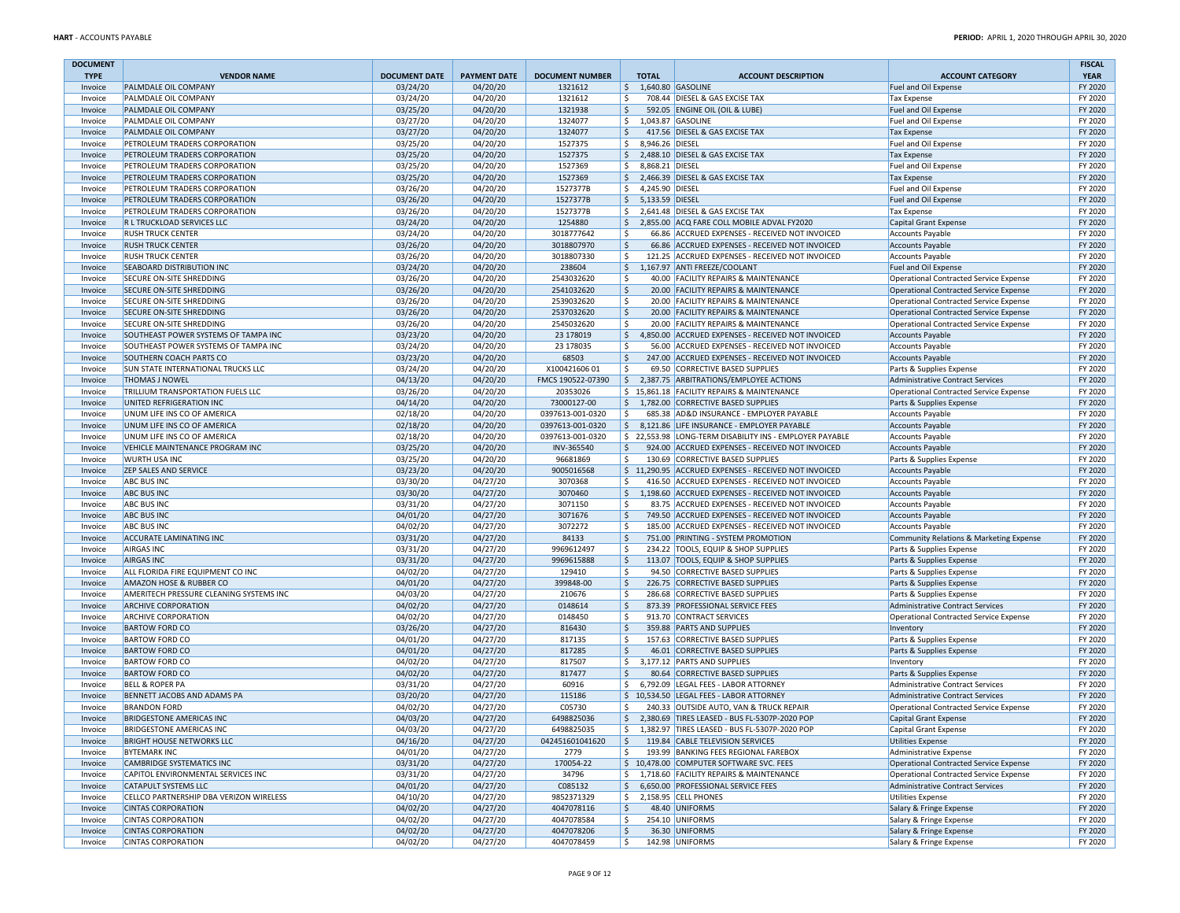| <b>DOCUMENT</b>        |                                                                        |                                  |                                 |                                   |                                      |                                                                                                            |                                                                            | <b>FISCAL</b>          |
|------------------------|------------------------------------------------------------------------|----------------------------------|---------------------------------|-----------------------------------|--------------------------------------|------------------------------------------------------------------------------------------------------------|----------------------------------------------------------------------------|------------------------|
| <b>TYPE</b><br>Invoice | <b>VENDOR NAME</b><br>PALMDALE OIL COMPANY                             | <b>DOCUMENT DATE</b><br>03/24/20 | <b>PAYMENT DATE</b><br>04/20/20 | <b>DOCUMENT NUMBER</b><br>1321612 | <b>TOTAL</b><br>$$1,640.80$ GASOLINE | <b>ACCOUNT DESCRIPTION</b>                                                                                 | <b>ACCOUNT CATEGORY</b><br>Fuel and Oil Expense                            | <b>YEAR</b><br>FY 2020 |
| Invoice                | PALMDALE OIL COMPANY                                                   | 03/24/20                         | 04/20/20                        | 1321612                           | \$                                   | 708.44 DIESEL & GAS EXCISE TAX                                                                             | <b>Tax Expense</b>                                                         | FY 2020                |
| Invoice                | PALMDALE OIL COMPANY                                                   | 03/25/20                         | 04/20/20                        | 1321938                           | \$                                   | 592.05 ENGINE OIL (OIL & LUBE)                                                                             | Fuel and Oil Expense                                                       | FY 2020                |
| Invoice                | PALMDALE OIL COMPANY                                                   | 03/27/20                         | 04/20/20                        | 1324077                           | \$                                   | 1,043.87 GASOLINE                                                                                          | Fuel and Oil Expense                                                       | FY 2020                |
| Invoice                | PALMDALE OIL COMPANY                                                   | 03/27/20                         | 04/20/20                        | 1324077                           | \$                                   | 417.56 DIESEL & GAS EXCISE TAX                                                                             | <b>Tax Expense</b>                                                         | FY 2020                |
| Invoice                | PETROLEUM TRADERS CORPORATION                                          | 03/25/20                         | 04/20/20                        | 1527375                           | \$<br>8,946.26 DIESEL                |                                                                                                            | Fuel and Oil Expense                                                       | FY 2020                |
| Invoice                | PETROLEUM TRADERS CORPORATION                                          | 03/25/20                         | 04/20/20                        | 1527375                           | \$                                   | 2,488.10 DIESEL & GAS EXCISE TAX                                                                           | <b>Tax Expense</b>                                                         | FY 2020                |
| Invoice                | PETROLEUM TRADERS CORPORATION                                          | 03/25/20                         | 04/20/20                        | 1527369                           | 8,868.21 DIESEL<br>\$                |                                                                                                            | Fuel and Oil Expense                                                       | FY 2020                |
| Invoice                | PETROLEUM TRADERS CORPORATION                                          | 03/25/20                         | 04/20/20                        | 1527369                           | \$                                   | 2,466.39 DIESEL & GAS EXCISE TAX                                                                           | <b>Tax Expense</b>                                                         | FY 2020                |
| Invoice                | PETROLEUM TRADERS CORPORATION                                          | 03/26/20                         | 04/20/20                        | 1527377B                          | \$<br>4,245.90 DIESEL                |                                                                                                            | Fuel and Oil Expense                                                       | FY 2020                |
| Invoice                | PETROLEUM TRADERS CORPORATION                                          | 03/26/20                         | 04/20/20                        | 1527377B                          | \$ 5,133.59 DIESEL                   |                                                                                                            | Fuel and Oil Expense                                                       | FY 2020                |
| Invoice                | PETROLEUM TRADERS CORPORATION                                          | 03/26/20                         | 04/20/20                        | 1527377B                          | \$                                   | 2,641.48 DIESEL & GAS EXCISE TAX                                                                           | <b>Tax Expense</b>                                                         | FY 2020                |
| Invoice                | R L TRUCKLOAD SERVICES LLC                                             | 03/24/20                         | 04/20/20                        | 1254880                           | \$                                   | 2,855.00 ACQ FARE COLL MOBILE ADVAL FY2020                                                                 | Capital Grant Expense                                                      | FY 2020                |
| Invoice                | <b>RUSH TRUCK CENTER</b>                                               | 03/24/20                         | 04/20/20                        | 3018777642<br>3018807970          | Ŝ                                    | 66.86 ACCRUED EXPENSES - RECEIVED NOT INVOICED                                                             | <b>Accounts Payable</b>                                                    | FY 2020<br>FY 2020     |
| Invoice<br>Invoice     | <b>RUSH TRUCK CENTER</b><br><b>RUSH TRUCK CENTER</b>                   | 03/26/20<br>03/26/20             | 04/20/20<br>04/20/20            | 3018807330                        | $\ddot{\varsigma}$<br>Ŝ.             | 66.86 ACCRUED EXPENSES - RECEIVED NOT INVOICED<br>121.25 ACCRUED EXPENSES - RECEIVED NOT INVOICED          | <b>Accounts Payable</b><br><b>Accounts Payable</b>                         | FY 2020                |
| Invoice                | <b>SEABOARD DISTRIBUTION INC</b>                                       | 03/24/20                         | 04/20/20                        | 238604                            | $\frac{1}{2}$                        | 1,167.97 ANTI FREEZE/COOLANT                                                                               | Fuel and Oil Expense                                                       | FY 2020                |
| Invoice                | SECURE ON-SITE SHREDDING                                               | 03/26/20                         | 04/20/20                        | 2543032620                        | Ŝ.                                   | 40.00 FACILITY REPAIRS & MAINTENANCE                                                                       | Operational Contracted Service Expense                                     | FY 2020                |
| Invoice                | SECURE ON-SITE SHREDDING                                               | 03/26/20                         | 04/20/20                        | 2541032620                        | \$                                   | 20.00 FACILITY REPAIRS & MAINTENANCE                                                                       | <b>Operational Contracted Service Expense</b>                              | FY 2020                |
| Invoice                | SECURE ON-SITE SHREDDING                                               | 03/26/20                         | 04/20/20                        | 2539032620                        | \$                                   | 20.00 FACILITY REPAIRS & MAINTENANCE                                                                       | Operational Contracted Service Expense                                     | FY 2020                |
| Invoice                | <b>SECURE ON-SITE SHREDDING</b>                                        | 03/26/20                         | 04/20/20                        | 2537032620                        | $\ddot{\phi}$                        | 20.00 FACILITY REPAIRS & MAINTENANCE                                                                       | Operational Contracted Service Expense                                     | FY 2020                |
| Invoice                | SECURE ON-SITE SHREDDING                                               | 03/26/20                         | 04/20/20                        | 2545032620                        | \$                                   | 20.00 FACILITY REPAIRS & MAINTENANCE                                                                       | Operational Contracted Service Expense                                     | FY 2020                |
| Invoice                | SOUTHEAST POWER SYSTEMS OF TAMPA INC                                   | 03/23/20                         | 04/20/20                        | 23 178019                         | \$                                   | 4,850.00 ACCRUED EXPENSES - RECEIVED NOT INVOICED                                                          | Accounts Payable                                                           | FY 2020                |
| Invoice                | SOUTHEAST POWER SYSTEMS OF TAMPA INC                                   | 03/24/20                         | 04/20/20                        | 23 178035                         | \$                                   | 56.00 ACCRUED EXPENSES - RECEIVED NOT INVOICED                                                             | <b>Accounts Payable</b>                                                    | FY 2020                |
| Invoice                | SOUTHERN COACH PARTS CO                                                | 03/23/20                         | 04/20/20                        | 68503                             | \$                                   | 247.00 ACCRUED EXPENSES - RECEIVED NOT INVOICED                                                            | <b>Accounts Payable</b>                                                    | FY 2020                |
| Invoice                | SUN STATE INTERNATIONAL TRUCKS LLC                                     | 03/24/20                         | 04/20/20                        | X10042160601                      | \$                                   | 69.50 CORRECTIVE BASED SUPPLIES                                                                            | Parts & Supplies Expense                                                   | FY 2020                |
| Invoice                | <b>THOMAS J NOWEL</b>                                                  | 04/13/20                         | 04/20/20                        | FMCS 190522-07390                 | S,                                   | 2.387.75 ARBITRATIONS/EMPLOYEE ACTIONS                                                                     | Administrative Contract Services                                           | FY 2020                |
| Invoice                | TRILLIUM TRANSPORTATION FUELS LLC                                      | 03/26/20                         | 04/20/20                        | 20353026                          |                                      | \$15,861.18 FACILITY REPAIRS & MAINTENANCE                                                                 | Operational Contracted Service Expense                                     | FY 2020                |
| Invoice                | UNITED REFRIGERATION INC                                               | 04/14/20                         | 04/20/20                        | 73000127-00                       | \$                                   | 1,782.00 CORRECTIVE BASED SUPPLIES                                                                         | Parts & Supplies Expense                                                   | FY 2020                |
| Invoice                | UNUM LIFE INS CO OF AMERICA                                            | 02/18/20                         | 04/20/20                        | 0397613-001-0320                  | \$                                   | 685.38 AD&D INSURANCE - EMPLOYER PAYABLE                                                                   | <b>Accounts Payable</b>                                                    | FY 2020                |
| Invoice                | UNUM LIFE INS CO OF AMERICA                                            | 02/18/20                         | 04/20/20<br>04/20/20            | 0397613-001-0320                  |                                      | \$ 8,121.86 LIFE INSURANCE - EMPLOYER PAYABLE                                                              | <b>Accounts Payable</b>                                                    | FY 2020<br>FY 2020     |
| Invoice<br>Invoice     | UNUM LIFE INS CO OF AMERICA<br>VEHICLE MAINTENANCE PROGRAM INC         | 02/18/20<br>03/25/20             | 04/20/20                        | 0397613-001-0320<br>INV-365540    | \$                                   | \$22,553.98 LONG-TERM DISABILITY INS - EMPLOYER PAYABLE<br>924.00 ACCRUED EXPENSES - RECEIVED NOT INVOICED | <b>Accounts Payable</b><br><b>Accounts Payable</b>                         | FY 2020                |
| Invoice                | <b>WURTH USA INC</b>                                                   | 03/25/20                         | 04/20/20                        | 96681869                          | \$                                   | 130.69 CORRECTIVE BASED SUPPLIES                                                                           | Parts & Supplies Expense                                                   | FY 2020                |
| Invoice                | <b>ZEP SALES AND SERVICE</b>                                           | 03/23/20                         | 04/20/20                        | 9005016568                        |                                      | \$11,290.95 ACCRUED EXPENSES - RECEIVED NOT INVOICED                                                       | <b>Accounts Payable</b>                                                    | FY 2020                |
| Invoice                | <b>ABC BUS INC</b>                                                     | 03/30/20                         | 04/27/20                        | 3070368                           | Ŝ.                                   | 416.50 ACCRUED EXPENSES - RECEIVED NOT INVOICED                                                            | <b>Accounts Payable</b>                                                    | FY 2020                |
| Invoice                | <b>ABC BUS INC</b>                                                     | 03/30/20                         | 04/27/20                        | 3070460                           | \$                                   | 1,198.60 ACCRUED EXPENSES - RECEIVED NOT INVOICED                                                          | <b>Accounts Payable</b>                                                    | FY 2020                |
| Invoice                | <b>ABC BUS INC</b>                                                     | 03/31/20                         | 04/27/20                        | 3071150                           | Ŝ.                                   | 83.75 ACCRUED EXPENSES - RECEIVED NOT INVOICED                                                             | <b>Accounts Payable</b>                                                    | FY 2020                |
| Invoice                | <b>ABC BUS INC</b>                                                     | 04/01/20                         | 04/27/20                        | 3071676                           | \$                                   | 749.50 ACCRUED EXPENSES - RECEIVED NOT INVOICED                                                            | <b>Accounts Payable</b>                                                    | FY 2020                |
| Invoice                | <b>ABC BUS INC</b>                                                     | 04/02/20                         | 04/27/20                        | 3072272                           | Ŝ.                                   | 185.00 ACCRUED EXPENSES - RECEIVED NOT INVOICED                                                            | <b>Accounts Payable</b>                                                    | FY 2020                |
| Invoice                | ACCURATE LAMINATING INC                                                | 03/31/20                         | 04/27/20                        | 84133                             | \$                                   | 751.00 PRINTING - SYSTEM PROMOTION                                                                         | Community Relations & Marketing Expense                                    | FY 2020                |
| Invoice                | <b>AIRGAS INC</b>                                                      | 03/31/20                         | 04/27/20                        | 9969612497                        | \$                                   | 234.22 TOOLS, EQUIP & SHOP SUPPLIES                                                                        | Parts & Supplies Expense                                                   | FY 2020                |
| Invoice                | <b>AIRGAS INC</b>                                                      | 03/31/20                         | 04/27/20                        | 9969615888                        | \$                                   | 113.07 TOOLS, EQUIP & SHOP SUPPLIES                                                                        | Parts & Supplies Expense                                                   | FY 2020                |
| Invoice                | ALL FLORIDA FIRE EQUIPMENT CO INC                                      | 04/02/20                         | 04/27/20                        | 129410                            | \$                                   | 94.50 CORRECTIVE BASED SUPPLIES                                                                            | Parts & Supplies Expense                                                   | FY 2020                |
| Invoice                | AMAZON HOSE & RUBBER CO                                                | 04/01/20                         | 04/27/20                        | 399848-00                         | Ŝ.<br>Ŝ.                             | 226.75 CORRECTIVE BASED SUPPLIES                                                                           | Parts & Supplies Expense                                                   | FY 2020                |
| Invoice                | AMERITECH PRESSURE CLEANING SYSTEMS INC<br><b>ARCHIVE CORPORATION</b>  | 04/03/20                         | 04/27/20<br>04/27/20            | 210676<br>0148614                 |                                      | 286.68 CORRECTIVE BASED SUPPLIES<br>873.39 PROFESSIONAL SERVICE FEES                                       | Parts & Supplies Expense                                                   | FY 2020<br>FY 2020     |
| Invoice<br>Invoice     | <b>ARCHIVE CORPORATION</b>                                             | 04/02/20<br>04/02/20             | 04/27/20                        | 0148450                           | \$<br>\$                             | 913.70 CONTRACT SERVICES                                                                                   | Administrative Contract Services<br>Operational Contracted Service Expense | FY 2020                |
| Invoice                | <b>BARTOW FORD CO</b>                                                  | 03/26/20                         | 04/27/20                        | 816430                            | \$                                   | 359.88 PARTS AND SUPPLIES                                                                                  | Inventory                                                                  | FY 2020                |
| Invoice                | <b>BARTOW FORD CO</b>                                                  | 04/01/20                         | 04/27/20                        | 817135                            | \$                                   | 157.63 CORRECTIVE BASED SUPPLIES                                                                           | Parts & Supplies Expense                                                   | FY 2020                |
| Invoice                | <b>BARTOW FORD CO</b>                                                  | 04/01/20                         | 04/27/20                        | 817285                            | \$                                   | 46.01 CORRECTIVE BASED SUPPLIES                                                                            | Parts & Supplies Expense                                                   | FY 2020                |
| Invoice                | <b>BARTOW FORD CO</b>                                                  | 04/02/20                         | 04/27/20                        | 817507                            | \$                                   | 3,177.12 PARTS AND SUPPLIES                                                                                | Inventory                                                                  | FY 2020                |
| Invoice                | <b>BARTOW FORD CO</b>                                                  | 04/02/20                         | 04/27/20                        | 817477                            | \$                                   | 80.64 CORRECTIVE BASED SUPPLIES                                                                            | Parts & Supplies Expense                                                   | FY 2020                |
| Invoice                | <b>BELL &amp; ROPER PA</b>                                             | 03/31/20                         | 04/27/20                        | 60916                             | \$                                   | 6,792.09 LEGAL FEES - LABOR ATTORNEY                                                                       | Administrative Contract Services                                           | FY 2020                |
| Invoice                | BENNETT JACOBS AND ADAMS PA                                            | 03/20/20                         | 04/27/20                        | 115186                            |                                      | \$10,534.50 LEGAL FEES - LABOR ATTORNEY                                                                    | Administrative Contract Services                                           | FY 2020                |
| Invoice                | <b>BRANDON FORD</b>                                                    | 04/02/20                         | 04/27/20                        | C05730                            | Ŝ.                                   | 240.33 OUTSIDE AUTO, VAN & TRUCK REPAIR                                                                    | Operational Contracted Service Expense                                     | FY 2020                |
| Invoice                | <b>BRIDGESTONE AMERICAS INC</b>                                        | 04/03/20                         | 04/27/20                        | 6498825036                        | \$                                   | 2,380.69 TIRES LEASED - BUS FL-5307P-2020 POP                                                              | <b>Capital Grant Expense</b>                                               | FY 2020                |
| Invoice                | <b>BRIDGESTONE AMERICAS INC</b>                                        | 04/03/20                         | 04/27/20                        | 6498825035                        | \$                                   | 1,382.97 TIRES LEASED - BUS FL-5307P-2020 POP                                                              | Capital Grant Expense                                                      | FY 2020                |
| Invoice                | <b>BRIGHT HOUSE NETWORKS LLC</b>                                       | 04/16/20                         | 04/27/20                        | 042451601041620                   | $\frac{1}{2}$                        | 119.84 CABLE TELEVISION SERVICES                                                                           | <b>Utilities Expense</b>                                                   | FY 2020                |
| Invoice                | <b>BYTEMARK INC</b>                                                    | 04/01/20                         | 04/27/20                        | 2779                              | \$                                   | 193.99 BANKING FEES REGIONAL FAREBOX                                                                       | Administrative Expense                                                     | FY 2020                |
| Invoice                | <b>CAMBRIDGE SYSTEMATICS INC</b><br>CAPITOL ENVIRONMENTAL SERVICES INC | 03/31/20                         | 04/27/20                        | 170054-22                         |                                      | \$ 10,478.00 COMPUTER SOFTWARE SVC. FEES<br>\$1,718.60 FACILITY REPAIRS & MAINTENANCE                      | Operational Contracted Service Expense                                     | FY 2020                |
| Invoice<br>Invoice     | <b>CATAPULT SYSTEMS LLC</b>                                            | 03/31/20<br>04/01/20             | 04/27/20<br>04/27/20            | 34796<br>C085132                  |                                      | \$ 6,650.00 PROFESSIONAL SERVICE FEES                                                                      | Operational Contracted Service Expense<br>Administrative Contract Services | FY 2020<br>FY 2020     |
| Invoice                | CELLCO PARTNERSHIP DBA VERIZON WIRELESS                                | 04/10/20                         | 04/27/20                        | 9852371329                        | \$                                   | 2,158.95 CELL PHONES                                                                                       | <b>Utilities Expense</b>                                                   | FY 2020                |
| Invoice                | <b>CINTAS CORPORATION</b>                                              | 04/02/20                         | 04/27/20                        | 4047078116                        | \$                                   | 48.40 UNIFORMS                                                                                             | Salary & Fringe Expense                                                    | FY 2020                |
| Invoice                | <b>CINTAS CORPORATION</b>                                              | 04/02/20                         | 04/27/20                        | 4047078584                        | \$                                   | 254.10 UNIFORMS                                                                                            | Salary & Fringe Expense                                                    | FY 2020                |
| Invoice                | <b>CINTAS CORPORATION</b>                                              | 04/02/20                         | 04/27/20                        | 4047078206                        | $\ddot{\phi}$                        | 36.30 UNIFORMS                                                                                             | Salary & Fringe Expense                                                    | FY 2020                |
| Invoice                | <b>CINTAS CORPORATION</b>                                              | 04/02/20                         | 04/27/20                        | 4047078459                        | \$                                   | 142.98 UNIFORMS                                                                                            | Salary & Fringe Expense                                                    | FY 2020                |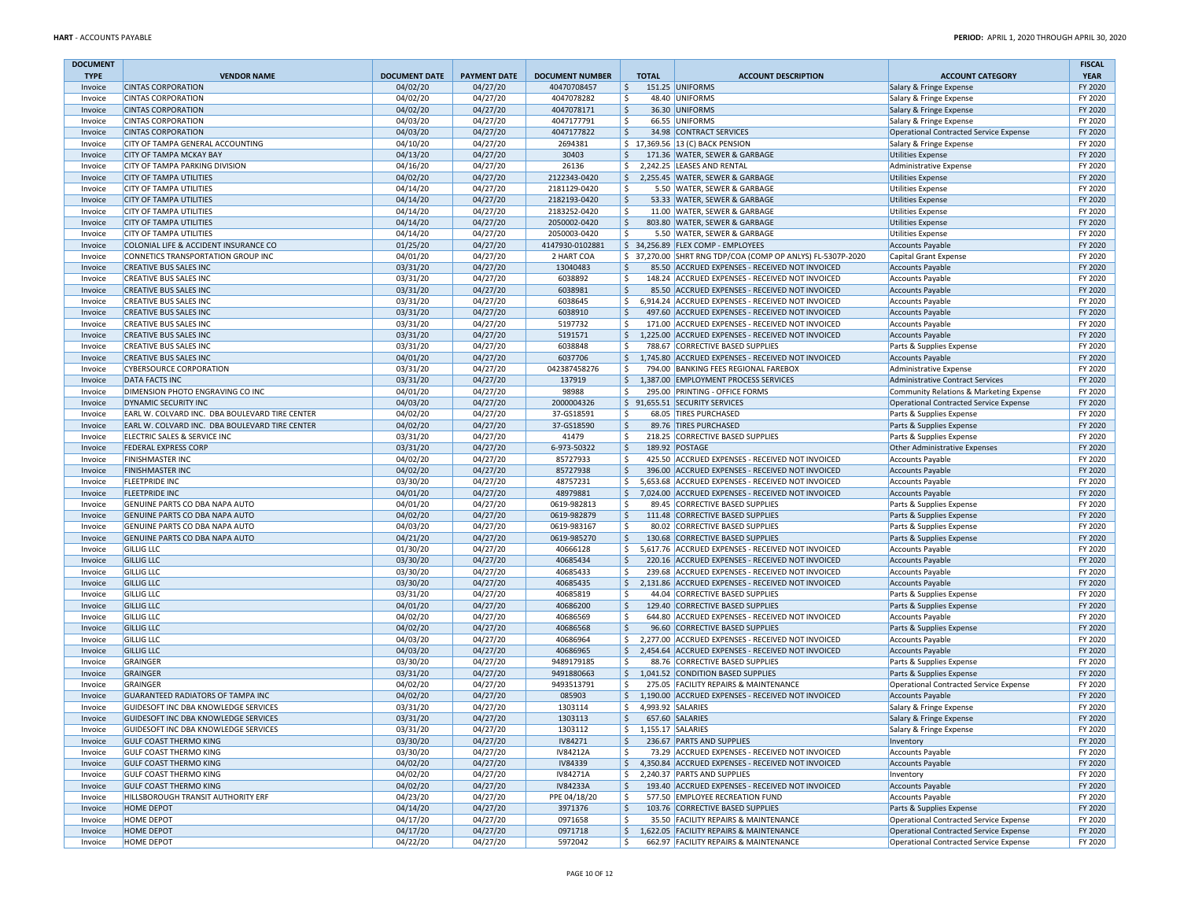| <b>DOCUMENT</b>    |                                                                  |                      |                      |                              |              |                                                                                                        |                                                     | <b>FISCAL</b>      |
|--------------------|------------------------------------------------------------------|----------------------|----------------------|------------------------------|--------------|--------------------------------------------------------------------------------------------------------|-----------------------------------------------------|--------------------|
| <b>TYPE</b>        | <b>VENDOR NAME</b>                                               | <b>DOCUMENT DATE</b> | <b>PAYMENT DATE</b>  | <b>DOCUMENT NUMBER</b>       | <b>TOTAL</b> | <b>ACCOUNT DESCRIPTION</b>                                                                             | <b>ACCOUNT CATEGORY</b>                             | <b>YEAR</b>        |
| Invoice            | <b>CINTAS CORPORATION</b><br><b>CINTAS CORPORATION</b>           | 04/02/20             | 04/27/20             | 40470708457                  | \$<br>Ŝ.     | 151.25 UNIFORMS                                                                                        | Salary & Fringe Expense                             | FY 2020            |
| Invoice<br>Invoice | <b>CINTAS CORPORATION</b>                                        | 04/02/20<br>04/02/20 | 04/27/20<br>04/27/20 | 4047078282<br>4047078171     | \$           | 48.40 UNIFORMS<br>36.30 UNIFORMS                                                                       | Salary & Fringe Expense<br>Salary & Fringe Expense  | FY 2020<br>FY 2020 |
| Invoice            | <b>CINTAS CORPORATION</b>                                        | 04/03/20             | 04/27/20             | 4047177791                   | \$           | 66.55 UNIFORMS                                                                                         | Salary & Fringe Expense                             | FY 2020            |
| Invoice            | <b>CINTAS CORPORATION</b>                                        | 04/03/20             | 04/27/20             | 4047177822                   | \$           | 34.98 CONTRACT SERVICES                                                                                | Operational Contracted Service Expense              | FY 2020            |
| Invoice            | CITY OF TAMPA GENERAL ACCOUNTING                                 | 04/10/20             | 04/27/20             | 2694381                      |              | \$17,369.56 13 (C) BACK PENSION                                                                        | Salary & Fringe Expense                             | FY 2020            |
| Invoice            | <b>CITY OF TAMPA MCKAY BAY</b>                                   | 04/13/20             | 04/27/20             | 30403                        | \$           | 171.36 WATER, SEWER & GARBAGE                                                                          | <b>Utilities Expense</b>                            | FY 2020            |
| Invoice            | <b>CITY OF TAMPA PARKING DIVISION</b>                            | 04/16/20             | 04/27/20             | 26136                        |              | \$ 2,242.25 LEASES AND RENTAL                                                                          | Administrative Expense                              | FY 2020            |
| Invoice            | <b>CITY OF TAMPA UTILITIES</b>                                   | 04/02/20             | 04/27/20             | 2122343-0420                 | \$           | 2,255.45 WATER, SEWER & GARBAGE                                                                        | <b>Utilities Expense</b>                            | FY 2020            |
| Invoice            | <b>CITY OF TAMPA UTILITIES</b>                                   | 04/14/20             | 04/27/20             | 2181129-0420                 | Ŝ.           | 5.50 WATER, SEWER & GARBAGE                                                                            | <b>Utilities Expense</b>                            | FY 2020            |
| Invoice            | <b>CITY OF TAMPA UTILITIES</b>                                   | 04/14/20             | 04/27/20             | 2182193-0420<br>2183252-0420 | \$           | 53.33 WATER, SEWER & GARBAGE                                                                           | Utilities Expense                                   | FY 2020            |
| Invoice            | <b>CITY OF TAMPA UTILITIES</b><br><b>CITY OF TAMPA UTILITIES</b> | 04/14/20<br>04/14/20 | 04/27/20<br>04/27/20 | 2050002-0420                 | \$<br>\$     | 11.00 WATER, SEWER & GARBAGE<br>803.80 WATER, SEWER & GARBAGE                                          | Utilities Expense                                   | FY 2020<br>FY 2020 |
| Invoice<br>Invoice | <b>CITY OF TAMPA UTILITIES</b>                                   | 04/14/20             | 04/27/20             | 2050003-0420                 | \$           | 5.50 WATER, SEWER & GARBAGE                                                                            | <b>Utilities Expense</b><br>Utilities Expense       | FY 2020            |
| Invoice            | COLONIAL LIFE & ACCIDENT INSURANCE CO                            | 01/25/20             | 04/27/20             | 4147930-0102881              |              | \$ 34,256.89 FLEX COMP - EMPLOYEES                                                                     | <b>Accounts Payable</b>                             | FY 2020            |
| Invoice            | CONNETICS TRANSPORTATION GROUP INC                               | 04/01/20             | 04/27/20             | 2 HART COA                   |              | \$ 37,270.00 SHRT RNG TDP/COA (COMP OP ANLYS) FL-5307P-2020                                            | Capital Grant Expense                               | FY 2020            |
| Invoice            | <b>CREATIVE BUS SALES INC</b>                                    | 03/31/20             | 04/27/20             | 13040483                     | \$           | 85.50 ACCRUED EXPENSES - RECEIVED NOT INVOICED                                                         | <b>Accounts Payable</b>                             | FY 2020            |
| Invoice            | <b>CREATIVE BUS SALES INC</b>                                    | 03/31/20             | 04/27/20             | 6038892                      | Ŝ.           | 148.24 ACCRUED EXPENSES - RECEIVED NOT INVOICED                                                        | <b>Accounts Payable</b>                             | FY 2020            |
| Invoice            | <b>CREATIVE BUS SALES INC</b>                                    | 03/31/20             | 04/27/20             | 6038981                      | \$           | 85.50 ACCRUED EXPENSES - RECEIVED NOT INVOICED                                                         | <b>Accounts Payable</b>                             | FY 2020            |
| Invoice            | <b>CREATIVE BUS SALES INC</b>                                    | 03/31/20             | 04/27/20             | 6038645                      | \$           | 6,914.24 ACCRUED EXPENSES - RECEIVED NOT INVOICED                                                      | <b>Accounts Payable</b>                             | FY 2020            |
| Invoice            | <b>CREATIVE BUS SALES INC</b>                                    | 03/31/20             | 04/27/20             | 6038910                      | \$           | 497.60 ACCRUED EXPENSES - RECEIVED NOT INVOICED                                                        | Accounts Payable                                    | FY 2020            |
| Invoice            | <b>CREATIVE BUS SALES INC</b>                                    | 03/31/20             | 04/27/20             | 5197732                      | Ŝ.           | 171.00 ACCRUED EXPENSES - RECEIVED NOT INVOICED                                                        | <b>Accounts Payable</b>                             | FY 2020            |
| Invoice            | <b>CREATIVE BUS SALES INC</b><br><b>CREATIVE BUS SALES INC</b>   | 03/31/20             | 04/27/20             | 5191571<br>6038848           | \$<br>\$     | 1,225.00 ACCRUED EXPENSES - RECEIVED NOT INVOICED<br>788.67 CORRECTIVE BASED SUPPLIES                  | <b>Accounts Payable</b>                             | FY 2020<br>FY 2020 |
| Invoice<br>Invoice | <b>CREATIVE BUS SALES INC</b>                                    | 03/31/20<br>04/01/20 | 04/27/20<br>04/27/20 | 6037706                      | $\mathsf{S}$ | 1,745.80 ACCRUED EXPENSES - RECEIVED NOT INVOICED                                                      | Parts & Supplies Expense<br><b>Accounts Payable</b> | FY 2020            |
| Invoice            | <b>CYBERSOURCE CORPORATION</b>                                   | 03/31/20             | 04/27/20             | 042387458276                 | Ŝ.           | 794.00 BANKING FEES REGIONAL FAREBOX                                                                   | Administrative Expense                              | FY 2020            |
| Invoice            | <b>DATA FACTS INC</b>                                            | 03/31/20             | 04/27/20             | 137919                       | \$           | 1,387.00 EMPLOYMENT PROCESS SERVICES                                                                   | Administrative Contract Services                    | FY 2020            |
| Invoice            | DIMENSION PHOTO ENGRAVING CO INC                                 | 04/01/20             | 04/27/20             | 98988                        | \$           | 295.00 PRINTING - OFFICE FORMS                                                                         | Community Relations & Marketing Expense             | FY 2020            |
| Invoice            | DYNAMIC SECURITY INC                                             | 04/03/20             | 04/27/20             | 2000004326                   |              | \$ 91,655.51 SECURITY SERVICES                                                                         | Operational Contracted Service Expense              | FY 2020            |
| Invoice            | EARL W. COLVARD INC. DBA BOULEVARD TIRE CENTER                   | 04/02/20             | 04/27/20             | 37-GS18591                   | \$           | 68.05 TIRES PURCHASED                                                                                  | Parts & Supplies Expense                            | FY 2020            |
| Invoice            | EARL W. COLVARD INC. DBA BOULEVARD TIRE CENTER                   | 04/02/20             | 04/27/20             | 37-GS18590                   | \$           | 89.76 TIRES PURCHASED                                                                                  | Parts & Supplies Expense                            | FY 2020            |
| Invoice            | ELECTRIC SALES & SERVICE INC                                     | 03/31/20             | 04/27/20             | 41479                        | \$           | 218.25 CORRECTIVE BASED SUPPLIES                                                                       | Parts & Supplies Expense                            | FY 2020            |
| Invoice            | <b>FEDERAL EXPRESS CORP</b>                                      | 03/31/20             | 04/27/20             | 6-973-50322                  | \$           | 189.92 POSTAGE                                                                                         | Other Administrative Expenses                       | FY 2020            |
| Invoice            | <b>FINISHMASTER INC</b>                                          | 04/02/20             | 04/27/20             | 85727933                     | \$           | 425.50 ACCRUED EXPENSES - RECEIVED NOT INVOICED                                                        | <b>Accounts Payable</b>                             | FY 2020            |
| Invoice            | <b>FINISHMASTER INC</b>                                          | 04/02/20             | 04/27/20             | 85727938                     | \$           | 396.00 ACCRUED EXPENSES - RECEIVED NOT INVOICED                                                        | <b>Accounts Payable</b>                             | FY 2020            |
| Invoice            | <b>FLEETPRIDE INC</b><br><b>FLEETPRIDE INC</b>                   | 03/30/20<br>04/01/20 | 04/27/20<br>04/27/20 | 48757231<br>48979881         | \$<br>\$     | 5,653.68 ACCRUED EXPENSES - RECEIVED NOT INVOICED<br>7,024.00 ACCRUED EXPENSES - RECEIVED NOT INVOICED | <b>Accounts Payable</b>                             | FY 2020<br>FY 2020 |
| Invoice<br>Invoice | GENUINE PARTS CO DBA NAPA AUTO                                   | 04/01/20             | 04/27/20             | 0619-982813                  | \$           | 89.45 CORRECTIVE BASED SUPPLIES                                                                        | <b>Accounts Payable</b><br>Parts & Supplies Expense | FY 2020            |
| Invoice            | GENUINE PARTS CO DBA NAPA AUTO                                   | 04/02/20             | 04/27/20             | 0619-982879                  | \$           | 111.48 CORRECTIVE BASED SUPPLIES                                                                       | Parts & Supplies Expense                            | FY 2020            |
| Invoice            | GENUINE PARTS CO DBA NAPA AUTO                                   | 04/03/20             | 04/27/20             | 0619-983167                  | \$           | 80.02 CORRECTIVE BASED SUPPLIES                                                                        | Parts & Supplies Expense                            | FY 2020            |
| Invoice            | GENUINE PARTS CO DBA NAPA AUTO                                   | 04/21/20             | 04/27/20             | 0619-985270                  | \$           | 130.68 CORRECTIVE BASED SUPPLIES                                                                       | Parts & Supplies Expense                            | FY 2020            |
| Invoice            | <b>GILLIG LLC</b>                                                | 01/30/20             | 04/27/20             | 40666128                     | \$           | 5,617.76 ACCRUED EXPENSES - RECEIVED NOT INVOICED                                                      | <b>Accounts Payable</b>                             | FY 2020            |
| Invoice            | <b>GILLIG LLC</b>                                                | 03/30/20             | 04/27/20             | 40685434                     | \$           | 220.16 ACCRUED EXPENSES - RECEIVED NOT INVOICED                                                        | <b>Accounts Payable</b>                             | FY 2020            |
| Invoice            | <b>GILLIG LLC</b>                                                | 03/30/20             | 04/27/20             | 40685433                     | \$           | 239.68 ACCRUED EXPENSES - RECEIVED NOT INVOICED                                                        | <b>Accounts Payable</b>                             | FY 2020            |
| Invoice            | <b>GILLIG LLC</b>                                                | 03/30/20             | 04/27/20             | 40685435                     | \$           | 2,131.86 ACCRUED EXPENSES - RECEIVED NOT INVOICED                                                      | <b>Accounts Payable</b>                             | FY 2020            |
| Invoice            | <b>GILLIG LLC</b>                                                | 03/31/20             | 04/27/20             | 40685819                     | \$           | 44.04 CORRECTIVE BASED SUPPLIES                                                                        | Parts & Supplies Expense                            | FY 2020            |
| Invoice            | <b>GILLIG LLC</b>                                                | 04/01/20             | 04/27/20             | 40686200                     | \$           | 129.40 CORRECTIVE BASED SUPPLIES                                                                       | Parts & Supplies Expense                            | FY 2020<br>FY 2020 |
| Invoice<br>Invoice | <b>GILLIG LLC</b><br><b>GILLIG LLC</b>                           | 04/02/20<br>04/02/20 | 04/27/20<br>04/27/20 | 40686569<br>40686568         | \$<br>\$     | 644.80 ACCRUED EXPENSES - RECEIVED NOT INVOICED<br>96.60 CORRECTIVE BASED SUPPLIES                     | <b>Accounts Payable</b><br>Parts & Supplies Expense | FY 2020            |
| Invoice            | <b>GILLIG LLC</b>                                                | 04/03/20             | 04/27/20             | 40686964                     | \$           | 2,277.00 ACCRUED EXPENSES - RECEIVED NOT INVOICED                                                      | <b>Accounts Payable</b>                             | FY 2020            |
| Invoice            | <b>GILLIG LLC</b>                                                | 04/03/20             | 04/27/20             | 40686965                     | \$           | 2,454.64 ACCRUED EXPENSES - RECEIVED NOT INVOICED                                                      | <b>Accounts Payable</b>                             | FY 2020            |
| Invoice            | GRAINGER                                                         | 03/30/20             | 04/27/20             | 9489179185                   | \$           | 88.76 CORRECTIVE BASED SUPPLIES                                                                        | Parts & Supplies Expense                            | FY 2020            |
| Invoice            | GRAINGER                                                         | 03/31/20             | 04/27/20             | 9491880663                   | \$           | 1,041.52 CONDITION BASED SUPPLIES                                                                      | Parts & Supplies Expense                            | FY 2020            |
| Invoice            | GRAINGER                                                         | 04/02/20             | 04/27/20             | 9493513791                   | \$           | 275.05 FACILITY REPAIRS & MAINTENANCE                                                                  | Operational Contracted Service Expense              | FY 2020            |
| Invoice            | <b>GUARANTEED RADIATORS OF TAMPA INC</b>                         | 04/02/20             | 04/27/20             | 085903                       | \$           | 1,190.00 ACCRUED EXPENSES - RECEIVED NOT INVOICED                                                      | <b>Accounts Payable</b>                             | FY 2020            |
| Invoice            | GUIDESOFT INC DBA KNOWLEDGE SERVICES                             | 03/31/20             | 04/27/20             | 1303114                      | \$           | 4,993.92 SALARIES                                                                                      | Salary & Fringe Expense                             | FY 2020            |
| Invoice            | GUIDESOFT INC DBA KNOWLEDGE SERVICES                             | 03/31/20             | 04/27/20             | 1303113                      | \$           | 657.60 SALARIES                                                                                        | Salary & Fringe Expense                             | FY 2020            |
| Invoice            | GUIDESOFT INC DBA KNOWLEDGE SERVICES                             | 03/31/20             | 04/27/20             | 1303112                      | \$           | 1,155.17 SALARIES                                                                                      | Salary & Fringe Expense                             | FY 2020            |
| Invoice            | <b>GULF COAST THERMO KING</b><br><b>GULF COAST THERMO KING</b>   | 03/30/20             | 04/27/20<br>04/27/20 | IV84271<br>IV84212A          | \$<br>\$     | 236.67 PARTS AND SUPPLIES<br>73.29 ACCRUED EXPENSES - RECEIVED NOT INVOICED                            | Inventory<br><b>Accounts Payable</b>                | FY 2020<br>FY 2020 |
| Invoice<br>Invoice | <b>GULF COAST THERMO KING</b>                                    | 03/30/20<br>04/02/20 | 04/27/20             | IV84339                      |              | \$4,350.84 ACCRUED EXPENSES - RECEIVED NOT INVOICED                                                    | <b>Accounts Payable</b>                             | FY 2020            |
| Invoice            | <b>GULF COAST THERMO KING</b>                                    | 04/02/20             | 04/27/20             | IV84271A                     |              | \$ 2,240.37 PARTS AND SUPPLIES                                                                         | Inventory                                           | FY 2020            |
| Invoice            | <b>GULF COAST THERMO KING</b>                                    | 04/02/20             | 04/27/20             | IV84233A                     | S,           | 193.40 ACCRUED EXPENSES - RECEIVED NOT INVOICED                                                        | <b>Accounts Payable</b>                             | FY 2020            |
| Invoice            | HILLSBOROUGH TRANSIT AUTHORITY ERF                               | 04/23/20             | 04/27/20             | PPE 04/18/20                 | \$           | 577.50 EMPLOYEE RECREATION FUND                                                                        | <b>Accounts Payable</b>                             | FY 2020            |
| Invoice            | <b>HOME DEPOT</b>                                                | 04/14/20             | 04/27/20             | 3971376                      | \$           | 103.76 CORRECTIVE BASED SUPPLIES                                                                       | Parts & Supplies Expense                            | FY 2020            |
| Invoice            | <b>HOME DEPOT</b>                                                | 04/17/20             | 04/27/20             | 0971658                      | \$           | 35.50 FACILITY REPAIRS & MAINTENANCE                                                                   | Operational Contracted Service Expense              | FY 2020            |
| Invoice            | <b>HOME DEPOT</b>                                                | 04/17/20             | 04/27/20             | 0971718                      |              | \$1,622.05 FACILITY REPAIRS & MAINTENANCE                                                              | Operational Contracted Service Expense              | FY 2020            |
| Invoice            | <b>HOME DEPOT</b>                                                | 04/22/20             | 04/27/20             | 5972042                      | \$           | 662.97 FACILITY REPAIRS & MAINTENANCE                                                                  | Operational Contracted Service Expense              | FY 2020            |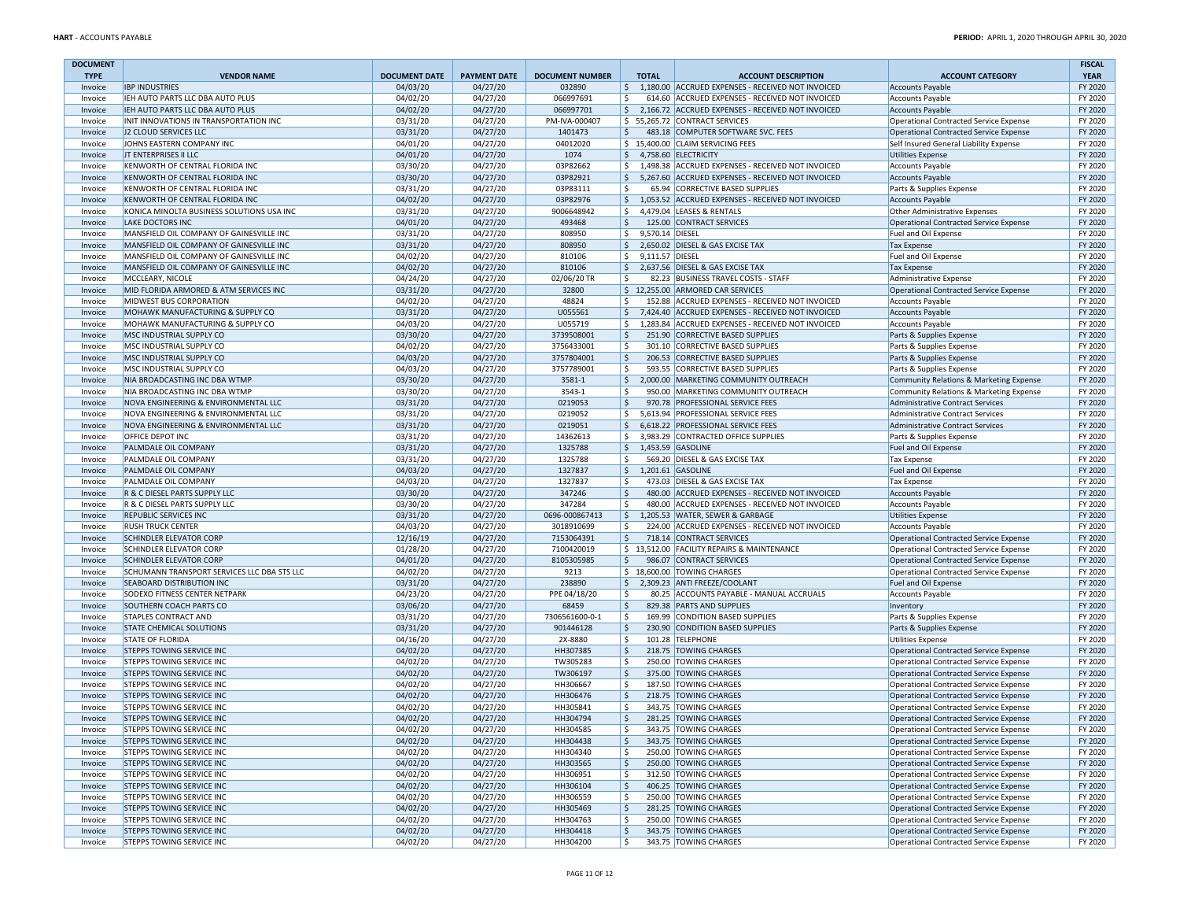| <b>DOCUMENT</b>    |                                                            |                                  |                      |                                  |                         |                                                                                   |                                                                             | <b>FISCAL</b>          |
|--------------------|------------------------------------------------------------|----------------------------------|----------------------|----------------------------------|-------------------------|-----------------------------------------------------------------------------------|-----------------------------------------------------------------------------|------------------------|
| <b>TYPE</b>        | <b>VENDOR NAME</b><br><b>IBP INDUSTRIES</b>                | <b>DOCUMENT DATE</b><br>04/03/20 | <b>PAYMENT DATE</b>  | <b>DOCUMENT NUMBER</b><br>032890 | <b>TOTAL</b>            | <b>ACCOUNT DESCRIPTION</b><br>\$1,180.00 ACCRUED EXPENSES - RECEIVED NOT INVOICED | <b>ACCOUNT CATEGORY</b>                                                     | <b>YEAR</b><br>FY 2020 |
| Invoice<br>Invoice | IEH AUTO PARTS LLC DBA AUTO PLUS                           | 04/02/20                         | 04/27/20<br>04/27/20 | 066997691                        | \$.                     | 614.60 ACCRUED EXPENSES - RECEIVED NOT INVOICED                                   | <b>Accounts Payable</b>                                                     | FY 2020                |
| Invoice            | IEH AUTO PARTS LLC DBA AUTO PLUS                           | 04/02/20                         | 04/27/20             | 066997701                        | \$                      | 2,166.72 ACCRUED EXPENSES - RECEIVED NOT INVOICED                                 | <b>Accounts Payable</b>                                                     | FY 2020                |
| Invoice            | INIT INNOVATIONS IN TRANSPORTATION INC                     | 03/31/20                         | 04/27/20             | PM-IVA-000407                    |                         | \$55,265.72 CONTRACT SERVICES                                                     | <b>Accounts Payable</b><br><b>Operational Contracted Service Expense</b>    | FY 2020                |
| Invoice            | J2 CLOUD SERVICES LLC                                      | 03/31/20                         | 04/27/20             | 1401473                          | \$                      | 483.18 COMPUTER SOFTWARE SVC. FEES                                                | Operational Contracted Service Expense                                      | FY 2020                |
| Invoice            | JOHNS EASTERN COMPANY INC                                  | 04/01/20                         | 04/27/20             | 04012020                         |                         | \$15,400.00 CLAIM SERVICING FEES                                                  | Self Insured General Liability Expense                                      | FY 2020                |
| Invoice            | JT ENTERPRISES II LLC                                      | 04/01/20                         | 04/27/20             | 1074                             | $$4,758.60$ ELECTRICITY |                                                                                   | <b>Utilities Expense</b>                                                    | FY 2020                |
| Invoice            | KENWORTH OF CENTRAL FLORIDA INC                            | 03/30/20                         | 04/27/20             | 03P82662                         | \$                      | 1,498.38 ACCRUED EXPENSES - RECEIVED NOT INVOICED                                 | <b>Accounts Payable</b>                                                     | FY 2020                |
| Invoice            | KENWORTH OF CENTRAL FLORIDA INC                            | 03/30/20                         | 04/27/20             | 03P82921                         | \$                      | 5,267.60 ACCRUED EXPENSES - RECEIVED NOT INVOICED                                 | <b>Accounts Payable</b>                                                     | FY 2020                |
| Invoice            | KENWORTH OF CENTRAL FLORIDA INC                            | 03/31/20                         | 04/27/20             | 03P83111                         | Ś                       | 65.94 CORRECTIVE BASED SUPPLIES                                                   | Parts & Supplies Expense                                                    | FY 2020                |
| Invoice            | KENWORTH OF CENTRAL FLORIDA INC                            | 04/02/20                         | 04/27/20             | 03P82976                         | \$                      | 1,053.52 ACCRUED EXPENSES - RECEIVED NOT INVOICED                                 | <b>Accounts Payable</b>                                                     | FY 2020                |
| Invoice            | KONICA MINOLTA BUSINESS SOLUTIONS USA INC                  | 03/31/20                         | 04/27/20             | 9006648942                       | \$                      | 4,479.04 LEASES & RENTALS                                                         | <b>Other Administrative Expenses</b>                                        | FY 2020                |
| Invoice            | <b>LAKE DOCTORS INC</b>                                    | 04/01/20                         | 04/27/20             | 493468                           | \$                      | 125.00 CONTRACT SERVICES                                                          | Operational Contracted Service Expense                                      | FY 2020                |
| Invoice            | MANSFIELD OIL COMPANY OF GAINESVILLE INC                   | 03/31/20                         | 04/27/20             | 808950                           | \$<br>9,570.14 DIESEL   |                                                                                   | Fuel and Oil Expense                                                        | FY 2020                |
| Invoice            | MANSFIELD OIL COMPANY OF GAINESVILLE INC                   | 03/31/20                         | 04/27/20             | 808950                           | \$                      | 2,650.02 DIESEL & GAS EXCISE TAX                                                  | <b>Tax Expense</b>                                                          | FY 2020                |
| Invoice            | MANSFIELD OIL COMPANY OF GAINESVILLE INC                   | 04/02/20                         | 04/27/20             | 810106                           | \$<br>9,111.57 DIESEL   |                                                                                   | Fuel and Oil Expense                                                        | FY 2020                |
| Invoice            | MANSFIELD OIL COMPANY OF GAINESVILLE INC                   | 04/02/20                         | 04/27/20             | 810106                           | \$                      | 2,637.56 DIESEL & GAS EXCISE TAX                                                  | <b>Tax Expense</b>                                                          | FY 2020                |
| Invoice            | MCCLEARY, NICOLE                                           | 04/24/20                         | 04/27/20             | 02/06/20 TR                      |                         | 82.23 BUSINESS TRAVEL COSTS - STAFF                                               | Administrative Expense                                                      | FY 2020                |
| Invoice            | MID FLORIDA ARMORED & ATM SERVICES INC                     | 03/31/20                         | 04/27/20             | 32800                            |                         | \$12,255.00 ARMORED CAR SERVICES                                                  | Operational Contracted Service Expense                                      | FY 2020                |
| Invoice            | MIDWEST BUS CORPORATION                                    | 04/02/20                         | 04/27/20             | 48824                            | Ś                       | 152.88 ACCRUED EXPENSES - RECEIVED NOT INVOICED                                   | <b>Accounts Payable</b>                                                     | FY 2020                |
| Invoice            | MOHAWK MANUFACTURING & SUPPLY CO                           | 03/31/20                         | 04/27/20             | U055561                          | \$                      | 7,424.40 ACCRUED EXPENSES - RECEIVED NOT INVOICED                                 | <b>Accounts Payable</b>                                                     | FY 2020                |
| Invoice            | MOHAWK MANUFACTURING & SUPPLY CO                           | 04/03/20                         | 04/27/20             | U055719                          | Ś.                      | 1,283.84 ACCRUED EXPENSES - RECEIVED NOT INVOICED                                 | <b>Accounts Payable</b>                                                     | FY 2020                |
| Invoice            | MSC INDUSTRIAL SUPPLY CO<br>MSC INDUSTRIAL SUPPLY CO       | 03/30/20                         | 04/27/20             | 3739508001                       | \$                      | 251.90 CORRECTIVE BASED SUPPLIES                                                  | Parts & Supplies Expense                                                    | FY 2020                |
| Invoice            | MSC INDUSTRIAL SUPPLY CO                                   | 04/02/20                         | 04/27/20             | 3756433001<br>3757804001         | Ś.<br>Ŝ.                | 301.10 CORRECTIVE BASED SUPPLIES                                                  | Parts & Supplies Expense                                                    | FY 2020<br>FY 2020     |
| Invoice<br>Invoice | <b>MSC INDUSTRIAL SUPPLY CO</b>                            | 04/03/20<br>04/03/20             | 04/27/20<br>04/27/20 | 3757789001                       | Ś                       | 206.53 CORRECTIVE BASED SUPPLIES<br>593.55 CORRECTIVE BASED SUPPLIES              | Parts & Supplies Expense<br>Parts & Supplies Expense                        | FY 2020                |
| Invoice            | NIA BROADCASTING INC DBA WTMP                              | 03/30/20                         | 04/27/20             | 3581-1                           | \$                      | 2,000.00 MARKETING COMMUNITY OUTREACH                                             | Community Relations & Marketing Expense                                     | FY 2020                |
| Invoice            | NIA BROADCASTING INC DBA WTMP                              | 03/30/20                         | 04/27/20             | 3543-1                           | \$                      | 950.00 MARKETING COMMUNITY OUTREACH                                               |                                                                             | FY 2020                |
| Invoice            | NOVA ENGINEERING & ENVIRONMENTAL LLC                       | 03/31/20                         | 04/27/20             | 0219053                          | \$                      | 970.78 PROFESSIONAL SERVICE FEES                                                  | Community Relations & Marketing Expense<br>Administrative Contract Services | FY 2020                |
| Invoice            | NOVA ENGINEERING & ENVIRONMENTAL LLC                       | 03/31/20                         | 04/27/20             | 0219052                          | Ś.                      | 5.613.94 PROFESSIONAL SERVICE FEES                                                | Administrative Contract Services                                            | FY 2020                |
| Invoice            | NOVA ENGINEERING & ENVIRONMENTAL LLC                       | 03/31/20                         | 04/27/20             | 0219051                          | \$                      | 6,618.22 PROFESSIONAL SERVICE FEES                                                | <b>Administrative Contract Services</b>                                     | FY 2020                |
| Invoice            | OFFICE DEPOT INC                                           | 03/31/20                         | 04/27/20             | 14362613                         | \$                      | 3,983.29 CONTRACTED OFFICE SUPPLIES                                               | Parts & Supplies Expense                                                    | FY 2020                |
| Invoice            | PALMDALE OIL COMPANY                                       | 03/31/20                         | 04/27/20             | 1325788                          | \$                      | 1,453.59 GASOLINE                                                                 | Fuel and Oil Expense                                                        | FY 2020                |
| Invoice            | PALMDALE OIL COMPANY                                       | 03/31/20                         | 04/27/20             | 1325788                          | Ŝ.                      | 569.20 DIESEL & GAS EXCISE TAX                                                    | <b>Tax Expense</b>                                                          | FY 2020                |
| Invoice            | PALMDALE OIL COMPANY                                       | 04/03/20                         | 04/27/20             | 1327837                          | \$                      | 1,201.61 GASOLINE                                                                 | Fuel and Oil Expense                                                        | FY 2020                |
| Invoice            | PALMDALE OIL COMPANY                                       | 04/03/20                         | 04/27/20             | 1327837                          | \$                      | 473.03 DIESEL & GAS EXCISE TAX                                                    | <b>Tax Expense</b>                                                          | FY 2020                |
| Invoice            | R & C DIESEL PARTS SUPPLY LLC                              | 03/30/20                         | 04/27/20             | 347246                           | Ś                       | 480.00 ACCRUED EXPENSES - RECEIVED NOT INVOICED                                   | <b>Accounts Payable</b>                                                     | FY 2020                |
| Invoice            | R & C DIESEL PARTS SUPPLY LLC                              | 03/30/20                         | 04/27/20             | 347284                           | Ś                       | 480.00 ACCRUED EXPENSES - RECEIVED NOT INVOICED                                   | <b>Accounts Payable</b>                                                     | FY 2020                |
| Invoice            | REPUBLIC SERVICES INC                                      | 03/31/20                         | 04/27/20             | 0696-000867413                   | \$                      | 1,205.53 WATER, SEWER & GARBAGE                                                   | <b>Utilities Expense</b>                                                    | FY 2020                |
| Invoice            | <b>RUSH TRUCK CENTER</b>                                   | 04/03/20                         | 04/27/20             | 3018910699                       | \$                      | 224.00 ACCRUED EXPENSES - RECEIVED NOT INVOICED                                   | <b>Accounts Payable</b>                                                     | FY 2020                |
| Invoice            | <b>SCHINDLER ELEVATOR CORP</b>                             | 12/16/19                         | 04/27/20             | 7153064391                       | Ŝ.                      | 718.14 CONTRACT SERVICES                                                          | Operational Contracted Service Expense                                      | FY 2020                |
| Invoice            | SCHINDLER ELEVATOR CORP                                    | 01/28/20                         | 04/27/20             | 7100420019                       |                         | \$13,512.00 FACILITY REPAIRS & MAINTENANCE                                        | Operational Contracted Service Expense                                      | FY 2020                |
| Invoice            | <b>SCHINDLER ELEVATOR CORP</b>                             | 04/01/20                         | 04/27/20             | 8105305985                       | Ŝ.                      | 986.07 CONTRACT SERVICES                                                          | Operational Contracted Service Expense                                      | FY 2020                |
| Invoice            | SCHUMANN TRANSPORT SERVICES LLC DBA STS LLC                | 04/02/20                         | 04/27/20             | 9213                             |                         | \$18,600.00 TOWING CHARGES                                                        | Operational Contracted Service Expense                                      | FY 2020                |
| Invoice            | <b>SEABOARD DISTRIBUTION INC</b>                           | 03/31/20                         | 04/27/20             | 238890                           | S.                      | 2,309.23 ANTI FREEZE/COOLANT                                                      | <b>Fuel and Oil Expense</b>                                                 | FY 2020                |
| Invoice            | SODEXO FITNESS CENTER NETPARK                              | 04/23/20                         | 04/27/20             | PPE 04/18/20                     | Ŝ.                      | 80.25 ACCOUNTS PAYABLE - MANUAL ACCRUALS                                          | <b>Accounts Payable</b>                                                     | FY 2020                |
| Invoice            | SOUTHERN COACH PARTS CO                                    | 03/06/20                         | 04/27/20             | 68459                            | \$                      | 829.38 PARTS AND SUPPLIES                                                         | Inventory                                                                   | FY 2020                |
| Invoice            | <b>STAPLES CONTRACT AND</b>                                | 03/31/20                         | 04/27/20             | 7306561600-0-1                   | \$                      | 169.99 CONDITION BASED SUPPLIES                                                   | Parts & Supplies Expense                                                    | FY 2020                |
| Invoice<br>Invoice | <b>STATE CHEMICAL SOLUTIONS</b><br><b>STATE OF FLORIDA</b> | 03/31/20<br>04/16/20             | 04/27/20<br>04/27/20 | 901446128<br>2X-8880             | Ŝ.<br>Ŝ.                | 230.90 CONDITION BASED SUPPLIES<br>101.28 TELEPHONE                               | Parts & Supplies Expense<br><b>Utilities Expense</b>                        | FY 2020<br>FY 2020     |
| Invoice            | STEPPS TOWING SERVICE INC                                  | 04/02/20                         | 04/27/20             | HH307385                         | Ś                       | 218.75 TOWING CHARGES                                                             | Operational Contracted Service Expense                                      | FY 2020                |
| Invoice            | STEPPS TOWING SERVICE INC                                  | 04/02/20                         | 04/27/20             | TW305283                         | Ŝ.                      | 250.00 TOWING CHARGES                                                             | Operational Contracted Service Expense                                      | FY 2020                |
| Invoice            | <b>STEPPS TOWING SERVICE INC</b>                           | 04/02/20                         | 04/27/20             | TW306197                         | \$                      | 375.00 TOWING CHARGES                                                             | Operational Contracted Service Expense                                      | FY 2020                |
| Invoice            | STEPPS TOWING SERVICE INC                                  | 04/02/20                         | 04/27/20             | HH306667                         | \$                      | 187.50 TOWING CHARGES                                                             | Operational Contracted Service Expense                                      | FY 2020                |
| Invoice            | STEPPS TOWING SERVICE INC                                  | 04/02/20                         | 04/27/20             | HH306476                         | \$                      | 218.75 TOWING CHARGES                                                             | Operational Contracted Service Expense                                      | FY 2020                |
| Invoice            | STEPPS TOWING SERVICE INC                                  | 04/02/20                         | 04/27/20             | HH305841                         | \$                      | 343.75 TOWING CHARGES                                                             | Operational Contracted Service Expense                                      | FY 2020                |
| Invoice            | <b>STEPPS TOWING SERVICE INC</b>                           | 04/02/20                         | 04/27/20             | HH304794                         | \$                      | 281.25 TOWING CHARGES                                                             | Operational Contracted Service Expense                                      | FY 2020                |
| Invoice            | STEPPS TOWING SERVICE INC                                  | 04/02/20                         | 04/27/20             | HH304585                         |                         | 343.75 TOWING CHARGES                                                             | Operational Contracted Service Expense                                      | FY 2020                |
| Invoice            | STEPPS TOWING SERVICE INC                                  | 04/02/20                         | 04/27/20             | HH304438                         | \$                      | 343.75 TOWING CHARGES                                                             | Operational Contracted Service Expense                                      | FY 2020                |
| Invoice            | STEPPS TOWING SERVICE INC                                  | 04/02/20                         | 04/27/20             | HH304340                         | \$                      | 250.00 TOWING CHARGES                                                             | Operational Contracted Service Expense                                      | FY 2020                |
| Invoice            | STEPPS TOWING SERVICE INC                                  | 04/02/20                         | 04/27/20             | HH303565                         | \$                      | 250.00 TOWING CHARGES                                                             | Operational Contracted Service Expense                                      | FY 2020                |
| Invoice            | STEPPS TOWING SERVICE INC                                  | 04/02/20                         | 04/27/20             | HH306951                         | \$                      | 312.50 TOWING CHARGES                                                             | Operational Contracted Service Expense                                      | FY 2020                |
| Invoice            | STEPPS TOWING SERVICE INC                                  | 04/02/20                         | 04/27/20             | HH306104                         | \$                      | 406.25 TOWING CHARGES                                                             | Operational Contracted Service Expense                                      | FY 2020                |
| Invoice            | STEPPS TOWING SERVICE INC                                  | 04/02/20                         | 04/27/20             | HH306559                         | \$                      | 250.00 TOWING CHARGES                                                             | Operational Contracted Service Expense                                      | FY 2020                |
| Invoice            | STEPPS TOWING SERVICE INC                                  | 04/02/20                         | 04/27/20             | HH305469                         | \$                      | 281.25 TOWING CHARGES                                                             | Operational Contracted Service Expense                                      | FY 2020                |
| Invoice            | STEPPS TOWING SERVICE INC                                  | 04/02/20                         | 04/27/20             | HH304763                         | \$                      | 250.00 TOWING CHARGES                                                             | Operational Contracted Service Expense                                      | FY 2020                |
| Invoice            | STEPPS TOWING SERVICE INC                                  | 04/02/20                         | 04/27/20             | HH304418                         | \$                      | 343.75 TOWING CHARGES                                                             | Operational Contracted Service Expense                                      | FY 2020                |
| Invoice            | STEPPS TOWING SERVICE INC                                  | 04/02/20                         | 04/27/20             | HH304200                         | \$                      | 343.75 TOWING CHARGES                                                             | Operational Contracted Service Expense                                      | FY 2020                |